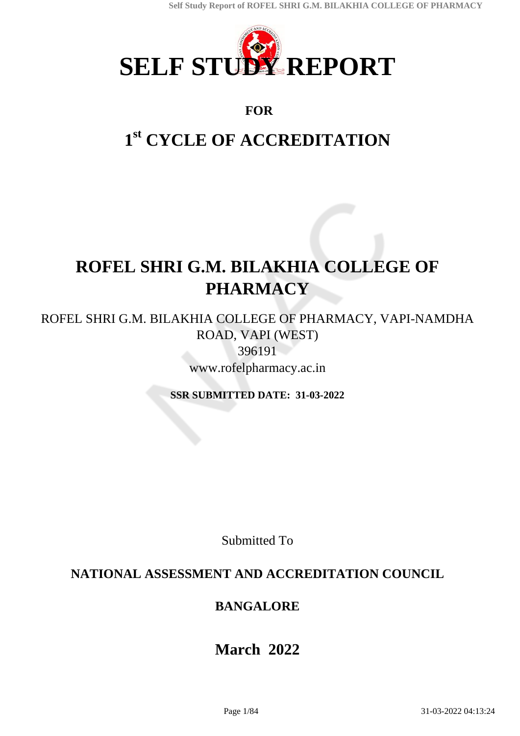

## **FOR**

# **1 st CYCLE OF ACCREDITATION**

# **ROFEL SHRI G.M. BILAKHIA COLLEGE OF PHARMACY**

ROFEL SHRI G.M. BILAKHIA COLLEGE OF PHARMACY, VAPI-NAMDHA ROAD, VAPI (WEST) 396191 www.rofelpharmacy.ac.in

**SSR SUBMITTED DATE: 31-03-2022**

Submitted To

## **NATIONAL ASSESSMENT AND ACCREDITATION COUNCIL**

## **BANGALORE**

# **March 2022**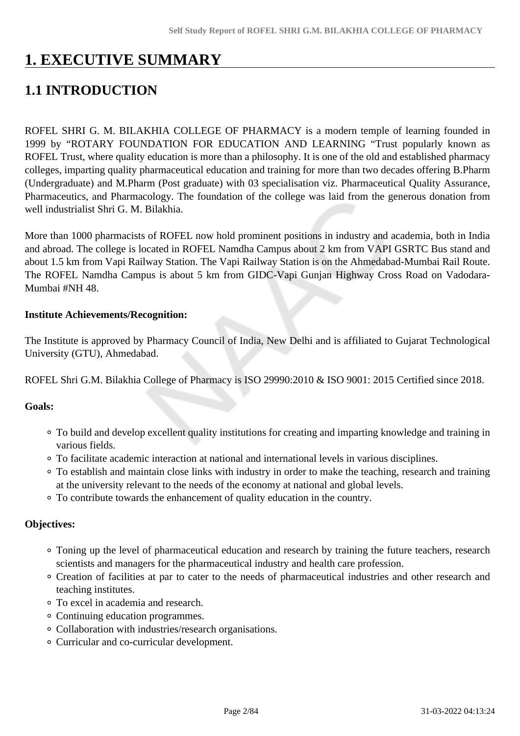# **1. EXECUTIVE SUMMARY**

# **1.1 INTRODUCTION**

ROFEL SHRI G. M. BILAKHIA COLLEGE OF PHARMACY is a modern temple of learning founded in 1999 by "ROTARY FOUNDATION FOR EDUCATION AND LEARNING "Trust popularly known as ROFEL Trust, where quality education is more than a philosophy. It is one of the old and established pharmacy colleges, imparting quality pharmaceutical education and training for more than two decades offering B.Pharm (Undergraduate) and M.Pharm (Post graduate) with 03 specialisation viz. Pharmaceutical Quality Assurance, Pharmaceutics, and Pharmacology. The foundation of the college was laid from the generous donation from well industrialist Shri G. M. Bilakhia.

More than 1000 pharmacists of ROFEL now hold prominent positions in industry and academia, both in India and abroad. The college is located in ROFEL Namdha Campus about 2 km from VAPI GSRTC Bus stand and about 1.5 km from Vapi Railway Station. The Vapi Railway Station is on the Ahmedabad-Mumbai Rail Route. The ROFEL Namdha Campus is about 5 km from GIDC-Vapi Gunjan Highway Cross Road on Vadodara-Mumbai #NH 48.

#### **Institute Achievements/Recognition:**

The Institute is approved by Pharmacy Council of India, New Delhi and is affiliated to Gujarat Technological University (GTU), Ahmedabad.

ROFEL Shri G.M. Bilakhia College of Pharmacy is ISO 29990:2010 & ISO 9001: 2015 Certified since 2018.

#### **Goals:**

- To build and develop excellent quality institutions for creating and imparting knowledge and training in various fields.
- To facilitate academic interaction at national and international levels in various disciplines.
- To establish and maintain close links with industry in order to make the teaching, research and training at the university relevant to the needs of the economy at national and global levels.
- To contribute towards the enhancement of quality education in the country.

#### **Objectives:**

- Toning up the level of pharmaceutical education and research by training the future teachers, research scientists and managers for the pharmaceutical industry and health care profession.
- Creation of facilities at par to cater to the needs of pharmaceutical industries and other research and teaching institutes.
- To excel in academia and research.
- Continuing education programmes.
- Collaboration with industries/research organisations.
- Curricular and co-curricular development.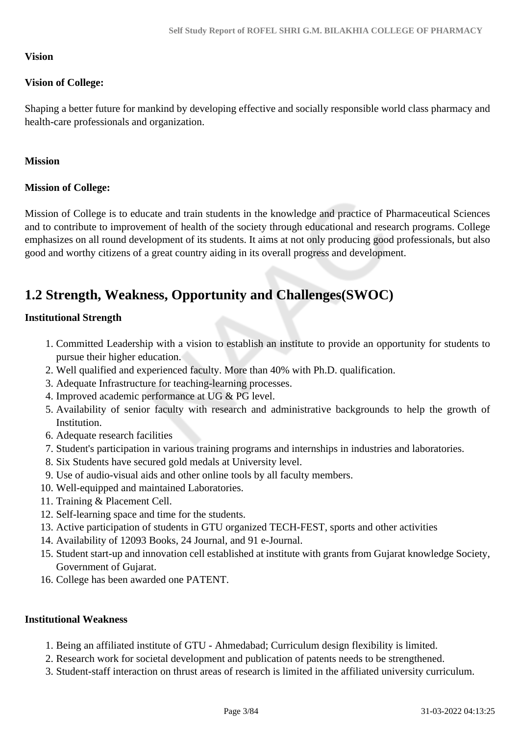#### **Vision**

#### **Vision of College:**

Shaping a better future for mankind by developing effective and socially responsible world class pharmacy and health-care professionals and organization.

#### **Mission**

#### **Mission of College:**

Mission of College is to educate and train students in the knowledge and practice of Pharmaceutical Sciences and to contribute to improvement of health of the society through educational and research programs. College emphasizes on all round development of its students. It aims at not only producing good professionals, but also good and worthy citizens of a great country aiding in its overall progress and development.

## **1.2 Strength, Weakness, Opportunity and Challenges(SWOC)**

#### **Institutional Strength**

- 1. Committed Leadership with a vision to establish an institute to provide an opportunity for students to pursue their higher education.
- 2. Well qualified and experienced faculty. More than 40% with Ph.D. qualification.
- 3. Adequate Infrastructure for teaching-learning processes.
- 4. Improved academic performance at UG & PG level.
- 5. Availability of senior faculty with research and administrative backgrounds to help the growth of Institution.
- 6. Adequate research facilities
- 7. Student's participation in various training programs and internships in industries and laboratories.
- 8. Six Students have secured gold medals at University level.
- 9. Use of audio-visual aids and other online tools by all faculty members.
- 10. Well-equipped and maintained Laboratories.
- 11. Training & Placement Cell.
- 12. Self-learning space and time for the students.
- 13. Active participation of students in GTU organized TECH-FEST, sports and other activities
- 14. Availability of 12093 Books, 24 Journal, and 91 e-Journal.
- 15. Student start-up and innovation cell established at institute with grants from Gujarat knowledge Society, Government of Gujarat.
- 16. College has been awarded one PATENT.

#### **Institutional Weakness**

- 1. Being an affiliated institute of GTU Ahmedabad; Curriculum design flexibility is limited.
- 2. Research work for societal development and publication of patents needs to be strengthened.
- 3. Student-staff interaction on thrust areas of research is limited in the affiliated university curriculum.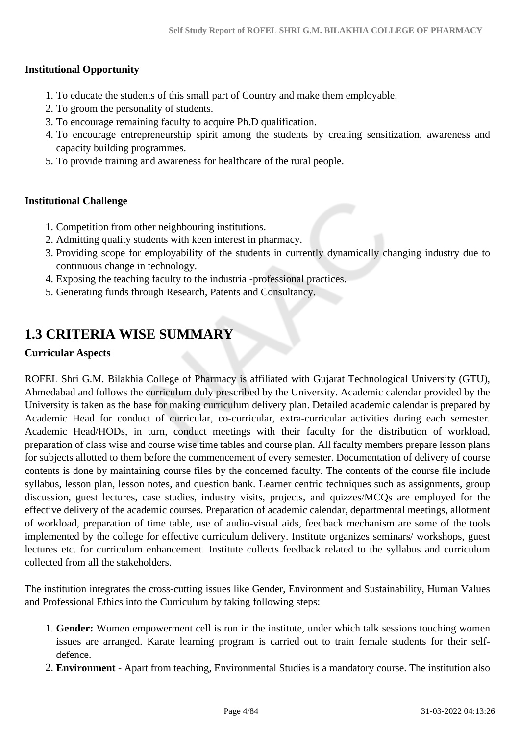#### **Institutional Opportunity**

- 1. To educate the students of this small part of Country and make them employable.
- 2. To groom the personality of students.
- 3. To encourage remaining faculty to acquire Ph.D qualification.
- 4. To encourage entrepreneurship spirit among the students by creating sensitization, awareness and capacity building programmes.
- 5. To provide training and awareness for healthcare of the rural people.

#### **Institutional Challenge**

- 1. Competition from other neighbouring institutions.
- 2. Admitting quality students with keen interest in pharmacy.
- 3. Providing scope for employability of the students in currently dynamically changing industry due to continuous change in technology.
- 4. Exposing the teaching faculty to the industrial-professional practices.
- 5. Generating funds through Research, Patents and Consultancy.

## **1.3 CRITERIA WISE SUMMARY**

#### **Curricular Aspects**

ROFEL Shri G.M. Bilakhia College of Pharmacy is affiliated with Gujarat Technological University (GTU), Ahmedabad and follows the curriculum duly prescribed by the University. Academic calendar provided by the University is taken as the base for making curriculum delivery plan. Detailed academic calendar is prepared by Academic Head for conduct of curricular, co-curricular, extra-curricular activities during each semester. Academic Head/HODs, in turn, conduct meetings with their faculty for the distribution of workload, preparation of class wise and course wise time tables and course plan. All faculty members prepare lesson plans for subjects allotted to them before the commencement of every semester. Documentation of delivery of course contents is done by maintaining course files by the concerned faculty. The contents of the course file include syllabus, lesson plan, lesson notes, and question bank. Learner centric techniques such as assignments, group discussion, guest lectures, case studies, industry visits, projects, and quizzes/MCQs are employed for the effective delivery of the academic courses. Preparation of academic calendar, departmental meetings, allotment of workload, preparation of time table, use of audio-visual aids, feedback mechanism are some of the tools implemented by the college for effective curriculum delivery. Institute organizes seminars/ workshops, guest lectures etc. for curriculum enhancement. Institute collects feedback related to the syllabus and curriculum collected from all the stakeholders.

The institution integrates the cross-cutting issues like Gender, Environment and Sustainability, Human Values and Professional Ethics into the Curriculum by taking following steps:

- 1. **Gender:** Women empowerment cell is run in the institute, under which talk sessions touching women issues are arranged. Karate learning program is carried out to train female students for their selfdefence.
- 2. **Environment** Apart from teaching, Environmental Studies is a mandatory course. The institution also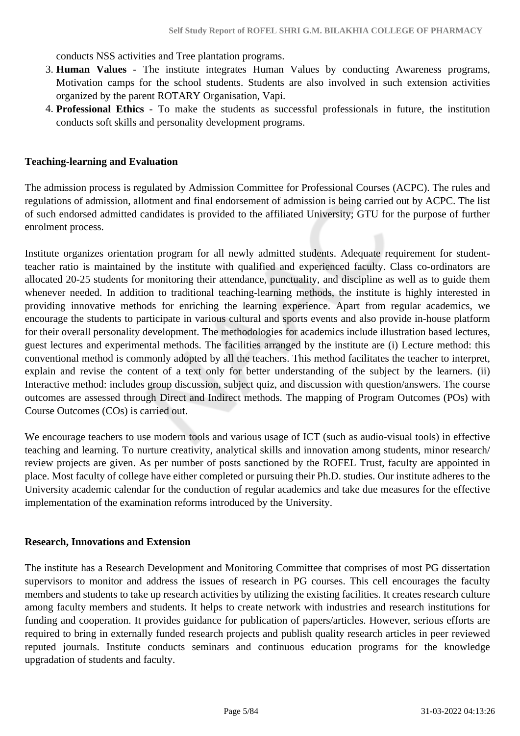conducts NSS activities and Tree plantation programs.

- 3. **Human Values** The institute integrates Human Values by conducting Awareness programs, Motivation camps for the school students. Students are also involved in such extension activities organized by the parent ROTARY Organisation, Vapi.
- 4. **Professional Ethics** To make the students as successful professionals in future, the institution conducts soft skills and personality development programs.

#### **Teaching-learning and Evaluation**

The admission process is regulated by Admission Committee for Professional Courses (ACPC). The rules and regulations of admission, allotment and final endorsement of admission is being carried out by ACPC. The list of such endorsed admitted candidates is provided to the affiliated University; GTU for the purpose of further enrolment process.

Institute organizes orientation program for all newly admitted students. Adequate requirement for studentteacher ratio is maintained by the institute with qualified and experienced faculty. Class co-ordinators are allocated 20-25 students for monitoring their attendance, punctuality, and discipline as well as to guide them whenever needed. In addition to traditional teaching-learning methods, the institute is highly interested in providing innovative methods for enriching the learning experience. Apart from regular academics, we encourage the students to participate in various cultural and sports events and also provide in-house platform for their overall personality development. The methodologies for academics include illustration based lectures, guest lectures and experimental methods. The facilities arranged by the institute are (i) Lecture method: this conventional method is commonly adopted by all the teachers. This method facilitates the teacher to interpret, explain and revise the content of a text only for better understanding of the subject by the learners. (ii) Interactive method: includes group discussion, subject quiz, and discussion with question/answers. The course outcomes are assessed through Direct and Indirect methods. The mapping of Program Outcomes (POs) with Course Outcomes (COs) is carried out.

We encourage teachers to use modern tools and various usage of ICT (such as audio-visual tools) in effective teaching and learning. To nurture creativity, analytical skills and innovation among students, minor research/ review projects are given. As per number of posts sanctioned by the ROFEL Trust, faculty are appointed in place. Most faculty of college have either completed or pursuing their Ph.D. studies. Our institute adheres to the University academic calendar for the conduction of regular academics and take due measures for the effective implementation of the examination reforms introduced by the University.

#### **Research, Innovations and Extension**

The institute has a Research Development and Monitoring Committee that comprises of most PG dissertation supervisors to monitor and address the issues of research in PG courses. This cell encourages the faculty members and students to take up research activities by utilizing the existing facilities. It creates research culture among faculty members and students. It helps to create network with industries and research institutions for funding and cooperation. It provides guidance for publication of papers/articles. However, serious efforts are required to bring in externally funded research projects and publish quality research articles in peer reviewed reputed journals. Institute conducts seminars and continuous education programs for the knowledge upgradation of students and faculty.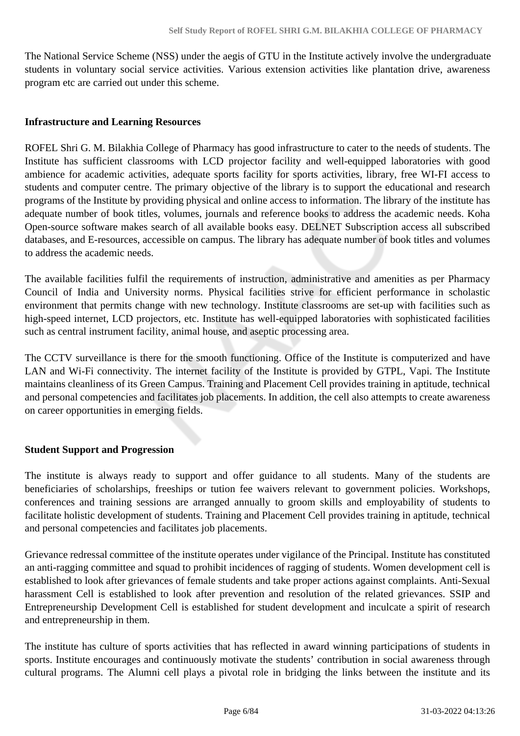The National Service Scheme (NSS) under the aegis of GTU in the Institute actively involve the undergraduate students in voluntary social service activities. Various extension activities like plantation drive, awareness program etc are carried out under this scheme.

#### **Infrastructure and Learning Resources**

ROFEL Shri G. M. Bilakhia College of Pharmacy has good infrastructure to cater to the needs of students. The Institute has sufficient classrooms with LCD projector facility and well-equipped laboratories with good ambience for academic activities, adequate sports facility for sports activities, library, free WI-FI access to students and computer centre. The primary objective of the library is to support the educational and research programs of the Institute by providing physical and online access to information. The library of the institute has adequate number of book titles, volumes, journals and reference books to address the academic needs. Koha Open-source software makes search of all available books easy. DELNET Subscription access all subscribed databases, and E-resources, accessible on campus. The library has adequate number of book titles and volumes to address the academic needs.

The available facilities fulfil the requirements of instruction, administrative and amenities as per Pharmacy Council of India and University norms. Physical facilities strive for efficient performance in scholastic environment that permits change with new technology. Institute classrooms are set-up with facilities such as high-speed internet, LCD projectors, etc. Institute has well-equipped laboratories with sophisticated facilities such as central instrument facility, animal house, and aseptic processing area.

The CCTV surveillance is there for the smooth functioning. Office of the Institute is computerized and have LAN and Wi-Fi connectivity. The internet facility of the Institute is provided by GTPL, Vapi. The Institute maintains cleanliness of its Green Campus. Training and Placement Cell provides training in aptitude, technical and personal competencies and facilitates job placements. In addition, the cell also attempts to create awareness on career opportunities in emerging fields.

#### **Student Support and Progression**

The institute is always ready to support and offer guidance to all students. Many of the students are beneficiaries of scholarships, freeships or tution fee waivers relevant to government policies. Workshops, conferences and training sessions are arranged annually to groom skills and employability of students to facilitate holistic development of students. Training and Placement Cell provides training in aptitude, technical and personal competencies and facilitates job placements.

Grievance redressal committee of the institute operates under vigilance of the Principal. Institute has constituted an anti-ragging committee and squad to prohibit incidences of ragging of students. Women development cell is established to look after grievances of female students and take proper actions against complaints. Anti-Sexual harassment Cell is established to look after prevention and resolution of the related grievances. SSIP and Entrepreneurship Development Cell is established for student development and inculcate a spirit of research and entrepreneurship in them.

The institute has culture of sports activities that has reflected in award winning participations of students in sports. Institute encourages and continuously motivate the students' contribution in social awareness through cultural programs. The Alumni cell plays a pivotal role in bridging the links between the institute and its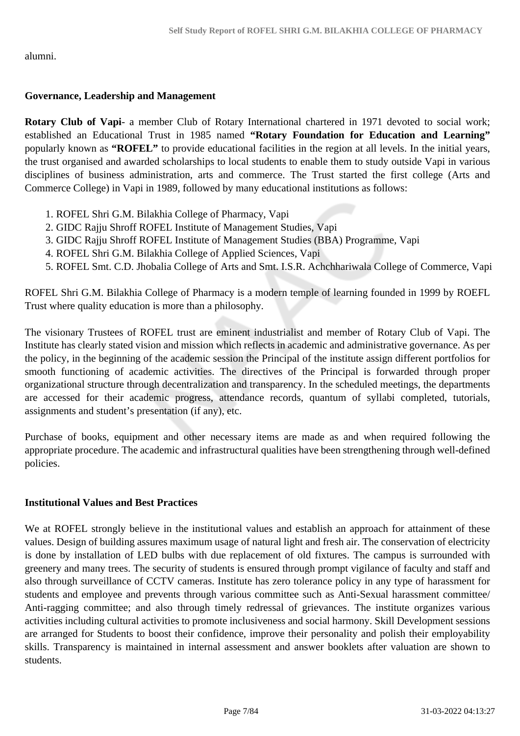alumni.

#### **Governance, Leadership and Management**

**Rotary Club of Vapi**- a member Club of Rotary International chartered in 1971 devoted to social work; established an Educational Trust in 1985 named **"Rotary Foundation for Education and Learning"** popularly known as **"ROFEL"** to provide educational facilities in the region at all levels. In the initial years, the trust organised and awarded scholarships to local students to enable them to study outside Vapi in various disciplines of business administration, arts and commerce. The Trust started the first college (Arts and Commerce College) in Vapi in 1989, followed by many educational institutions as follows:

- 1. ROFEL Shri G.M. Bilakhia College of Pharmacy, Vapi
- 2. GIDC Rajju Shroff ROFEL Institute of Management Studies, Vapi
- 3. GIDC Rajju Shroff ROFEL Institute of Management Studies (BBA) Programme, Vapi
- 4. ROFEL Shri G.M. Bilakhia College of Applied Sciences, Vapi
- 5. ROFEL Smt. C.D. Jhobalia College of Arts and Smt. I.S.R. Achchhariwala College of Commerce, Vapi

ROFEL Shri G.M. Bilakhia College of Pharmacy is a modern temple of learning founded in 1999 by ROEFL Trust where quality education is more than a philosophy.

The visionary Trustees of ROFEL trust are eminent industrialist and member of Rotary Club of Vapi. The Institute has clearly stated vision and mission which reflects in academic and administrative governance. As per the policy, in the beginning of the academic session the Principal of the institute assign different portfolios for smooth functioning of academic activities. The directives of the Principal is forwarded through proper organizational structure through decentralization and transparency. In the scheduled meetings, the departments are accessed for their academic progress, attendance records, quantum of syllabi completed, tutorials, assignments and student's presentation (if any), etc.

Purchase of books, equipment and other necessary items are made as and when required following the appropriate procedure. The academic and infrastructural qualities have been strengthening through well-defined policies.

#### **Institutional Values and Best Practices**

We at ROFEL strongly believe in the institutional values and establish an approach for attainment of these values. Design of building assures maximum usage of natural light and fresh air. The conservation of electricity is done by installation of LED bulbs with due replacement of old fixtures. The campus is surrounded with greenery and many trees. The security of students is ensured through prompt vigilance of faculty and staff and also through surveillance of CCTV cameras. Institute has zero tolerance policy in any type of harassment for students and employee and prevents through various committee such as Anti-Sexual harassment committee/ Anti-ragging committee; and also through timely redressal of grievances. The institute organizes various activities including cultural activities to promote inclusiveness and social harmony. Skill Development sessions are arranged for Students to boost their confidence, improve their personality and polish their employability skills. Transparency is maintained in internal assessment and answer booklets after valuation are shown to students.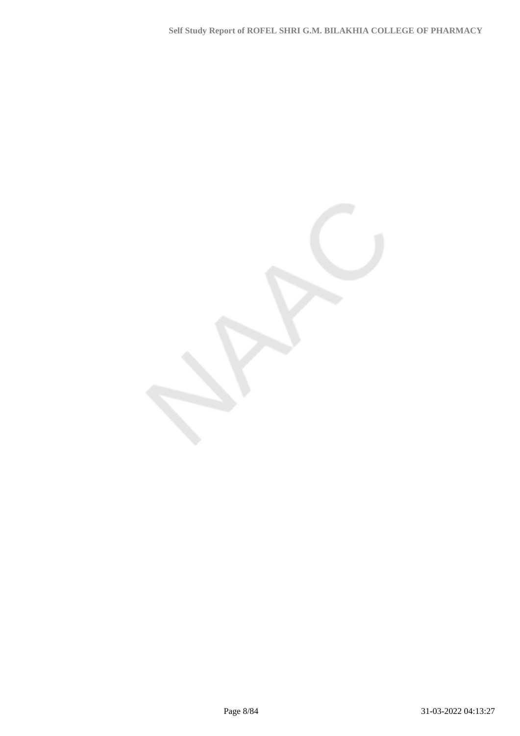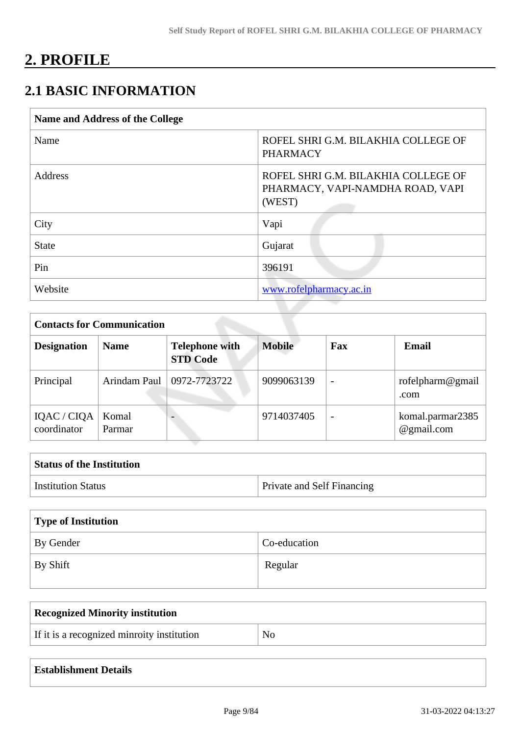# **2. PROFILE**

# **2.1 BASIC INFORMATION**

| <b>Name and Address of the College</b> |                                                                                   |
|----------------------------------------|-----------------------------------------------------------------------------------|
| Name                                   | ROFEL SHRI G.M. BILAKHIA COLLEGE OF<br><b>PHARMACY</b>                            |
| Address                                | ROFEL SHRI G.M. BILAKHIA COLLEGE OF<br>PHARMACY, VAPI-NAMDHA ROAD, VAPI<br>(WEST) |
| City                                   | Vapi                                                                              |
| <b>State</b>                           | Gujarat                                                                           |
| Pin                                    | 396191                                                                            |
| Website                                | www.rofelpharmacy.ac.in                                                           |

| <b>Contacts for Communication</b> |                 |                                          |               |     |                                |  |  |  |  |
|-----------------------------------|-----------------|------------------------------------------|---------------|-----|--------------------------------|--|--|--|--|
| <b>Designation</b>                | <b>Name</b>     | <b>Telephone with</b><br><b>STD Code</b> | <b>Mobile</b> | Fax | Email                          |  |  |  |  |
| Principal                         | Arindam Paul    | 0972-7723722                             | 9099063139    |     | rofelpharm@gmail<br>.com       |  |  |  |  |
| IQAC / CIQA<br>coordinator        | Komal<br>Parmar |                                          | 9714037405    |     | komal.parmar2385<br>@gmail.com |  |  |  |  |

| <b>Status of the Institution</b> |                                   |
|----------------------------------|-----------------------------------|
| Institution Status               | <b>Private and Self Financing</b> |

| Type of Institution |              |  |  |  |  |
|---------------------|--------------|--|--|--|--|
| By Gender           | Co-education |  |  |  |  |
| By Shift            | Regular      |  |  |  |  |

| <b>Recognized Minority institution</b>     |    |
|--------------------------------------------|----|
| If it is a recognized minroity institution | No |

| <b>Establishment Details</b> |  |  |
|------------------------------|--|--|
|------------------------------|--|--|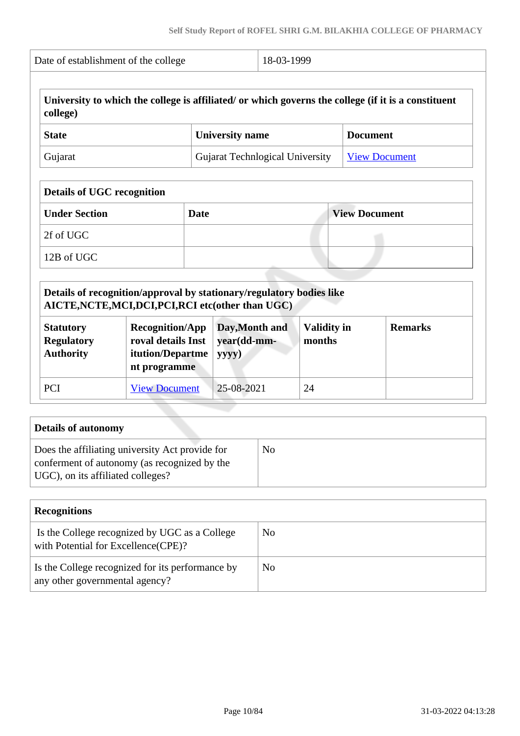| Date of establishment of the college  |                                                        |                      | 18-03-1999                                                                                                                                    |                      |                 |                      |
|---------------------------------------|--------------------------------------------------------|----------------------|-----------------------------------------------------------------------------------------------------------------------------------------------|----------------------|-----------------|----------------------|
| college)                              |                                                        |                      | University to which the college is affiliated/ or which governs the college (if it is a constituent                                           |                      |                 |                      |
| <b>State</b>                          |                                                        |                      | <b>University name</b>                                                                                                                        |                      | <b>Document</b> |                      |
| Gujarat                               |                                                        |                      | Gujarat Technlogical University                                                                                                               |                      |                 | <b>View Document</b> |
| <b>Details of UGC recognition</b>     |                                                        |                      |                                                                                                                                               |                      |                 |                      |
| <b>Under Section</b>                  |                                                        | <b>Date</b>          |                                                                                                                                               | <b>View Document</b> |                 |                      |
| 2f of UGC                             |                                                        |                      |                                                                                                                                               |                      |                 |                      |
| 12B of UGC                            |                                                        |                      |                                                                                                                                               |                      |                 |                      |
| <b>Statutory</b>                      | <b>Recognition/App</b>                                 |                      | Details of recognition/approval by stationary/regulatory bodies like<br>AICTE, NCTE, MCI, DCI, PCI, RCI etc(other than UGC)<br>Day, Month and | <b>Validity in</b>   |                 | <b>Remarks</b>       |
| <b>Regulatory</b><br><b>Authority</b> | roval details Inst<br>itution/Departme<br>nt programme |                      | year(dd-mm-<br>yyyy)                                                                                                                          | months               |                 |                      |
|                                       |                                                        | <b>View Document</b> | 25-08-2021                                                                                                                                    | 24                   |                 |                      |

| <b>Details of autonomy</b>                                                                                                           |                |  |  |  |  |  |  |
|--------------------------------------------------------------------------------------------------------------------------------------|----------------|--|--|--|--|--|--|
| Does the affiliating university Act provide for<br>conferment of autonomy (as recognized by the<br>UGC), on its affiliated colleges? | N <sub>0</sub> |  |  |  |  |  |  |

| <b>Recognitions</b>                                                                   |    |
|---------------------------------------------------------------------------------------|----|
| Is the College recognized by UGC as a College<br>with Potential for Excellence (CPE)? | No |
| Is the College recognized for its performance by<br>any other governmental agency?    | No |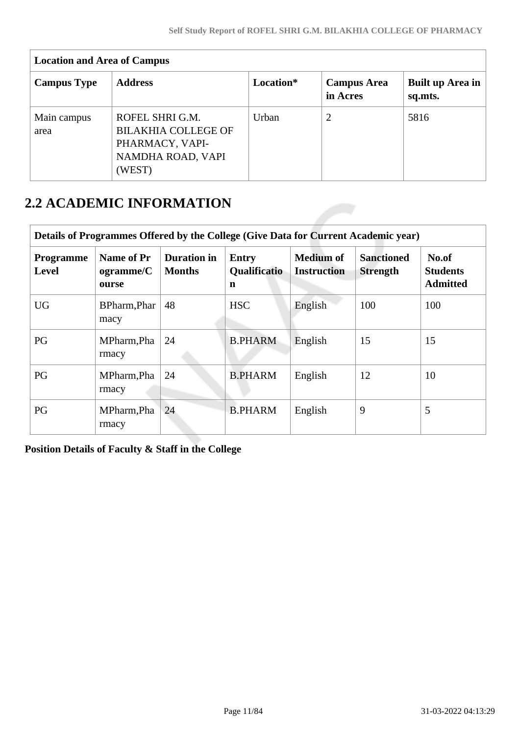| <b>Location and Area of Campus</b> |                                                                                                 |           |                                |                             |  |  |  |  |  |  |
|------------------------------------|-------------------------------------------------------------------------------------------------|-----------|--------------------------------|-----------------------------|--|--|--|--|--|--|
| <b>Campus Type</b>                 | <b>Address</b>                                                                                  | Location* | <b>Campus Area</b><br>in Acres | Built up Area in<br>sq.mts. |  |  |  |  |  |  |
| Main campus<br>area                | ROFEL SHRI G.M.<br><b>BILAKHIA COLLEGE OF</b><br>PHARMACY, VAPI-<br>NAMDHA ROAD, VAPI<br>(WEST) | Urban     | 2                              | 5816                        |  |  |  |  |  |  |

# **2.2 ACADEMIC INFORMATION**

| Details of Programmes Offered by the College (Give Data for Current Academic year) |                                  |                                     |                                          |                                        |                                      |                                             |  |  |  |  |
|------------------------------------------------------------------------------------|----------------------------------|-------------------------------------|------------------------------------------|----------------------------------------|--------------------------------------|---------------------------------------------|--|--|--|--|
| <b>Programme</b><br>Level                                                          | Name of Pr<br>ogramme/C<br>ourse | <b>Duration in</b><br><b>Months</b> | <b>Entry</b><br><b>Qualificatio</b><br>n | <b>Medium of</b><br><b>Instruction</b> | <b>Sanctioned</b><br><b>Strength</b> | No.of<br><b>Students</b><br><b>Admitted</b> |  |  |  |  |
| <b>UG</b>                                                                          | BPharm, Phar<br>macy             | 48                                  | <b>HSC</b>                               | English                                | 100                                  | 100                                         |  |  |  |  |
| PG                                                                                 | MPharm, Pha<br>rmacy             | 24                                  | <b>B.PHARM</b>                           | English                                | 15                                   | 15                                          |  |  |  |  |
| PG                                                                                 | MPharm, Pha<br>rmacy             | 24                                  | <b>B.PHARM</b>                           | English                                | 12                                   | 10                                          |  |  |  |  |
| PG                                                                                 | MPharm, Pha<br>rmacy             | 24                                  | <b>B.PHARM</b>                           | English                                | 9                                    | 5                                           |  |  |  |  |

**Position Details of Faculty & Staff in the College**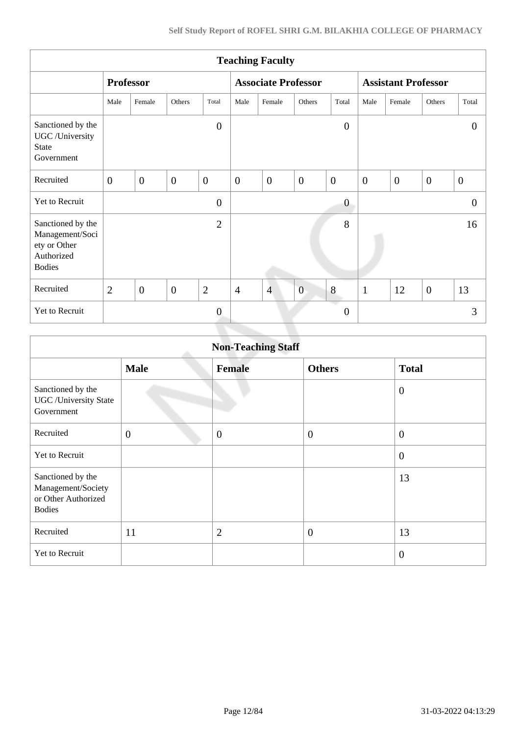| <b>Teaching Faculty</b>                                                             |                  |                  |                |                  |                |                            |                |                  |                            |                |                |                |
|-------------------------------------------------------------------------------------|------------------|------------------|----------------|------------------|----------------|----------------------------|----------------|------------------|----------------------------|----------------|----------------|----------------|
|                                                                                     | <b>Professor</b> |                  |                |                  |                | <b>Associate Professor</b> |                |                  | <b>Assistant Professor</b> |                |                |                |
|                                                                                     | Male             | Female           | Others         | Total            | Male           | Female                     | Others         | Total            | Male                       | Female         | Others         | Total          |
| Sanctioned by the<br>UGC /University<br><b>State</b><br>Government                  |                  |                  |                | $\overline{0}$   |                |                            |                | $\overline{0}$   |                            |                |                | $\Omega$       |
| Recruited                                                                           | $\boldsymbol{0}$ | $\overline{0}$   | $\overline{0}$ | $\overline{0}$   | $\overline{0}$ | $\mathbf{0}$               | $\overline{0}$ | $\overline{0}$   | $\overline{0}$             | $\overline{0}$ | $\overline{0}$ | $\overline{0}$ |
| Yet to Recruit                                                                      |                  |                  |                | $\boldsymbol{0}$ |                |                            |                | $\boldsymbol{0}$ |                            |                |                | $\theta$       |
| Sanctioned by the<br>Management/Soci<br>ety or Other<br>Authorized<br><b>Bodies</b> |                  |                  |                | $\overline{2}$   |                |                            |                | 8                |                            |                |                | 16             |
| Recruited                                                                           | $\overline{2}$   | $\boldsymbol{0}$ | $\overline{0}$ | $\overline{2}$   | $\overline{4}$ | $\overline{4}$             | $\overline{0}$ | 8                | $\mathbf{1}$               | 12             | $\overline{0}$ | 13             |
| Yet to Recruit                                                                      |                  |                  |                | $\overline{0}$   |                |                            |                | $\overline{0}$   |                            |                |                | 3              |

| <b>Non-Teaching Staff</b>                                                       |                |                |                  |                  |  |  |
|---------------------------------------------------------------------------------|----------------|----------------|------------------|------------------|--|--|
|                                                                                 | <b>Male</b>    | <b>Female</b>  | <b>Others</b>    | <b>Total</b>     |  |  |
| Sanctioned by the<br><b>UGC</b> / University State<br>Government                |                |                |                  | $\overline{0}$   |  |  |
| Recruited                                                                       | $\overline{0}$ | $\mathbf{0}$   | $\boldsymbol{0}$ | $\mathbf{0}$     |  |  |
| <b>Yet to Recruit</b>                                                           |                |                |                  | $\boldsymbol{0}$ |  |  |
| Sanctioned by the<br>Management/Society<br>or Other Authorized<br><b>Bodies</b> |                |                |                  | 13               |  |  |
| Recruited                                                                       | 11             | $\overline{2}$ | $\overline{0}$   | 13               |  |  |
| Yet to Recruit                                                                  |                |                |                  | $\overline{0}$   |  |  |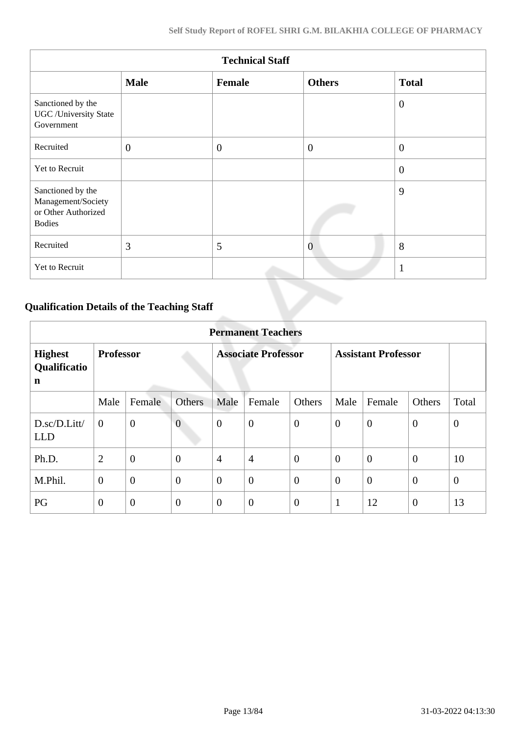| <b>Technical Staff</b>                                                          |              |              |                |                |  |  |
|---------------------------------------------------------------------------------|--------------|--------------|----------------|----------------|--|--|
|                                                                                 | <b>Male</b>  | Female       | <b>Others</b>  | <b>Total</b>   |  |  |
| Sanctioned by the<br><b>UGC</b> /University State<br>Government                 |              |              |                | $\overline{0}$ |  |  |
| Recruited                                                                       | $\mathbf{0}$ | $\mathbf{0}$ | $\overline{0}$ | $\overline{0}$ |  |  |
| Yet to Recruit                                                                  |              |              |                | $\overline{0}$ |  |  |
| Sanctioned by the<br>Management/Society<br>or Other Authorized<br><b>Bodies</b> |              |              |                | 9              |  |  |
| Recruited                                                                       | 3            | 5            | $\overline{0}$ | 8              |  |  |
| Yet to Recruit                                                                  |              |              |                | $\mathbf{1}$   |  |  |

## **Qualification Details of the Teaching Staff**

|                                     | <b>Permanent Teachers</b> |                |                            |                |                            |                  |                |                |                |                |
|-------------------------------------|---------------------------|----------------|----------------------------|----------------|----------------------------|------------------|----------------|----------------|----------------|----------------|
| <b>Highest</b><br>Qualificatio<br>n | <b>Professor</b>          |                | <b>Associate Professor</b> |                | <b>Assistant Professor</b> |                  |                |                |                |                |
|                                     | Male                      | Female         | <b>Others</b>              | Male           | Female                     | Others           | Male           | Female         | Others         | Total          |
| D.sc/D.Litt/<br><b>LLD</b>          | $\overline{0}$            | $\overline{0}$ | $\overline{0}$             | $\overline{0}$ | $\boldsymbol{0}$           | $\overline{0}$   | $\theta$       | $\overline{0}$ | $\overline{0}$ | $\mathbf{0}$   |
| Ph.D.                               | $\overline{2}$            | $\overline{0}$ | $\overline{0}$             | $\overline{4}$ | $\overline{4}$             | $\overline{0}$   | $\theta$       | $\overline{0}$ | $\overline{0}$ | 10             |
| M.Phil.                             | $\overline{0}$            | $\overline{0}$ | $\overline{0}$             | $\overline{0}$ | $\overline{0}$             | $\theta$         | $\overline{0}$ | $\overline{0}$ | $\theta$       | $\overline{0}$ |
| PG                                  | $\overline{0}$            | $\overline{0}$ | $\overline{0}$             | $\overline{0}$ | $\overline{0}$             | $\boldsymbol{0}$ |                | 12             | $\overline{0}$ | 13             |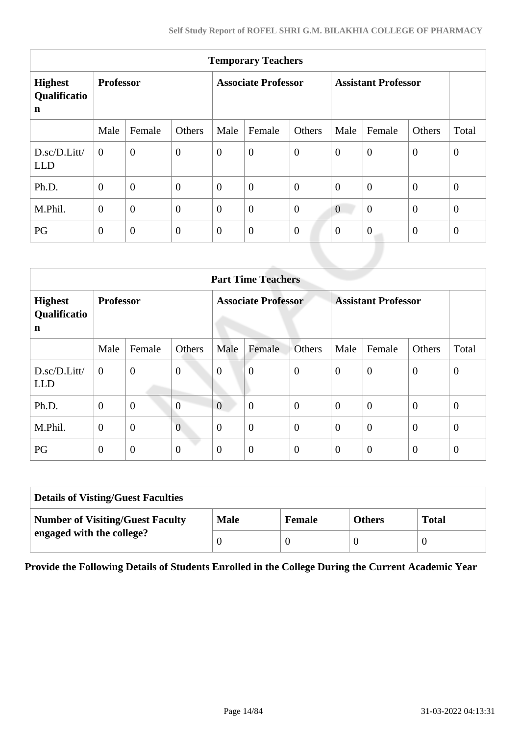| <b>Temporary Teachers</b>                     |                  |                |                            |                  |                            |                  |                |                |                |                |
|-----------------------------------------------|------------------|----------------|----------------------------|------------------|----------------------------|------------------|----------------|----------------|----------------|----------------|
| <b>Highest</b><br>Qualificatio<br>$\mathbf n$ | <b>Professor</b> |                | <b>Associate Professor</b> |                  | <b>Assistant Professor</b> |                  |                |                |                |                |
|                                               | Male             | Female         | Others                     | Male             | Female                     | Others           | Male           | Female         | Others         | Total          |
| D.sc/D.Litt/<br><b>LLD</b>                    | $\theta$         | $\overline{0}$ | $\overline{0}$             | $\boldsymbol{0}$ | $\boldsymbol{0}$           | $\boldsymbol{0}$ | $\overline{0}$ | $\overline{0}$ | $\mathbf{0}$   | $\mathbf{0}$   |
| Ph.D.                                         | $\overline{0}$   | $\overline{0}$ | $\overline{0}$             | $\boldsymbol{0}$ | $\overline{0}$             | $\boldsymbol{0}$ | $\overline{0}$ | $\theta$       | $\mathbf{0}$   | $\mathbf{0}$   |
| M.Phil.                                       | $\theta$         | $\overline{0}$ | $\overline{0}$             | $\overline{0}$   | $\boldsymbol{0}$           | $\overline{0}$   | $\overline{0}$ | $\overline{0}$ | $\mathbf{0}$   | $\overline{0}$ |
| PG                                            | $\overline{0}$   | $\overline{0}$ | $\overline{0}$             | $\boldsymbol{0}$ | $\overline{0}$             | $\boldsymbol{0}$ | $\overline{0}$ | $\overline{0}$ | $\overline{0}$ | $\overline{0}$ |
|                                               |                  |                |                            |                  |                            |                  |                |                |                |                |

| <b>Part Time Teachers</b>           |                  |                |                            |                |                            |                |                |                |                |                |
|-------------------------------------|------------------|----------------|----------------------------|----------------|----------------------------|----------------|----------------|----------------|----------------|----------------|
| <b>Highest</b><br>Qualificatio<br>n | <b>Professor</b> |                | <b>Associate Professor</b> |                | <b>Assistant Professor</b> |                |                |                |                |                |
|                                     | Male             | Female         | Others                     | Male           | Female                     | Others         | Male           | Female         | Others         | Total          |
| D.sc/D.Litt/<br><b>LLD</b>          | $\overline{0}$   | $\mathbf{0}$   | $\overline{0}$             | $\overline{0}$ | $\overline{0}$             | $\overline{0}$ | $\overline{0}$ | $\overline{0}$ | $\overline{0}$ | $\theta$       |
| Ph.D.                               | $\mathbf{0}$     | $\mathbf{0}$   | $\overline{0}$             | $\overline{0}$ | $\boldsymbol{0}$           | $\overline{0}$ | $\theta$       | $\overline{0}$ | $\overline{0}$ | $\overline{0}$ |
| M.Phil.                             | $\mathbf{0}$     | $\overline{0}$ | $\overline{0}$             | $\overline{0}$ | $\overline{0}$             | $\overline{0}$ | $\overline{0}$ | $\overline{0}$ | $\overline{0}$ | $\theta$       |
| PG                                  | $\mathbf{0}$     | $\overline{0}$ | $\overline{0}$             | $\overline{0}$ | $\overline{0}$             | $\overline{0}$ | $\theta$       | $\overline{0}$ | $\overline{0}$ | $\overline{0}$ |

| <b>Details of Visting/Guest Faculties</b> |             |               |               |              |  |
|-------------------------------------------|-------------|---------------|---------------|--------------|--|
| <b>Number of Visiting/Guest Faculty</b>   | <b>Male</b> | <b>Female</b> | <b>Others</b> | <b>Total</b> |  |
| engaged with the college?                 |             |               |               |              |  |

**Provide the Following Details of Students Enrolled in the College During the Current Academic Year**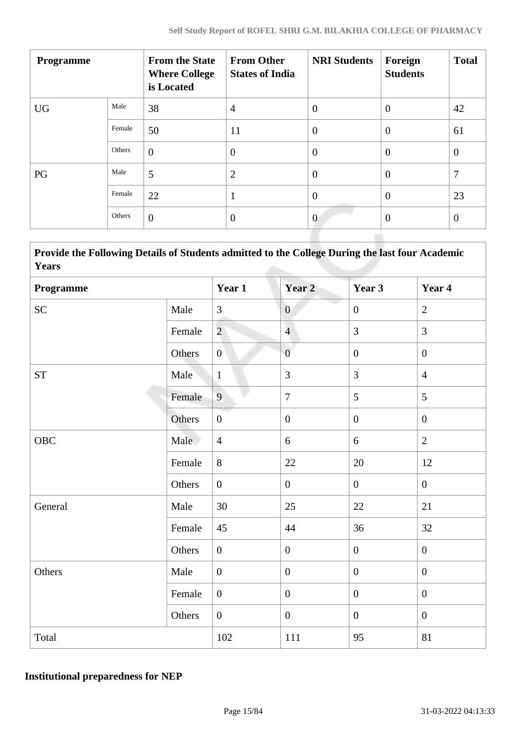| <b>Programme</b> |        | <b>From the State</b><br><b>Where College</b><br>is Located | <b>From Other</b><br><b>States of India</b> | <b>NRI Students</b> | Foreign<br><b>Students</b> | <b>Total</b> |
|------------------|--------|-------------------------------------------------------------|---------------------------------------------|---------------------|----------------------------|--------------|
| <b>UG</b>        | Male   | 38                                                          | $\overline{4}$                              | $\overline{0}$      | $\theta$                   | 42           |
|                  | Female | 50                                                          | 11                                          | $\theta$            | $\overline{0}$             | 61           |
|                  | Others | $\overline{0}$                                              | $\overline{0}$                              | $\theta$            | $\overline{0}$             | $\theta$     |
| PG               | Male   | 5                                                           | $\overline{2}$                              | $\overline{0}$      | $\overline{0}$             | 7            |
|                  | Female | 22                                                          | 1                                           | $\theta$            | $\overline{0}$             | 23           |
|                  | Others | $\overline{0}$                                              | $\theta$                                    | $\overline{0}$      | $\theta$                   | $\theta$     |

 **Provide the Following Details of Students admitted to the College During the last four Academic Years**

| Programme          |        | Year 1           | Year <sub>2</sub> | Year 3           | Year 4           |
|--------------------|--------|------------------|-------------------|------------------|------------------|
| <b>SC</b>          | Male   | $\overline{3}$   | $\overline{0}$    | $\boldsymbol{0}$ | $\overline{2}$   |
|                    | Female | $\overline{2}$   | $\overline{4}$    | $\overline{3}$   | $\overline{3}$   |
|                    | Others | $\overline{0}$   | $\overline{0}$    | $\overline{0}$   | $\boldsymbol{0}$ |
| ${\cal S}{\cal T}$ | Male   | $\mathbf{1}$     | $\overline{3}$    | $\overline{3}$   | $\overline{4}$   |
|                    | Female | 9                | $\overline{7}$    | 5                | 5                |
|                    | Others | $\overline{0}$   | $\boldsymbol{0}$  | $\mathbf{0}$     | $\overline{0}$   |
| <b>OBC</b>         | Male   | $\overline{4}$   | 6                 | 6                | $\overline{2}$   |
|                    | Female | 8                | $22\,$            | $20\,$           | 12               |
|                    | Others | $\overline{0}$   | $\mathbf{0}$      | $\overline{0}$   | $\overline{0}$   |
| General            | Male   | 30               | 25                | 22               | 21               |
|                    | Female | 45               | 44                | 36               | 32               |
|                    | Others | $\overline{0}$   | $\boldsymbol{0}$  | $\boldsymbol{0}$ | $\boldsymbol{0}$ |
| Others             | Male   | $\boldsymbol{0}$ | $\boldsymbol{0}$  | $\boldsymbol{0}$ | $\boldsymbol{0}$ |
|                    | Female | $\mathbf{0}$     | $\boldsymbol{0}$  | $\boldsymbol{0}$ | $\boldsymbol{0}$ |
|                    | Others | $\overline{0}$   | $\boldsymbol{0}$  | $\overline{0}$   | $\overline{0}$   |
| Total              |        | 102              | 111               | 95               | 81               |

## **Institutional preparedness for NEP**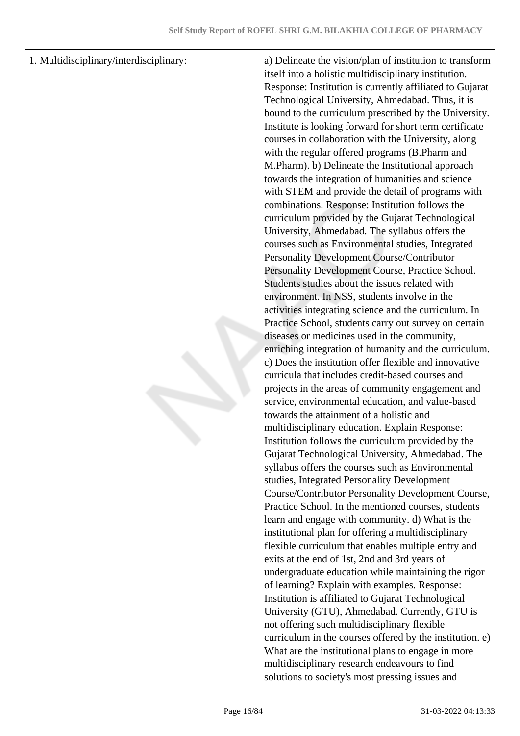| 1. Multidisciplinary/interdisciplinary: | a) Delineate the vision/plan of institution to transform<br>itself into a holistic multidisciplinary institution.<br>Response: Institution is currently affiliated to Gujarat<br>Technological University, Ahmedabad. Thus, it is<br>bound to the curriculum prescribed by the University.<br>Institute is looking forward for short term certificate<br>courses in collaboration with the University, along<br>with the regular offered programs (B.Pharm and<br>M.Pharm). b) Delineate the Institutional approach<br>towards the integration of humanities and science<br>with STEM and provide the detail of programs with<br>combinations. Response: Institution follows the<br>curriculum provided by the Gujarat Technological<br>University, Ahmedabad. The syllabus offers the<br>courses such as Environmental studies, Integrated<br>Personality Development Course/Contributor<br>Personality Development Course, Practice School.<br>Students studies about the issues related with<br>environment. In NSS, students involve in the<br>activities integrating science and the curriculum. In<br>Practice School, students carry out survey on certain<br>diseases or medicines used in the community,<br>enriching integration of humanity and the curriculum.<br>c) Does the institution offer flexible and innovative<br>curricula that includes credit-based courses and<br>projects in the areas of community engagement and<br>service, environmental education, and value-based<br>towards the attainment of a holistic and<br>multidisciplinary education. Explain Response:<br>Institution follows the curriculum provided by the<br>Gujarat Technological University, Ahmedabad. The<br>syllabus offers the courses such as Environmental<br>studies, Integrated Personality Development<br>Course/Contributor Personality Development Course,<br>Practice School. In the mentioned courses, students<br>learn and engage with community. d) What is the<br>institutional plan for offering a multidisciplinary<br>flexible curriculum that enables multiple entry and<br>exits at the end of 1st, 2nd and 3rd years of<br>undergraduate education while maintaining the rigor<br>of learning? Explain with examples. Response:<br>Institution is affiliated to Gujarat Technological<br>University (GTU), Ahmedabad. Currently, GTU is<br>not offering such multidisciplinary flexible<br>curriculum in the courses offered by the institution. e)<br>What are the institutional plans to engage in more<br>multidisciplinary research endeavours to find<br>solutions to society's most pressing issues and |
|-----------------------------------------|------------------------------------------------------------------------------------------------------------------------------------------------------------------------------------------------------------------------------------------------------------------------------------------------------------------------------------------------------------------------------------------------------------------------------------------------------------------------------------------------------------------------------------------------------------------------------------------------------------------------------------------------------------------------------------------------------------------------------------------------------------------------------------------------------------------------------------------------------------------------------------------------------------------------------------------------------------------------------------------------------------------------------------------------------------------------------------------------------------------------------------------------------------------------------------------------------------------------------------------------------------------------------------------------------------------------------------------------------------------------------------------------------------------------------------------------------------------------------------------------------------------------------------------------------------------------------------------------------------------------------------------------------------------------------------------------------------------------------------------------------------------------------------------------------------------------------------------------------------------------------------------------------------------------------------------------------------------------------------------------------------------------------------------------------------------------------------------------------------------------------------------------------------------------------------------------------------------------------------------------------------------------------------------------------------------------------------------------------------------------------------------------------------------------------------------------------------------------------------------------------------------------------------------------------------------------------------------------------------------------------------|
|                                         |                                                                                                                                                                                                                                                                                                                                                                                                                                                                                                                                                                                                                                                                                                                                                                                                                                                                                                                                                                                                                                                                                                                                                                                                                                                                                                                                                                                                                                                                                                                                                                                                                                                                                                                                                                                                                                                                                                                                                                                                                                                                                                                                                                                                                                                                                                                                                                                                                                                                                                                                                                                                                                    |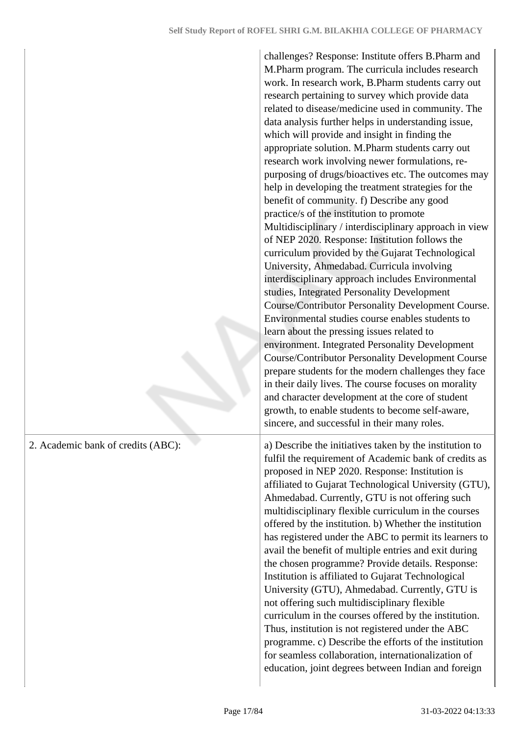|                                    | challenges? Response: Institute offers B.Pharm and<br>M.Pharm program. The curricula includes research<br>work. In research work, B.Pharm students carry out<br>research pertaining to survey which provide data<br>related to disease/medicine used in community. The<br>data analysis further helps in understanding issue,<br>which will provide and insight in finding the<br>appropriate solution. M.Pharm students carry out<br>research work involving newer formulations, re-<br>purposing of drugs/bioactives etc. The outcomes may<br>help in developing the treatment strategies for the<br>benefit of community. f) Describe any good<br>practice/s of the institution to promote<br>Multidisciplinary / interdisciplinary approach in view<br>of NEP 2020. Response: Institution follows the<br>curriculum provided by the Gujarat Technological<br>University, Ahmedabad. Curricula involving<br>interdisciplinary approach includes Environmental<br>studies, Integrated Personality Development<br>Course/Contributor Personality Development Course.<br>Environmental studies course enables students to<br>learn about the pressing issues related to<br>environment. Integrated Personality Development<br><b>Course/Contributor Personality Development Course</b><br>prepare students for the modern challenges they face<br>in their daily lives. The course focuses on morality<br>and character development at the core of student<br>growth, to enable students to become self-aware, |
|------------------------------------|----------------------------------------------------------------------------------------------------------------------------------------------------------------------------------------------------------------------------------------------------------------------------------------------------------------------------------------------------------------------------------------------------------------------------------------------------------------------------------------------------------------------------------------------------------------------------------------------------------------------------------------------------------------------------------------------------------------------------------------------------------------------------------------------------------------------------------------------------------------------------------------------------------------------------------------------------------------------------------------------------------------------------------------------------------------------------------------------------------------------------------------------------------------------------------------------------------------------------------------------------------------------------------------------------------------------------------------------------------------------------------------------------------------------------------------------------------------------------------------------------------------|
| 2. Academic bank of credits (ABC): | sincere, and successful in their many roles.<br>a) Describe the initiatives taken by the institution to<br>fulfil the requirement of Academic bank of credits as<br>proposed in NEP 2020. Response: Institution is<br>affiliated to Gujarat Technological University (GTU),<br>Ahmedabad. Currently, GTU is not offering such<br>multidisciplinary flexible curriculum in the courses<br>offered by the institution. b) Whether the institution<br>has registered under the ABC to permit its learners to<br>avail the benefit of multiple entries and exit during<br>the chosen programme? Provide details. Response:<br>Institution is affiliated to Gujarat Technological<br>University (GTU), Ahmedabad. Currently, GTU is<br>not offering such multidisciplinary flexible<br>curriculum in the courses offered by the institution.<br>Thus, institution is not registered under the ABC<br>programme. c) Describe the efforts of the institution<br>for seamless collaboration, internationalization of<br>education, joint degrees between Indian and foreign                                                                                                                                                                                                                                                                                                                                                                                                                                            |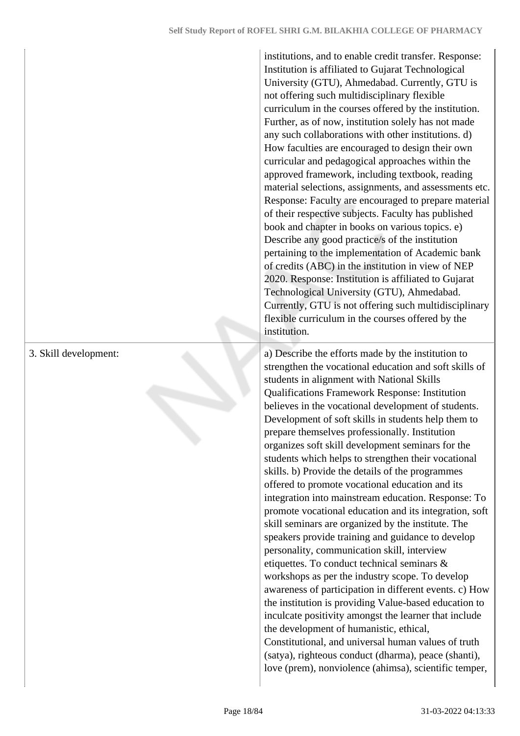|                       | institutions, and to enable credit transfer. Response:<br>Institution is affiliated to Gujarat Technological<br>University (GTU), Ahmedabad. Currently, GTU is<br>not offering such multidisciplinary flexible<br>curriculum in the courses offered by the institution.<br>Further, as of now, institution solely has not made<br>any such collaborations with other institutions. d)<br>How faculties are encouraged to design their own<br>curricular and pedagogical approaches within the<br>approved framework, including textbook, reading<br>material selections, assignments, and assessments etc.<br>Response: Faculty are encouraged to prepare material<br>of their respective subjects. Faculty has published<br>book and chapter in books on various topics. e)<br>Describe any good practice/s of the institution<br>pertaining to the implementation of Academic bank<br>of credits (ABC) in the institution in view of NEP<br>2020. Response: Institution is affiliated to Gujarat<br>Technological University (GTU), Ahmedabad.<br>Currently, GTU is not offering such multidisciplinary<br>flexible curriculum in the courses offered by the<br>institution.                                                                                                                                                                                                     |
|-----------------------|------------------------------------------------------------------------------------------------------------------------------------------------------------------------------------------------------------------------------------------------------------------------------------------------------------------------------------------------------------------------------------------------------------------------------------------------------------------------------------------------------------------------------------------------------------------------------------------------------------------------------------------------------------------------------------------------------------------------------------------------------------------------------------------------------------------------------------------------------------------------------------------------------------------------------------------------------------------------------------------------------------------------------------------------------------------------------------------------------------------------------------------------------------------------------------------------------------------------------------------------------------------------------------------------------------------------------------------------------------------------------------|
| 3. Skill development: | a) Describe the efforts made by the institution to<br>strengthen the vocational education and soft skills of<br>students in alignment with National Skills<br><b>Qualifications Framework Response: Institution</b><br>believes in the vocational development of students.<br>Development of soft skills in students help them to<br>prepare themselves professionally. Institution<br>organizes soft skill development seminars for the<br>students which helps to strengthen their vocational<br>skills. b) Provide the details of the programmes<br>offered to promote vocational education and its<br>integration into mainstream education. Response: To<br>promote vocational education and its integration, soft<br>skill seminars are organized by the institute. The<br>speakers provide training and guidance to develop<br>personality, communication skill, interview<br>etiquettes. To conduct technical seminars &<br>workshops as per the industry scope. To develop<br>awareness of participation in different events. c) How<br>the institution is providing Value-based education to<br>inculcate positivity amongst the learner that include<br>the development of humanistic, ethical,<br>Constitutional, and universal human values of truth<br>(satya), righteous conduct (dharma), peace (shanti),<br>love (prem), nonviolence (ahimsa), scientific temper, |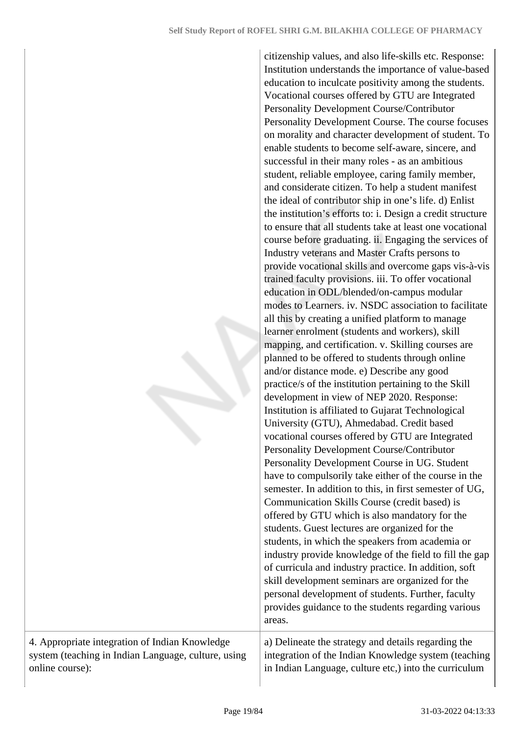|                                                     | citizenship values, and also life-skills etc. Response:<br>Institution understands the importance of value-based<br>education to inculcate positivity among the students.<br>Vocational courses offered by GTU are Integrated<br>Personality Development Course/Contributor<br>Personality Development Course. The course focuses<br>on morality and character development of student. To<br>enable students to become self-aware, sincere, and<br>successful in their many roles - as an ambitious<br>student, reliable employee, caring family member,<br>and considerate citizen. To help a student manifest<br>the ideal of contributor ship in one's life. d) Enlist<br>the institution's efforts to: i. Design a credit structure<br>to ensure that all students take at least one vocational<br>course before graduating. ii. Engaging the services of<br>Industry veterans and Master Crafts persons to<br>provide vocational skills and overcome gaps vis-à-vis<br>trained faculty provisions. iii. To offer vocational<br>education in ODL/blended/on-campus modular<br>modes to Learners. iv. NSDC association to facilitate<br>all this by creating a unified platform to manage<br>learner enrolment (students and workers), skill<br>mapping, and certification. v. Skilling courses are<br>planned to be offered to students through online<br>and/or distance mode. e) Describe any good<br>practice/s of the institution pertaining to the Skill<br>development in view of NEP 2020. Response:<br>Institution is affiliated to Gujarat Technological<br>University (GTU), Ahmedabad. Credit based<br>vocational courses offered by GTU are Integrated<br>Personality Development Course/Contributor<br>Personality Development Course in UG. Student<br>have to compulsorily take either of the course in the<br>semester. In addition to this, in first semester of UG,<br>Communication Skills Course (credit based) is<br>offered by GTU which is also mandatory for the<br>students. Guest lectures are organized for the<br>students, in which the speakers from academia or<br>industry provide knowledge of the field to fill the gap<br>of curricula and industry practice. In addition, soft<br>skill development seminars are organized for the<br>personal development of students. Further, faculty<br>provides guidance to the students regarding various<br>areas. |
|-----------------------------------------------------|---------------------------------------------------------------------------------------------------------------------------------------------------------------------------------------------------------------------------------------------------------------------------------------------------------------------------------------------------------------------------------------------------------------------------------------------------------------------------------------------------------------------------------------------------------------------------------------------------------------------------------------------------------------------------------------------------------------------------------------------------------------------------------------------------------------------------------------------------------------------------------------------------------------------------------------------------------------------------------------------------------------------------------------------------------------------------------------------------------------------------------------------------------------------------------------------------------------------------------------------------------------------------------------------------------------------------------------------------------------------------------------------------------------------------------------------------------------------------------------------------------------------------------------------------------------------------------------------------------------------------------------------------------------------------------------------------------------------------------------------------------------------------------------------------------------------------------------------------------------------------------------------------------------------------------------------------------------------------------------------------------------------------------------------------------------------------------------------------------------------------------------------------------------------------------------------------------------------------------------------------------------------------------------------------------------------------------------------------------------------------------------------------|
| 4. Appropriate integration of Indian Knowledge      | a) Delineate the strategy and details regarding the                                                                                                                                                                                                                                                                                                                                                                                                                                                                                                                                                                                                                                                                                                                                                                                                                                                                                                                                                                                                                                                                                                                                                                                                                                                                                                                                                                                                                                                                                                                                                                                                                                                                                                                                                                                                                                                                                                                                                                                                                                                                                                                                                                                                                                                                                                                                               |
| system (teaching in Indian Language, culture, using | integration of the Indian Knowledge system (teaching                                                                                                                                                                                                                                                                                                                                                                                                                                                                                                                                                                                                                                                                                                                                                                                                                                                                                                                                                                                                                                                                                                                                                                                                                                                                                                                                                                                                                                                                                                                                                                                                                                                                                                                                                                                                                                                                                                                                                                                                                                                                                                                                                                                                                                                                                                                                              |
| online course):                                     | in Indian Language, culture etc.) into the curriculum                                                                                                                                                                                                                                                                                                                                                                                                                                                                                                                                                                                                                                                                                                                                                                                                                                                                                                                                                                                                                                                                                                                                                                                                                                                                                                                                                                                                                                                                                                                                                                                                                                                                                                                                                                                                                                                                                                                                                                                                                                                                                                                                                                                                                                                                                                                                             |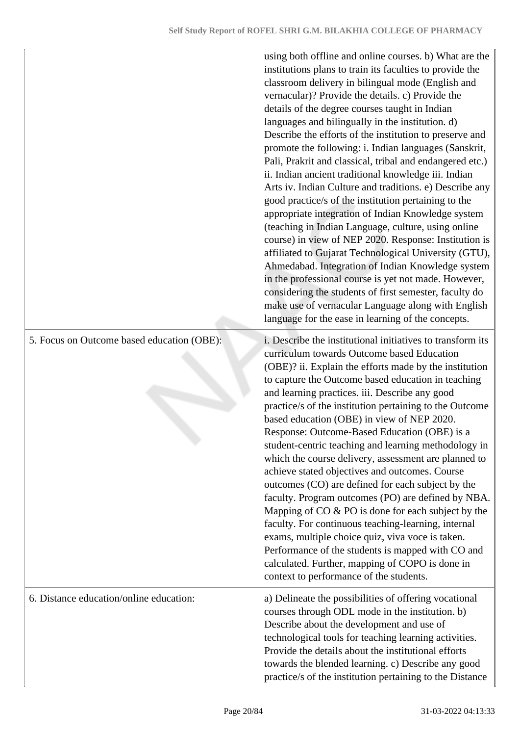|                                            | using both offline and online courses. b) What are the<br>institutions plans to train its faculties to provide the<br>classroom delivery in bilingual mode (English and<br>vernacular)? Provide the details. c) Provide the<br>details of the degree courses taught in Indian<br>languages and bilingually in the institution. d)<br>Describe the efforts of the institution to preserve and<br>promote the following: i. Indian languages (Sanskrit,<br>Pali, Prakrit and classical, tribal and endangered etc.)<br>ii. Indian ancient traditional knowledge iii. Indian<br>Arts iv. Indian Culture and traditions. e) Describe any<br>good practice/s of the institution pertaining to the<br>appropriate integration of Indian Knowledge system<br>(teaching in Indian Language, culture, using online<br>course) in view of NEP 2020. Response: Institution is<br>affiliated to Gujarat Technological University (GTU),<br>Ahmedabad. Integration of Indian Knowledge system<br>in the professional course is yet not made. However,<br>considering the students of first semester, faculty do<br>make use of vernacular Language along with English<br>language for the ease in learning of the concepts. |
|--------------------------------------------|----------------------------------------------------------------------------------------------------------------------------------------------------------------------------------------------------------------------------------------------------------------------------------------------------------------------------------------------------------------------------------------------------------------------------------------------------------------------------------------------------------------------------------------------------------------------------------------------------------------------------------------------------------------------------------------------------------------------------------------------------------------------------------------------------------------------------------------------------------------------------------------------------------------------------------------------------------------------------------------------------------------------------------------------------------------------------------------------------------------------------------------------------------------------------------------------------------------|
| 5. Focus on Outcome based education (OBE): | i. Describe the institutional initiatives to transform its<br>curriculum towards Outcome based Education<br>(OBE)? ii. Explain the efforts made by the institution<br>to capture the Outcome based education in teaching<br>and learning practices. iii. Describe any good<br>practice/s of the institution pertaining to the Outcome<br>based education (OBE) in view of NEP 2020.<br>Response: Outcome-Based Education (OBE) is a<br>student-centric teaching and learning methodology in<br>which the course delivery, assessment are planned to<br>achieve stated objectives and outcomes. Course<br>outcomes (CO) are defined for each subject by the<br>faculty. Program outcomes (PO) are defined by NBA.<br>Mapping of $CO \& PO$ is done for each subject by the<br>faculty. For continuous teaching-learning, internal<br>exams, multiple choice quiz, viva voce is taken.<br>Performance of the students is mapped with CO and<br>calculated. Further, mapping of COPO is done in<br>context to performance of the students.                                                                                                                                                                        |
| 6. Distance education/online education:    | a) Delineate the possibilities of offering vocational<br>courses through ODL mode in the institution. b)<br>Describe about the development and use of<br>technological tools for teaching learning activities.<br>Provide the details about the institutional efforts<br>towards the blended learning. c) Describe any good<br>practice/s of the institution pertaining to the Distance                                                                                                                                                                                                                                                                                                                                                                                                                                                                                                                                                                                                                                                                                                                                                                                                                        |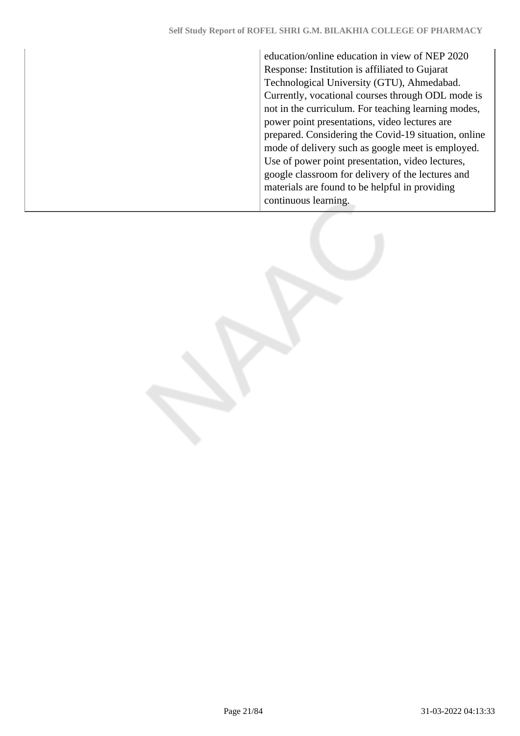education/online education in view of NEP 2020 Response: Institution is affiliated to Gujarat Technological University (GTU), Ahmedabad. Currently, vocational courses through ODL mode is not in the curriculum. For teaching learning modes, power point presentations, video lectures are prepared. Considering the Covid-19 situation, online mode of delivery such as google meet is employed. Use of power point presentation, video lectures, google classroom for delivery of the lectures and materials are found to be helpful in providing continuous learning.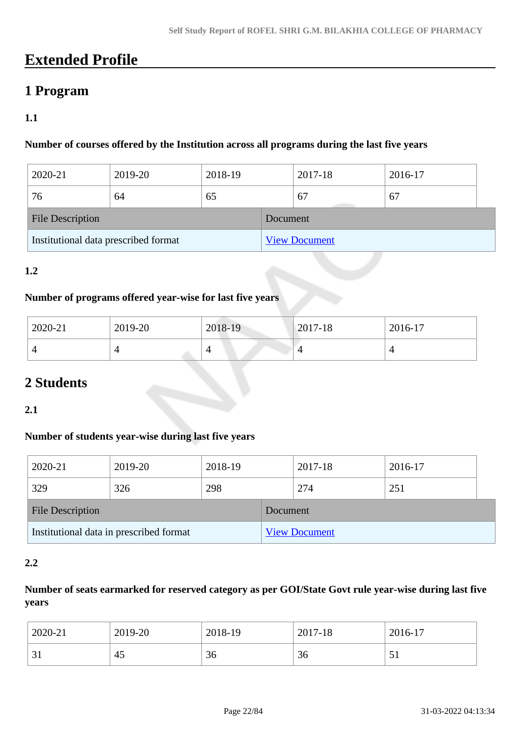# **Extended Profile**

## **1 Program**

## **1.1**

## **Number of courses offered by the Institution across all programs during the last five years**

| 2020-21                              | 2019-20 | 2018-19  |                      | 2017-18 | 2016-17 |  |
|--------------------------------------|---------|----------|----------------------|---------|---------|--|
| 76                                   | 64      | 65       |                      | 67      | 67      |  |
| <b>File Description</b>              |         | Document |                      |         |         |  |
| Institutional data prescribed format |         |          | <b>View Document</b> |         |         |  |

## **1.2**

#### **Number of programs offered year-wise for last five years**

| 2020-21 | 2019-20 | 2018-19 | $ 2017 - 18 $ | 2016-17 |
|---------|---------|---------|---------------|---------|
|         |         |         |               |         |

# **2 Students**

**2.1**

## **Number of students year-wise during last five years**

| 2020-21                                 | 2019-20 | 2018-19  |                      | 2017-18 | 2016-17 |
|-----------------------------------------|---------|----------|----------------------|---------|---------|
| 329                                     | 326     | 298      |                      | 274     | 251     |
| <b>File Description</b>                 |         | Document |                      |         |         |
| Institutional data in prescribed format |         |          | <b>View Document</b> |         |         |

#### **2.2**

## **Number of seats earmarked for reserved category as per GOI/State Govt rule year-wise during last five years**

| 2020-21 | 2019-20 | 2018-19 | 2017-18 | 2016-17 |
|---------|---------|---------|---------|---------|
| ◡▴      | 45      | 36      | 36      | -<br>◡▴ |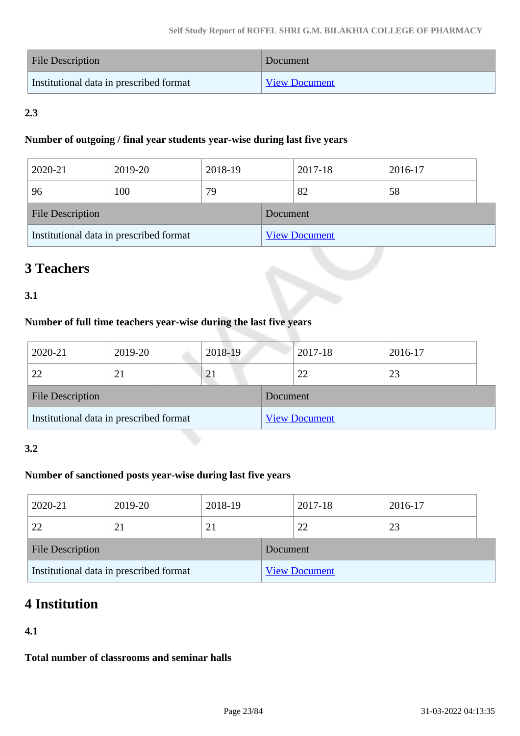| <b>File Description</b>                 | Document             |
|-----------------------------------------|----------------------|
| Institutional data in prescribed format | <b>View Document</b> |

## **2.3**

## **Number of outgoing / final year students year-wise during last five years**

| 2020-21                                 | 2019-20 | 2018-19  |                      | 2017-18 | 2016-17 |  |
|-----------------------------------------|---------|----------|----------------------|---------|---------|--|
| 96                                      | 100     | 79       |                      | 82      | 58      |  |
| <b>File Description</b>                 |         | Document |                      |         |         |  |
| Institutional data in prescribed format |         |          | <b>View Document</b> |         |         |  |

# **3 Teachers**

## **3.1**

## **Number of full time teachers year-wise during the last five years**

| 2020-21                                 | 2019-20 | 2018-19  |                      | 2017-18 | 2016-17 |
|-----------------------------------------|---------|----------|----------------------|---------|---------|
| 22                                      | 21      | 21       |                      | 22      | 23      |
| <b>File Description</b>                 |         | Document |                      |         |         |
| Institutional data in prescribed format |         |          | <b>View Document</b> |         |         |

## **3.2**

## **Number of sanctioned posts year-wise during last five years**

| 2020-21                                 | 2019-20 | 2018-19  |                      | 2017-18 | 2016-17 |  |
|-----------------------------------------|---------|----------|----------------------|---------|---------|--|
| 22                                      | 21      | 21       |                      | 22      | 23      |  |
| <b>File Description</b>                 |         | Document |                      |         |         |  |
| Institutional data in prescribed format |         |          | <b>View Document</b> |         |         |  |

# **4 Institution**

## **4.1**

**Total number of classrooms and seminar halls**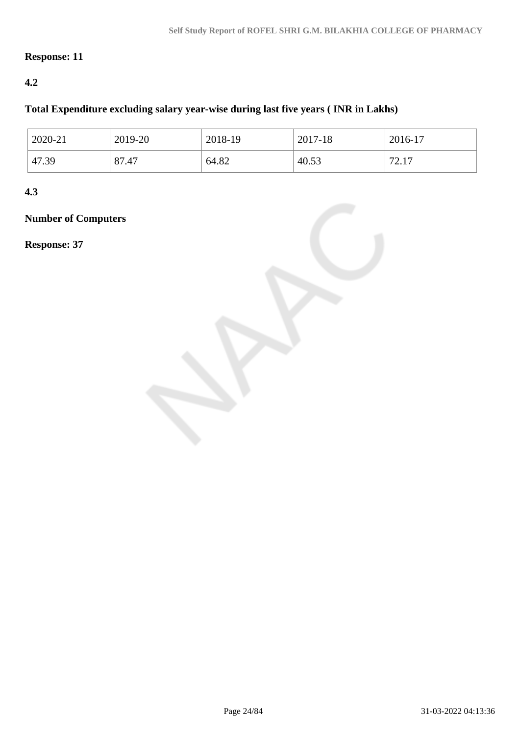## **Response: 11**

## **4.2**

## **Total Expenditure excluding salary year-wise during last five years ( INR in Lakhs)**

| 2020-21 | 2019-20 | 2018-19 | 2017-18 | $2016-17$                                      |
|---------|---------|---------|---------|------------------------------------------------|
| 47.39   | 87.47   | 64.82   | 40.53   | 17<br>70<br>$\sim$ $\sim$ $\sim$ $\sim$ $\sim$ |

**4.3**

**Number of Computers**

**Response: 37**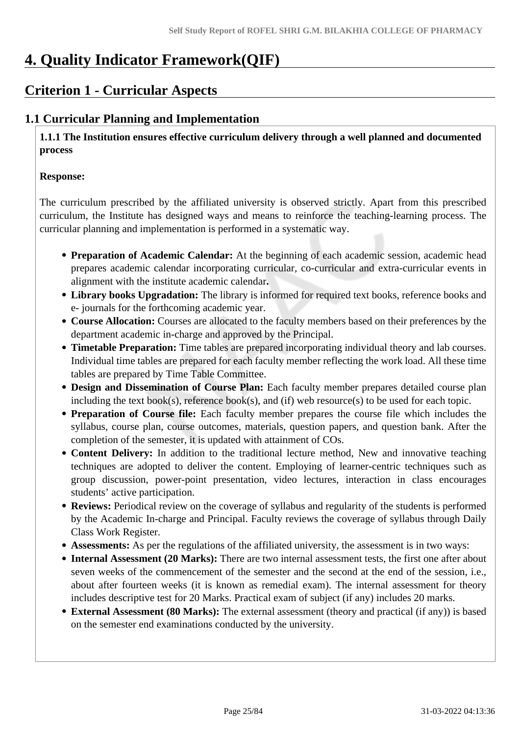# **4. Quality Indicator Framework(QIF)**

# **Criterion 1 - Curricular Aspects**

## **1.1 Curricular Planning and Implementation**

 **1.1.1 The Institution ensures effective curriculum delivery through a well planned and documented process**

## **Response:**

The curriculum prescribed by the affiliated university is observed strictly. Apart from this prescribed curriculum, the Institute has designed ways and means to reinforce the teaching-learning process. The curricular planning and implementation is performed in a systematic way.

- **Preparation of Academic Calendar:** At the beginning of each academic session, academic head prepares academic calendar incorporating curricular, co-curricular and extra-curricular events in alignment with the institute academic calendar**.**
- **Library books Upgradation:** The library is informed for required text books, reference books and e- journals for the forthcoming academic year.
- **Course Allocation:** Courses are allocated to the faculty members based on their preferences by the department academic in-charge and approved by the Principal.
- **Timetable Preparation:** Time tables are prepared incorporating individual theory and lab courses. Individual time tables are prepared for each faculty member reflecting the work load. All these time tables are prepared by Time Table Committee.
- **Design and Dissemination of Course Plan:** Each faculty member prepares detailed course plan including the text book(s), reference book(s), and (if) web resource(s) to be used for each topic.
- **Preparation of Course file:** Each faculty member prepares the course file which includes the syllabus, course plan, course outcomes, materials, question papers, and question bank. After the completion of the semester, it is updated with attainment of COs.
- **Content Delivery:** In addition to the traditional lecture method, New and innovative teaching techniques are adopted to deliver the content. Employing of learner-centric techniques such as group discussion, power-point presentation, video lectures, interaction in class encourages students' active participation.
- **Reviews:** Periodical review on the coverage of syllabus and regularity of the students is performed by the Academic In-charge and Principal. Faculty reviews the coverage of syllabus through Daily Class Work Register.
- **Assessments:** As per the regulations of the affiliated university, the assessment is in two ways:
- **Internal Assessment (20 Marks):** There are two internal assessment tests, the first one after about seven weeks of the commencement of the semester and the second at the end of the session, i.e., about after fourteen weeks (it is known as remedial exam). The internal assessment for theory includes descriptive test for 20 Marks. Practical exam of subject (if any) includes 20 marks.
- **External Assessment (80 Marks):** The external assessment (theory and practical (if any)) is based on the semester end examinations conducted by the university.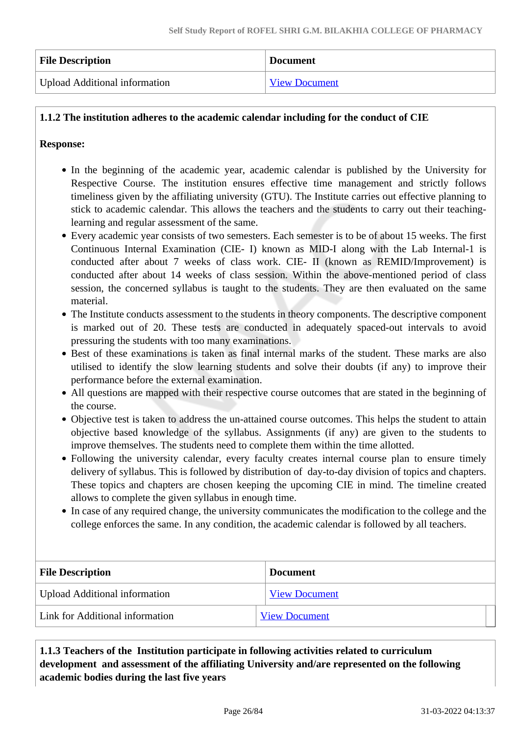| <b>File Description</b>              | <b>Document</b>      |
|--------------------------------------|----------------------|
| <b>Upload Additional information</b> | <b>View Document</b> |

## **1.1.2 The institution adheres to the academic calendar including for the conduct of CIE**

#### **Response:**

- In the beginning of the academic year, academic calendar is published by the University for Respective Course. The institution ensures effective time management and strictly follows timeliness given by the affiliating university (GTU). The Institute carries out effective planning to stick to academic calendar. This allows the teachers and the students to carry out their teachinglearning and regular assessment of the same.
- Every academic year consists of two semesters. Each semester is to be of about 15 weeks. The first Continuous Internal Examination (CIE- I) known as MID-I along with the Lab Internal-1 is conducted after about 7 weeks of class work. CIE- II (known as REMID/Improvement) is conducted after about 14 weeks of class session. Within the above-mentioned period of class session, the concerned syllabus is taught to the students. They are then evaluated on the same material.
- The Institute conducts assessment to the students in theory components. The descriptive component is marked out of 20. These tests are conducted in adequately spaced-out intervals to avoid pressuring the students with too many examinations.
- Best of these examinations is taken as final internal marks of the student. These marks are also utilised to identify the slow learning students and solve their doubts (if any) to improve their performance before the external examination.
- All questions are mapped with their respective course outcomes that are stated in the beginning of the course.
- Objective test is taken to address the un-attained course outcomes. This helps the student to attain objective based knowledge of the syllabus. Assignments (if any) are given to the students to improve themselves. The students need to complete them within the time allotted.
- Following the university calendar, every faculty creates internal course plan to ensure timely delivery of syllabus. This is followed by distribution of day-to-day division of topics and chapters. These topics and chapters are chosen keeping the upcoming CIE in mind. The timeline created allows to complete the given syllabus in enough time.
- In case of any required change, the university communicates the modification to the college and the college enforces the same. In any condition, the academic calendar is followed by all teachers.

| <b>File Description</b>              | <b>Document</b>      |
|--------------------------------------|----------------------|
| <b>Upload Additional information</b> | <b>View Document</b> |
| Link for Additional information      | <b>View Document</b> |

## **1.1.3 Teachers of the Institution participate in following activities related to curriculum development and assessment of the affiliating University and/are represented on the following academic bodies during the last five years**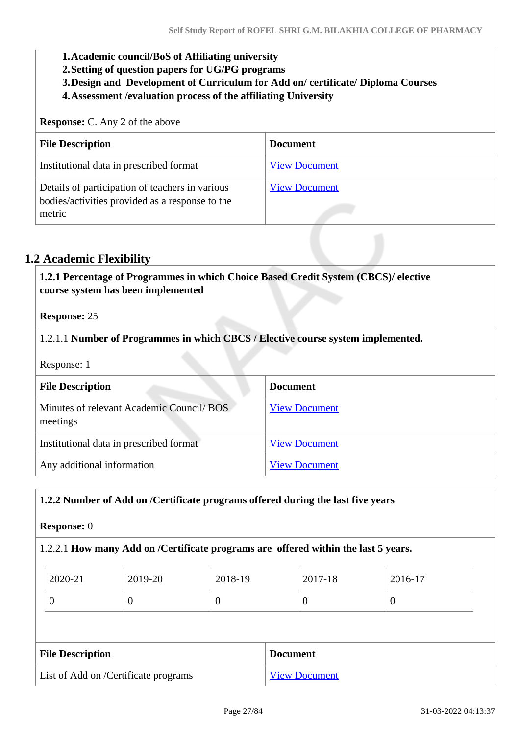- **1.Academic council/BoS of Affiliating university**
- **2.Setting of question papers for UG/PG programs**
- **3.Design and Development of Curriculum for Add on/ certificate/ Diploma Courses**
- **4.Assessment /evaluation process of the affiliating University**

**Response:** C. Any 2 of the above

| <b>File Description</b>                                                                                      | <b>Document</b>      |
|--------------------------------------------------------------------------------------------------------------|----------------------|
| Institutional data in prescribed format                                                                      | <b>View Document</b> |
| Details of participation of teachers in various<br>bodies/activities provided as a response to the<br>metric | <b>View Document</b> |

## **1.2 Academic Flexibility**

 **1.2.1 Percentage of Programmes in which Choice Based Credit System (CBCS)/ elective course system has been implemented** 

#### **Response:** 25

1.2.1.1 **Number of Programmes in which CBCS / Elective course system implemented.**

Response: 1

| <b>File Description</b>                              | <b>Document</b>      |
|------------------------------------------------------|----------------------|
| Minutes of relevant Academic Council/BOS<br>meetings | <b>View Document</b> |
| Institutional data in prescribed format              | <b>View Document</b> |
| Any additional information                           | <b>View Document</b> |

#### **1.2.2 Number of Add on /Certificate programs offered during the last five years**

**Response:** 0

#### 1.2.2.1 **How many Add on /Certificate programs are offered within the last 5 years.**

| $^{+}$ 2020-21 | 2019-20 | 2018-19 | $12017 - 18$ | 2016-17 |
|----------------|---------|---------|--------------|---------|
|                | ν       |         | U            | ν       |

| <b>File Description</b>              | <b>Document</b>      |
|--------------------------------------|----------------------|
| List of Add on /Certificate programs | <b>View Document</b> |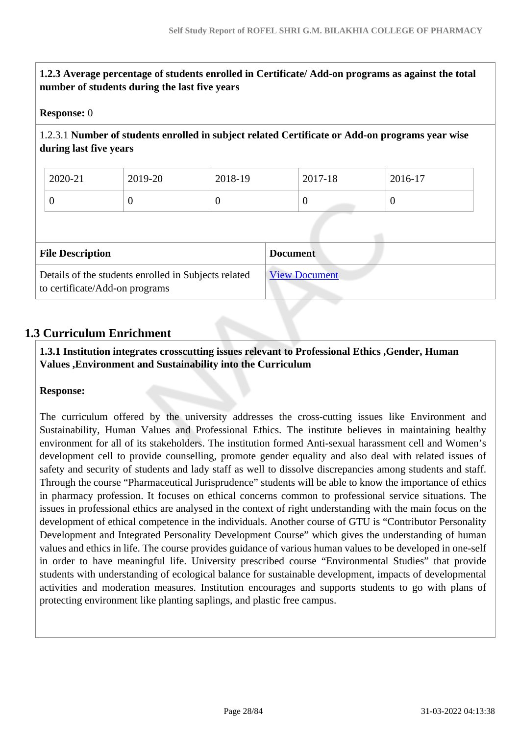**1.2.3 Average percentage of students enrolled in Certificate/ Add-on programs as against the total number of students during the last five years**

#### **Response:** 0

## 1.2.3.1 **Number of students enrolled in subject related Certificate or Add-on programs year wise during last five years**

| 2020-21 | 2019-20 | 2018-19 | 2017-18 | 2016-17 |
|---------|---------|---------|---------|---------|
| ν       |         |         | U       | ∿       |

| <b>File Description</b>                                                                | <b>Document</b>      |
|----------------------------------------------------------------------------------------|----------------------|
| Details of the students enrolled in Subjects related<br>to certificate/Add-on programs | <b>View Document</b> |

## **1.3 Curriculum Enrichment**

 **1.3.1 Institution integrates crosscutting issues relevant to Professional Ethics ,Gender, Human Values ,Environment and Sustainability into the Curriculum**

#### **Response:**

The curriculum offered by the university addresses the cross-cutting issues like Environment and Sustainability, Human Values and Professional Ethics. The institute believes in maintaining healthy environment for all of its stakeholders. The institution formed Anti-sexual harassment cell and Women's development cell to provide counselling, promote gender equality and also deal with related issues of safety and security of students and lady staff as well to dissolve discrepancies among students and staff. Through the course "Pharmaceutical Jurisprudence" students will be able to know the importance of ethics in pharmacy profession. It focuses on ethical concerns common to professional service situations. The issues in professional ethics are analysed in the context of right understanding with the main focus on the development of ethical competence in the individuals. Another course of GTU is "Contributor Personality Development and Integrated Personality Development Course" which gives the understanding of human values and ethics in life. The course provides guidance of various human values to be developed in one-self in order to have meaningful life. University prescribed course "Environmental Studies" that provide students with understanding of ecological balance for sustainable development, impacts of developmental activities and moderation measures. Institution encourages and supports students to go with plans of protecting environment like planting saplings, and plastic free campus.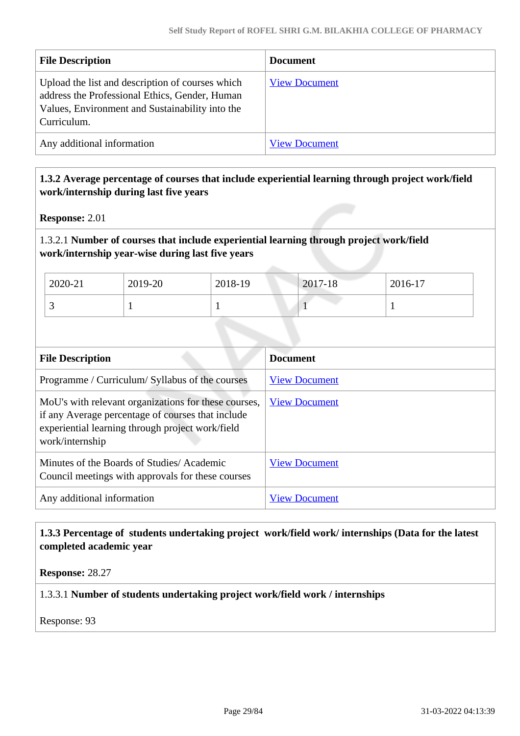| <b>File Description</b>                                                                                                                                              | <b>Document</b>      |
|----------------------------------------------------------------------------------------------------------------------------------------------------------------------|----------------------|
| Upload the list and description of courses which<br>address the Professional Ethics, Gender, Human<br>Values, Environment and Sustainability into the<br>Curriculum. | <b>View Document</b> |
| Any additional information                                                                                                                                           | <b>View Document</b> |

## **1.3.2 Average percentage of courses that include experiential learning through project work/field work/internship during last five years**

**Response:** 2.01

## 1.3.2.1 **Number of courses that include experiential learning through project work/field work/internship year-wise during last five years**

| 2020-21  | 2019-20 | 2018-19 | 2017-18 | 2016-17  |
|----------|---------|---------|---------|----------|
| <u>ب</u> |         |         |         | <b>.</b> |

| <b>File Description</b>                                                                                                                                                          | <b>Document</b>      |
|----------------------------------------------------------------------------------------------------------------------------------------------------------------------------------|----------------------|
| Programme / Curriculum/ Syllabus of the courses                                                                                                                                  | <b>View Document</b> |
| MoU's with relevant organizations for these courses,<br>if any Average percentage of courses that include<br>experiential learning through project work/field<br>work/internship | <b>View Document</b> |
| Minutes of the Boards of Studies/Academic<br>Council meetings with approvals for these courses                                                                                   | <b>View Document</b> |
| Any additional information                                                                                                                                                       | <b>View Document</b> |

## **1.3.3 Percentage of students undertaking project work/field work/ internships (Data for the latest completed academic year**

**Response:** 28.27

#### 1.3.3.1 **Number of students undertaking project work/field work / internships**

Response: 93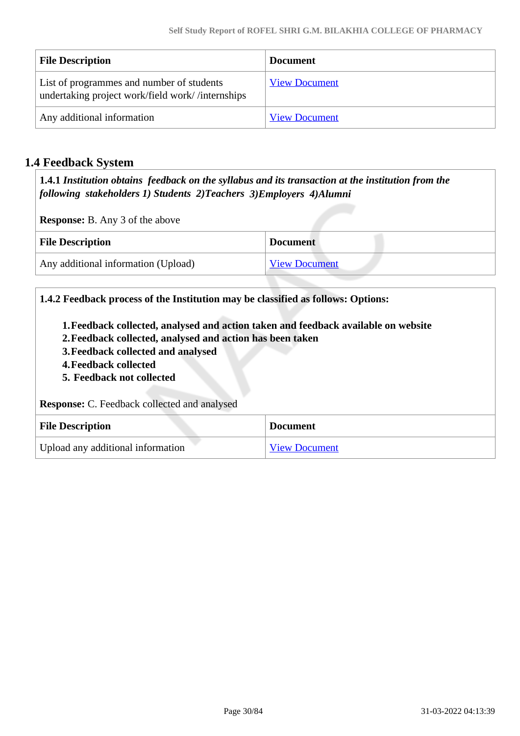| <b>File Description</b>                                                                       | <b>Document</b>      |
|-----------------------------------------------------------------------------------------------|----------------------|
| List of programmes and number of students<br>undertaking project work/field work//internships | <b>View Document</b> |
| Any additional information                                                                    | <b>View Document</b> |

## **1.4 Feedback System**

 **1.4.1** *Institution obtains feedback on the syllabus and its transaction at the institution from the following stakeholders 1) Students 2)Teachers 3)Employers 4)Alumni* 

**Response:** B. Any 3 of the above

| <b>File Description</b>             | <b>Document</b>      |
|-------------------------------------|----------------------|
| Any additional information (Upload) | <b>View Document</b> |

## **1.4.2 Feedback process of the Institution may be classified as follows: Options:**

**1.Feedback collected, analysed and action taken and feedback available on website**

- **2.Feedback collected, analysed and action has been taken**
- **3.Feedback collected and analysed**
- **4.Feedback collected**
- **5. Feedback not collected**

**Response:** C. Feedback collected and analysed

| <b>File Description</b>           | <b>Document</b>      |
|-----------------------------------|----------------------|
| Upload any additional information | <b>View Document</b> |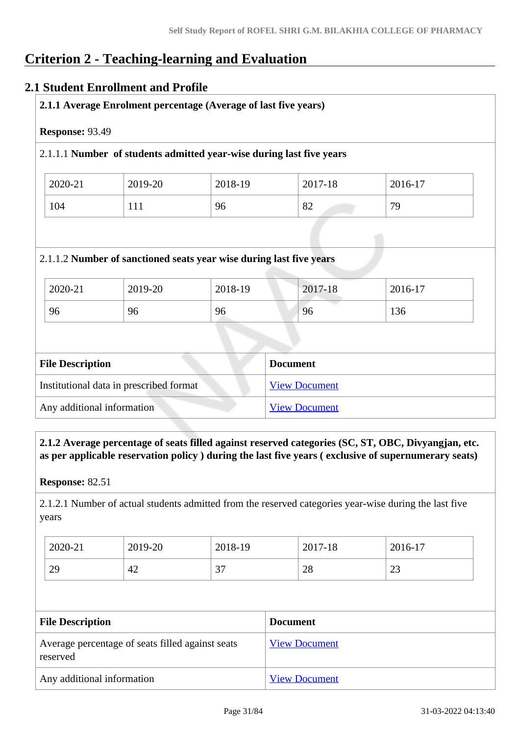# **Criterion 2 - Teaching-learning and Evaluation**

## **2.1 Student Enrollment and Profile**

| Response: 93.49         |         |                                                                      |                 |         |
|-------------------------|---------|----------------------------------------------------------------------|-----------------|---------|
|                         |         | 2.1.1.1 Number of students admitted year-wise during last five years |                 |         |
| 2020-21                 | 2019-20 | 2018-19                                                              | 2017-18         | 2016-17 |
| 104                     | 111     | 96                                                                   | 82              | 79      |
|                         |         | 2.1.1.2 Number of sanctioned seats year wise during last five years  |                 |         |
| 2020-21                 | 2019-20 | 2018-19                                                              | 2017-18         | 2016-17 |
| 96                      | 96      | 96                                                                   | 96              | 136     |
|                         |         |                                                                      |                 |         |
| <b>File Description</b> |         |                                                                      | <b>Document</b> |         |
|                         |         |                                                                      |                 |         |

 **2.1.2 Average percentage of seats filled against reserved categories (SC, ST, OBC, Divyangjan, etc. as per applicable reservation policy ) during the last five years ( exclusive of supernumerary seats)**

**Response:** 82.51

2.1.2.1 Number of actual students admitted from the reserved categories year-wise during the last five years

| 2020-21 | 2019-20 | 2018-19         | 2017-18 | 2016-17        |
|---------|---------|-----------------|---------|----------------|
| 29      | 42      | $\gamma$<br>، ب | 28      | $\Omega$<br>رے |

| <b>File Description</b>                                      | <b>Document</b>      |
|--------------------------------------------------------------|----------------------|
| Average percentage of seats filled against seats<br>reserved | <b>View Document</b> |
| Any additional information                                   | <b>View Document</b> |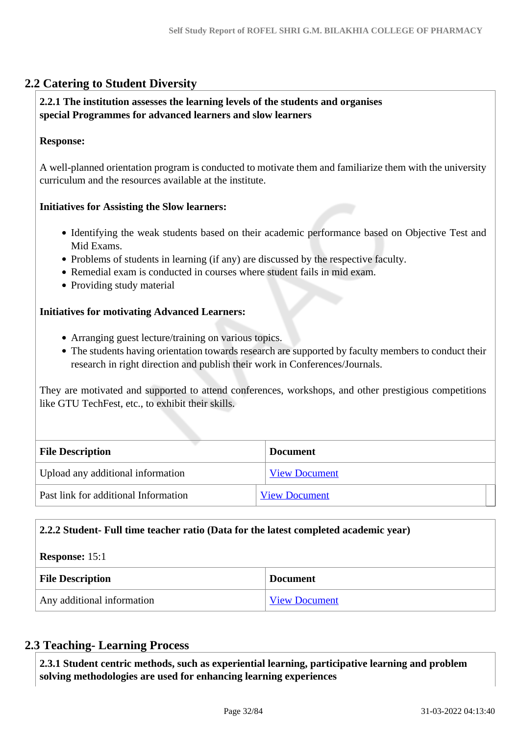## **2.2 Catering to Student Diversity**

#### **2.2.1 The institution assesses the learning levels of the students and organises special Programmes for advanced learners and slow learners**

#### **Response:**

A well-planned orientation program is conducted to motivate them and familiarize them with the university curriculum and the resources available at the institute.

#### **Initiatives for Assisting the Slow learners:**

- Identifying the weak students based on their academic performance based on Objective Test and Mid Exams.
- Problems of students in learning (if any) are discussed by the respective faculty.
- Remedial exam is conducted in courses where student fails in mid exam.
- Providing study material

#### **Initiatives for motivating Advanced Learners:**

- Arranging guest lecture/training on various topics.
- The students having orientation towards research are supported by faculty members to conduct their research in right direction and publish their work in Conferences/Journals.

They are motivated and supported to attend conferences, workshops, and other prestigious competitions like GTU TechFest, etc., to exhibit their skills.

| <b>File Description</b>              | <b>Document</b>      |
|--------------------------------------|----------------------|
| Upload any additional information    | <b>View Document</b> |
| Past link for additional Information | <b>View Document</b> |

#### **2.2.2 Student- Full time teacher ratio (Data for the latest completed academic year)**

#### **Response:** 15:1

| <b>File Description</b>    | <sup>'</sup> Document |
|----------------------------|-----------------------|
| Any additional information | <b>View Document</b>  |

## **2.3 Teaching- Learning Process**

 **2.3.1 Student centric methods, such as experiential learning, participative learning and problem solving methodologies are used for enhancing learning experiences**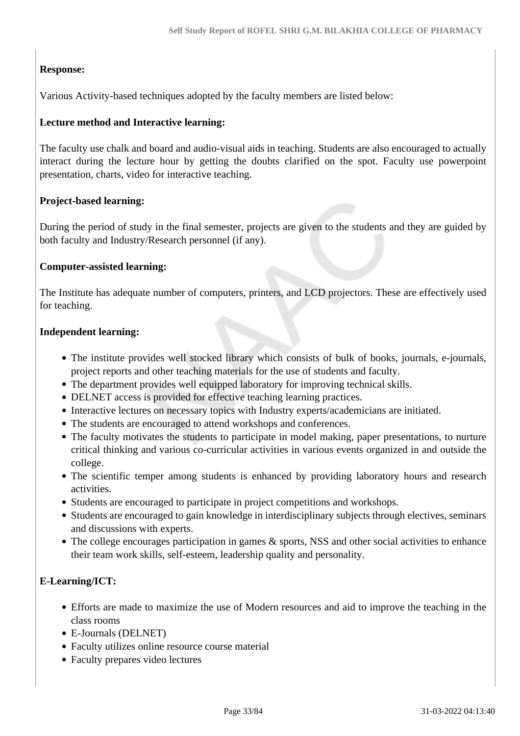## **Response:**

Various Activity-based techniques adopted by the faculty members are listed below:

#### **Lecture method and Interactive learning:**

The faculty use chalk and board and audio-visual aids in teaching. Students are also encouraged to actually interact during the lecture hour by getting the doubts clarified on the spot. Faculty use powerpoint presentation, charts, video for interactive teaching.

## **Project-based learning:**

During the period of study in the final semester, projects are given to the students and they are guided by both faculty and Industry/Research personnel (if any).

## **Computer-assisted learning:**

The Institute has adequate number of computers, printers, and LCD projectors. These are effectively used for teaching.

#### **Independent learning:**

- The institute provides well stocked library which consists of bulk of books, journals, e-journals, project reports and other teaching materials for the use of students and faculty.
- The department provides well equipped laboratory for improving technical skills.
- DELNET access is provided for effective teaching learning practices.
- Interactive lectures on necessary topics with Industry experts/academicians are initiated.
- The students are encouraged to attend workshops and conferences.
- The faculty motivates the students to participate in model making, paper presentations, to nurture critical thinking and various co-curricular activities in various events organized in and outside the college.
- The scientific temper among students is enhanced by providing laboratory hours and research activities.
- Students are encouraged to participate in project competitions and workshops.
- Students are encouraged to gain knowledge in interdisciplinary subjects through electives, seminars and discussions with experts.
- The college encourages participation in games & sports, NSS and other social activities to enhance their team work skills, self-esteem, leadership quality and personality.

## **E-Learning/ICT:**

- Efforts are made to maximize the use of Modern resources and aid to improve the teaching in the class rooms
- E-Journals (DELNET)
- Faculty utilizes online resource course material
- Faculty prepares video lectures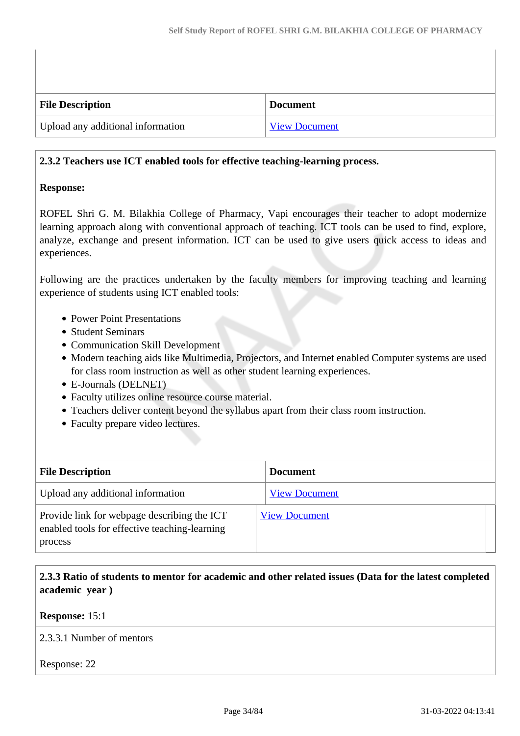| <b>File Description</b>           | <b>Document</b>      |
|-----------------------------------|----------------------|
| Upload any additional information | <b>View Document</b> |

#### **2.3.2 Teachers use ICT enabled tools for effective teaching-learning process.**

#### **Response:**

ROFEL Shri G. M. Bilakhia College of Pharmacy, Vapi encourages their teacher to adopt modernize learning approach along with conventional approach of teaching. ICT tools can be used to find, explore, analyze, exchange and present information. ICT can be used to give users quick access to ideas and experiences.

Following are the practices undertaken by the faculty members for improving teaching and learning experience of students using ICT enabled tools:

- Power Point Presentations
- Student Seminars
- Communication Skill Development
- Modern teaching aids like Multimedia, Projectors, and Internet enabled Computer systems are used for class room instruction as well as other student learning experiences.
- E-Journals (DELNET)
- Faculty utilizes online resource course material.
- Teachers deliver content beyond the syllabus apart from their class room instruction.
- Faculty prepare video lectures.

| <b>File Description</b>                                                                                 | <b>Document</b>      |
|---------------------------------------------------------------------------------------------------------|----------------------|
| Upload any additional information                                                                       | <b>View Document</b> |
| Provide link for webpage describing the ICT<br>enabled tools for effective teaching-learning<br>process | <b>View Document</b> |

## **2.3.3 Ratio of students to mentor for academic and other related issues (Data for the latest completed academic year )**

#### **Response:** 15:1

2.3.3.1 Number of mentors

#### Response: 22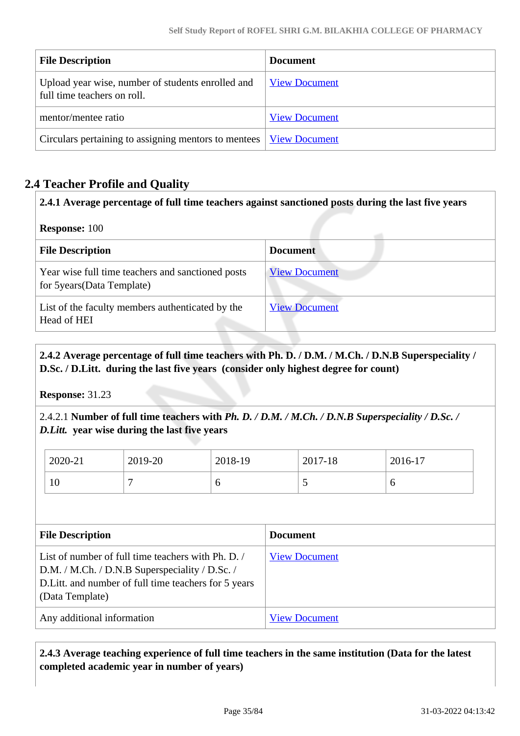| <b>File Description</b>                                                          | <b>Document</b>      |
|----------------------------------------------------------------------------------|----------------------|
| Upload year wise, number of students enrolled and<br>full time teachers on roll. | <b>View Document</b> |
| mentor/mentee ratio                                                              | <b>View Document</b> |
| Circulars pertaining to assigning mentors to mentees   <u>View Document</u>      |                      |

## **2.4 Teacher Profile and Quality**

## **2.4.1 Average percentage of full time teachers against sanctioned posts during the last five years**

#### **Response:** 100

| <b>File Description</b>                                                          | <b>Document</b>      |
|----------------------------------------------------------------------------------|----------------------|
| Year wise full time teachers and sanctioned posts<br>for 5 years (Data Template) | <b>View Document</b> |
| List of the faculty members authenticated by the<br>Head of HEI                  | <b>View Document</b> |

## **2.4.2 Average percentage of full time teachers with Ph. D. / D.M. / M.Ch. / D.N.B Superspeciality / D.Sc. / D.Litt. during the last five years (consider only highest degree for count)**

**Response:** 31.23

2.4.2.1 **Number of full time teachers with** *Ph. D. / D.M. / M.Ch. / D.N.B Superspeciality / D.Sc. / D.Litt.* **year wise during the last five years**

| 2020-21 | 2019-20 | 2018-19 | 2017-18                  | 2016-17 |
|---------|---------|---------|--------------------------|---------|
| 10      |         | ◡       | $\overline{\phantom{0}}$ | v       |

| <b>File Description</b>                                                                                                                                                          | <b>Document</b>      |
|----------------------------------------------------------------------------------------------------------------------------------------------------------------------------------|----------------------|
| List of number of full time teachers with Ph. D. /<br>D.M. / M.Ch. / D.N.B Superspeciality / D.Sc. /<br>D. Litt. and number of full time teachers for 5 years<br>(Data Template) | <b>View Document</b> |
| Any additional information                                                                                                                                                       | <b>View Document</b> |

## **2.4.3 Average teaching experience of full time teachers in the same institution (Data for the latest completed academic year in number of years)**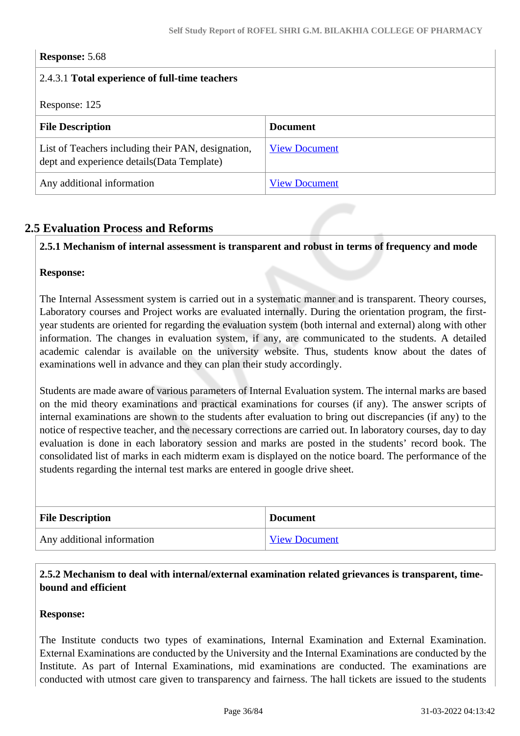#### **Response:** 5.68

# 2.4.3.1 **Total experience of full-time teachers** Response: 125 **File Description Document** List of Teachers including their PAN, designation, dept and experience details(Data Template) [View Document](https://assessmentonline.naac.gov.in/storage/app/hei/SSR/111578/2.4.3_1648027603_7923.xlsx) Any additional information  $\sqrt{\frac{V_{\text{new}}}{V_{\text{new}}}}$

## **2.5 Evaluation Process and Reforms**

## **2.5.1 Mechanism of internal assessment is transparent and robust in terms of frequency and mode**

#### **Response:**

The Internal Assessment system is carried out in a systematic manner and is transparent. Theory courses, Laboratory courses and Project works are evaluated internally. During the orientation program, the firstyear students are oriented for regarding the evaluation system (both internal and external) along with other information. The changes in evaluation system, if any, are communicated to the students. A detailed academic calendar is available on the university website. Thus, students know about the dates of examinations well in advance and they can plan their study accordingly.

Students are made aware of various parameters of Internal Evaluation system. The internal marks are based on the mid theory examinations and practical examinations for courses (if any). The answer scripts of internal examinations are shown to the students after evaluation to bring out discrepancies (if any) to the notice of respective teacher, and the necessary corrections are carried out. In laboratory courses, day to day evaluation is done in each laboratory session and marks are posted in the students' record book. The consolidated list of marks in each midterm exam is displayed on the notice board. The performance of the students regarding the internal test marks are entered in google drive sheet.

| <b>File Description</b>    | <b>Document</b>      |
|----------------------------|----------------------|
| Any additional information | <b>View Document</b> |

## **2.5.2 Mechanism to deal with internal/external examination related grievances is transparent, timebound and efficient**

#### **Response:**

The Institute conducts two types of examinations, Internal Examination and External Examination. External Examinations are conducted by the University and the Internal Examinations are conducted by the Institute. As part of Internal Examinations, mid examinations are conducted. The examinations are conducted with utmost care given to transparency and fairness. The hall tickets are issued to the students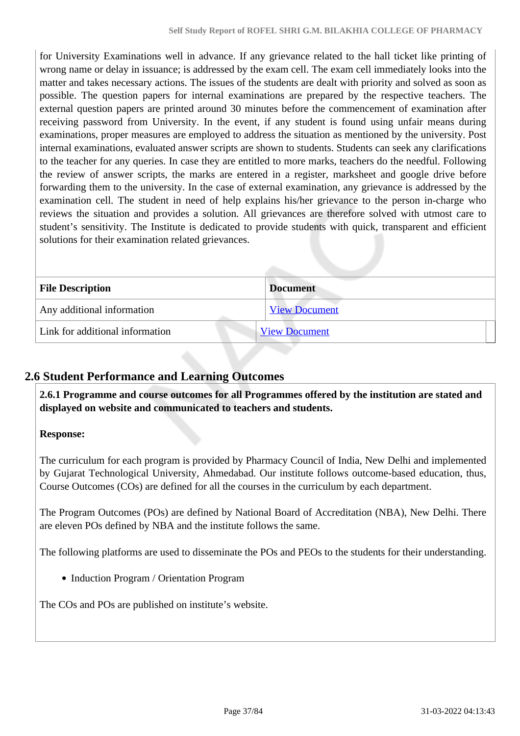for University Examinations well in advance. If any grievance related to the hall ticket like printing of wrong name or delay in issuance; is addressed by the exam cell. The exam cell immediately looks into the matter and takes necessary actions. The issues of the students are dealt with priority and solved as soon as possible. The question papers for internal examinations are prepared by the respective teachers. The external question papers are printed around 30 minutes before the commencement of examination after receiving password from University. In the event, if any student is found using unfair means during examinations, proper measures are employed to address the situation as mentioned by the university. Post internal examinations, evaluated answer scripts are shown to students. Students can seek any clarifications to the teacher for any queries. In case they are entitled to more marks, teachers do the needful. Following the review of answer scripts, the marks are entered in a register, marksheet and google drive before forwarding them to the university. In the case of external examination, any grievance is addressed by the examination cell. The student in need of help explains his/her grievance to the person in-charge who reviews the situation and provides a solution. All grievances are therefore solved with utmost care to student's sensitivity. The Institute is dedicated to provide students with quick, transparent and efficient solutions for their examination related grievances.

| <b>File Description</b>         | <b>Document</b>      |  |
|---------------------------------|----------------------|--|
| Any additional information      | <b>View Document</b> |  |
| Link for additional information | <b>View Document</b> |  |

# **2.6 Student Performance and Learning Outcomes**

 **2.6.1 Programme and course outcomes for all Programmes offered by the institution are stated and displayed on website and communicated to teachers and students.**

## **Response:**

The curriculum for each program is provided by Pharmacy Council of India, New Delhi and implemented by Gujarat Technological University, Ahmedabad. Our institute follows outcome-based education, thus, Course Outcomes (COs) are defined for all the courses in the curriculum by each department.

The Program Outcomes (POs) are defined by National Board of Accreditation (NBA), New Delhi. There are eleven POs defined by NBA and the institute follows the same.

The following platforms are used to disseminate the POs and PEOs to the students for their understanding.

• Induction Program / Orientation Program

The COs and POs are published on institute's website.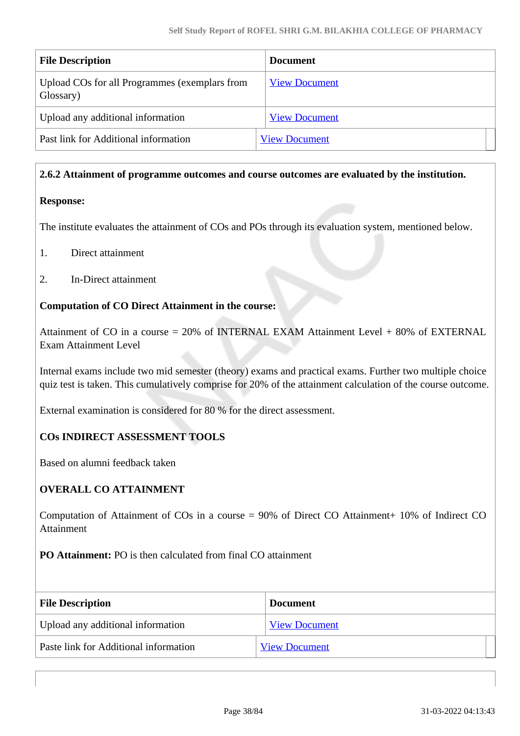| <b>File Description</b>                                    | <b>Document</b>      |
|------------------------------------------------------------|----------------------|
| Upload COs for all Programmes (exemplars from<br>Glossary) | <b>View Document</b> |
| Upload any additional information                          | <b>View Document</b> |
| Past link for Additional information                       | <b>View Document</b> |

#### **2.6.2 Attainment of programme outcomes and course outcomes are evaluated by the institution.**

#### **Response:**

The institute evaluates the attainment of COs and POs through its evaluation system, mentioned below.

- 1. Direct attainment
- 2. In-Direct attainment

#### **Computation of CO Direct Attainment in the course:**

Attainment of CO in a course =  $20\%$  of INTERNAL EXAM Attainment Level +  $80\%$  of EXTERNAL Exam Attainment Level

Internal exams include two mid semester (theory) exams and practical exams. Further two multiple choice quiz test is taken. This cumulatively comprise for 20% of the attainment calculation of the course outcome.

External examination is considered for 80 % for the direct assessment.

### **COs INDIRECT ASSESSMENT TOOLS**

Based on alumni feedback taken

### **OVERALL CO ATTAINMENT**

Computation of Attainment of COs in a course = 90% of Direct CO Attainment+ 10% of Indirect CO Attainment

**PO Attainment:** PO is then calculated from final CO attainment

| <b>File Description</b>               | <b>Document</b>      |  |
|---------------------------------------|----------------------|--|
| Upload any additional information     | <b>View Document</b> |  |
| Paste link for Additional information | <b>View Document</b> |  |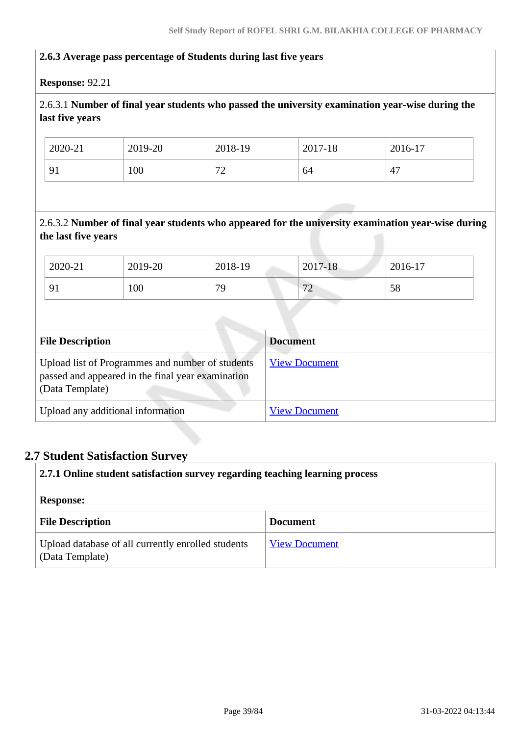## **2.6.3 Average pass percentage of Students during last five years**

## **Response:** 92.21

### 2.6.3.1 **Number of final year students who passed the university examination year-wise during the last five years**

| 2020-21        | 2019-20 | 2018-19            | 2017-18 | 2016-17 |
|----------------|---------|--------------------|---------|---------|
| Q <sub>1</sub> | 100     | $\mathcal{L}$<br>∼ | 64      | 47      |

2.6.3.2 **Number of final year students who appeared for the university examination year-wise during the last five years**

| 2020-21 | 2019-20 | 2018-19 | 2017-18           | 2016-17 |
|---------|---------|---------|-------------------|---------|
|         | 100     | 79      | $\mathbf{z}$<br>∠ | 58      |

| <b>File Description</b>                                                                                                  | <b>Document</b>      |
|--------------------------------------------------------------------------------------------------------------------------|----------------------|
| Upload list of Programmes and number of students<br>passed and appeared in the final year examination<br>(Data Template) | <b>View Document</b> |
| Upload any additional information                                                                                        | <b>View Document</b> |

# **2.7 Student Satisfaction Survey**

| 2.7.1 Online student satisfaction survey regarding teaching learning process |                      |  |  |  |  |
|------------------------------------------------------------------------------|----------------------|--|--|--|--|
| <b>Response:</b>                                                             |                      |  |  |  |  |
| <b>File Description</b>                                                      | <b>Document</b>      |  |  |  |  |
| Upload database of all currently enrolled students<br>(Data Template)        | <b>View Document</b> |  |  |  |  |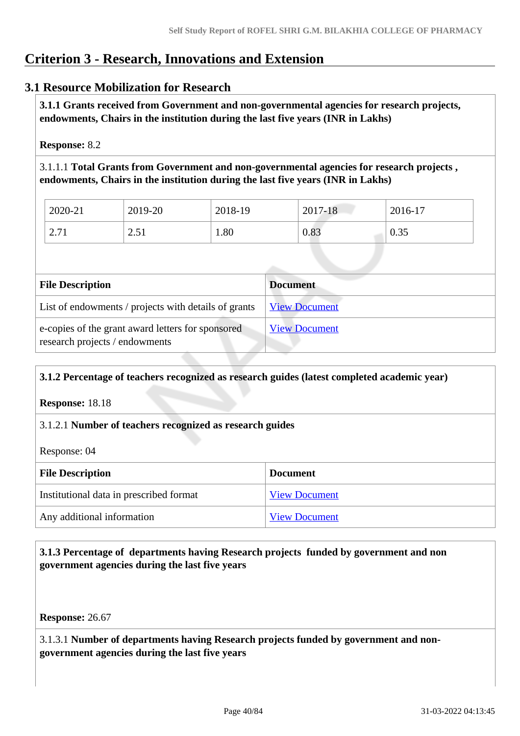# **Criterion 3 - Research, Innovations and Extension**

# **3.1 Resource Mobilization for Research**

 **3.1.1 Grants received from Government and non-governmental agencies for research projects, endowments, Chairs in the institution during the last five years (INR in Lakhs)** 

**Response:** 8.2

3.1.1.1 **Total Grants from Government and non-governmental agencies for research projects , endowments, Chairs in the institution during the last five years (INR in Lakhs)**

| 2020-21                                          | 2019-20                                   | 2018-19 | 2017-18 | 2016-17 |
|--------------------------------------------------|-------------------------------------------|---------|---------|---------|
| $\gamma$ $\tau$ 1<br>$\sim$ $\sim$ $\sim$ $\sim$ | $\gamma$ $\leq$ 1<br>$\sim$ $\sim$ $\sim$ | 1.80    | 0.83    | 0.35    |

| <b>File Description</b>                                                             | <b>Document</b>      |
|-------------------------------------------------------------------------------------|----------------------|
| List of endowments / projects with details of grants                                | <b>View Document</b> |
| e-copies of the grant award letters for sponsored<br>research projects / endowments | <b>View Document</b> |

### **3.1.2 Percentage of teachers recognized as research guides (latest completed academic year)**

**Response:** 18.18

### 3.1.2.1 **Number of teachers recognized as research guides**

Response: 04

| <b>File Description</b>                 | <b>Document</b>      |
|-----------------------------------------|----------------------|
| Institutional data in prescribed format | <b>View Document</b> |
| Any additional information              | <b>View Document</b> |

## **3.1.3 Percentage of departments having Research projects funded by government and non government agencies during the last five years**

**Response:** 26.67

3.1.3.1 **Number of departments having Research projects funded by government and nongovernment agencies during the last five years**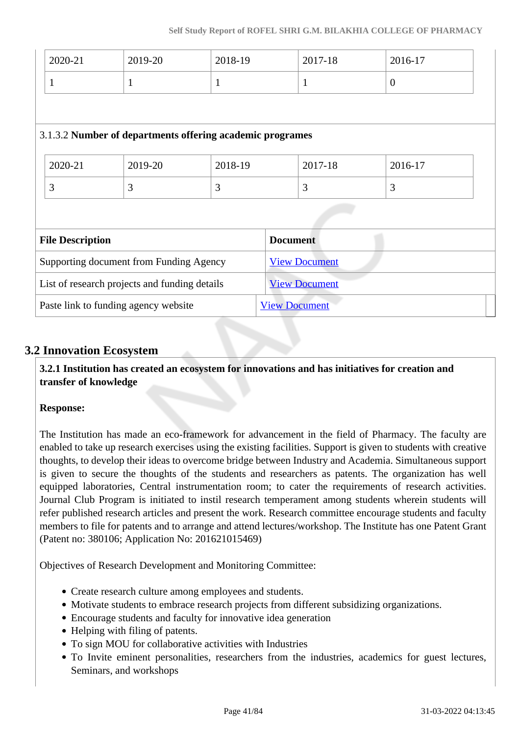| 2020-21                                       | 2019-20                                                   | 2018-19      |                      | 2017-18              | 2016-17        |  |  |
|-----------------------------------------------|-----------------------------------------------------------|--------------|----------------------|----------------------|----------------|--|--|
| $\mathbf{1}$                                  | 1                                                         | $\mathbf{1}$ |                      | $\mathbf{1}$         | $\overline{0}$ |  |  |
|                                               |                                                           |              |                      |                      |                |  |  |
|                                               | 3.1.3.2 Number of departments offering academic programes |              |                      |                      |                |  |  |
|                                               |                                                           |              |                      |                      |                |  |  |
| 2020-21                                       | 2019-20                                                   | 2018-19      |                      | 2017-18              | 2016-17        |  |  |
| 3                                             | 3                                                         | 3            |                      | 3                    | 3              |  |  |
|                                               |                                                           |              |                      |                      |                |  |  |
| <b>File Description</b>                       |                                                           |              | <b>Document</b>      |                      |                |  |  |
| Supporting document from Funding Agency       |                                                           |              | <b>View Document</b> |                      |                |  |  |
| List of research projects and funding details |                                                           |              |                      | <b>View Document</b> |                |  |  |
| Paste link to funding agency website          |                                                           |              | <b>View Document</b> |                      |                |  |  |

# **3.2 Innovation Ecosystem**

 **3.2.1 Institution has created an ecosystem for innovations and has initiatives for creation and transfer of knowledge**

### **Response:**

The Institution has made an eco-framework for advancement in the field of Pharmacy. The faculty are enabled to take up research exercises using the existing facilities. Support is given to students with creative thoughts, to develop their ideas to overcome bridge between Industry and Academia. Simultaneous support is given to secure the thoughts of the students and researchers as patents. The organization has well equipped laboratories, Central instrumentation room; to cater the requirements of research activities. Journal Club Program is initiated to instil research temperament among students wherein students will refer published research articles and present the work. Research committee encourage students and faculty members to file for patents and to arrange and attend lectures/workshop. The Institute has one Patent Grant (Patent no: 380106; Application No: 201621015469)

Objectives of Research Development and Monitoring Committee:

- Create research culture among employees and students.
- Motivate students to embrace research projects from different subsidizing organizations.
- Encourage students and faculty for innovative idea generation
- Helping with filing of patents.
- To sign MOU for collaborative activities with Industries
- To Invite eminent personalities, researchers from the industries, academics for guest lectures, Seminars, and workshops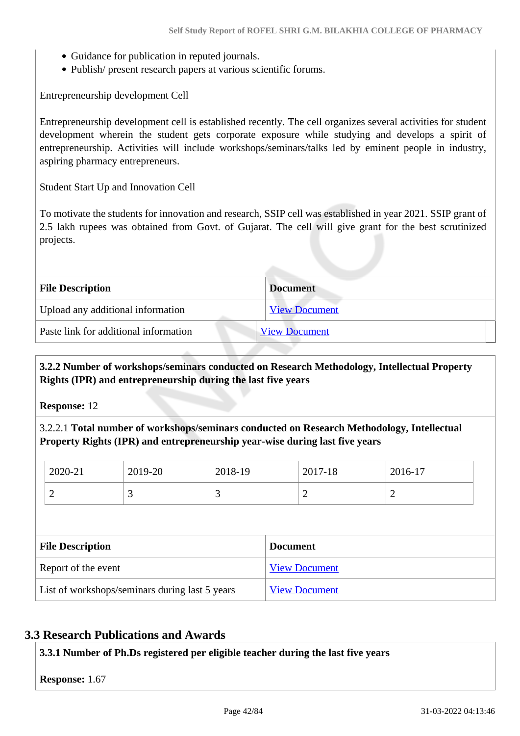- Guidance for publication in reputed journals.
- Publish/ present research papers at various scientific forums.

Entrepreneurship development Cell

Entrepreneurship development cell is established recently. The cell organizes several activities for student development wherein the student gets corporate exposure while studying and develops a spirit of entrepreneurship. Activities will include workshops/seminars/talks led by eminent people in industry, aspiring pharmacy entrepreneurs.

Student Start Up and Innovation Cell

To motivate the students for innovation and research, SSIP cell was established in year 2021. SSIP grant of 2.5 lakh rupees was obtained from Govt. of Gujarat. The cell will give grant for the best scrutinized projects.

| <b>File Description</b><br><b>Document</b>                    |  |
|---------------------------------------------------------------|--|
| Upload any additional information<br><b>View Document</b>     |  |
| Paste link for additional information<br><b>View Document</b> |  |

### **3.2.2 Number of workshops/seminars conducted on Research Methodology, Intellectual Property Rights (IPR) and entrepreneurship during the last five years**

**Response:** 12

3.2.2.1 **Total number of workshops/seminars conducted on Research Methodology, Intellectual Property Rights (IPR) and entrepreneurship year-wise during last five years** 

| 2020-21 | 2019-20  | 2018-19 | 2017-18  | 2016-17 |
|---------|----------|---------|----------|---------|
| ∸       | <u>ب</u> | ~       | <b>_</b> |         |

| <b>File Description</b>                        | <b>Document</b>      |
|------------------------------------------------|----------------------|
| Report of the event                            | <b>View Document</b> |
| List of workshops/seminars during last 5 years | <b>View Document</b> |

## **3.3 Research Publications and Awards**

**3.3.1 Number of Ph.Ds registered per eligible teacher during the last five years**

**Response:** 1.67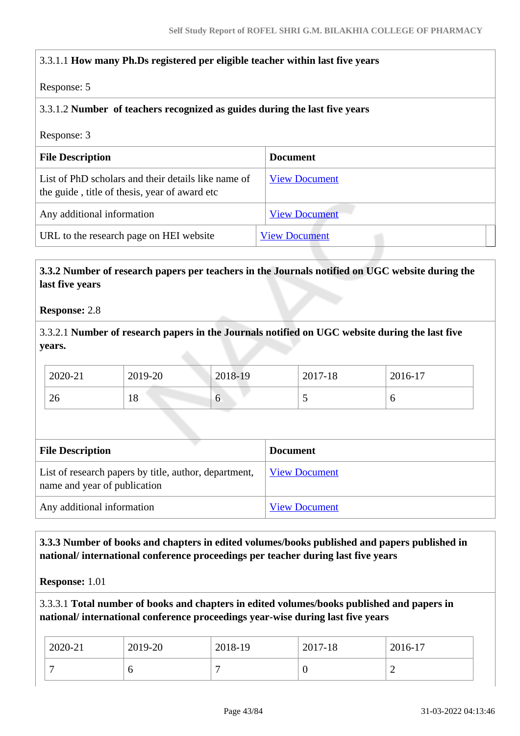### 3.3.1.1 **How many Ph.Ds registered per eligible teacher within last five years**

Response: 5

### 3.3.1.2 **Number of teachers recognized as guides during the last five years**

Response: 3

| <b>File Description</b>                                                                              | <b>Document</b>      |
|------------------------------------------------------------------------------------------------------|----------------------|
| List of PhD scholars and their details like name of<br>the guide, title of thesis, year of award etc | <b>View Document</b> |
| Any additional information                                                                           | <b>View Document</b> |
| URL to the research page on HEI website                                                              | <b>View Document</b> |

### **3.3.2 Number of research papers per teachers in the Journals notified on UGC website during the last five years**

#### **Response:** 2.8

3.3.2.1 **Number of research papers in the Journals notified on UGC website during the last five years.**

| 2020-21 | 2019-20 | 2018-19 | 2017-18 | 2016-17 |
|---------|---------|---------|---------|---------|
| 26      | 10      | v       | ັ       |         |

| <b>File Description</b>                                                               | <b>Document</b>      |
|---------------------------------------------------------------------------------------|----------------------|
| List of research papers by title, author, department,<br>name and year of publication | <b>View Document</b> |
| Any additional information                                                            | <b>View Document</b> |

### **3.3.3 Number of books and chapters in edited volumes/books published and papers published in national/ international conference proceedings per teacher during last five years**

**Response:** 1.01

### 3.3.3.1 **Total number of books and chapters in edited volumes/books published and papers in national/ international conference proceedings year-wise during last five years**

| 2020-21 | 2019-20 | 2018-19 | 2017-18 | 2016-17 |
|---------|---------|---------|---------|---------|
|         | U       |         |         |         |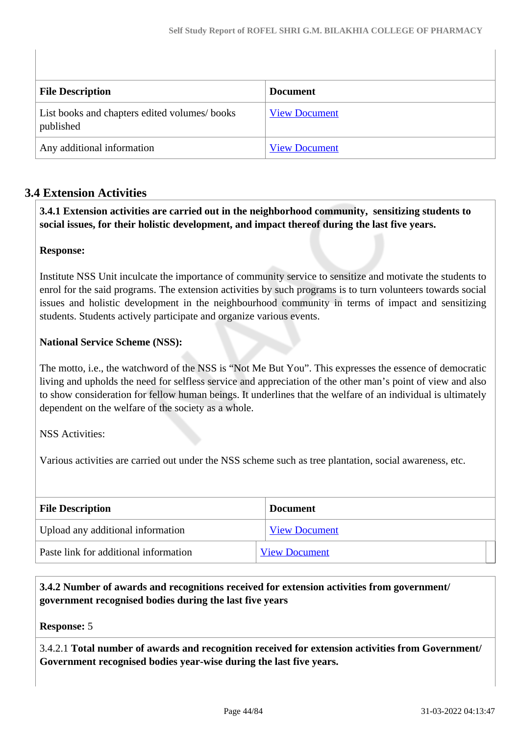| <b>File Description</b>                                   | <b>Document</b>      |
|-----------------------------------------------------------|----------------------|
| List books and chapters edited volumes/books<br>published | <b>View Document</b> |
| Any additional information                                | <b>View Document</b> |

# **3.4 Extension Activities**

 **3.4.1 Extension activities are carried out in the neighborhood community, sensitizing students to social issues, for their holistic development, and impact thereof during the last five years.**

### **Response:**

Institute NSS Unit inculcate the importance of community service to sensitize and motivate the students to enrol for the said programs. The extension activities by such programs is to turn volunteers towards social issues and holistic development in the neighbourhood community in terms of impact and sensitizing students. Students actively participate and organize various events.

### **National Service Scheme (NSS):**

The motto, i.e., the watchword of the NSS is "Not Me But You". This expresses the essence of democratic living and upholds the need for selfless service and appreciation of the other man's point of view and also to show consideration for fellow human beings. It underlines that the welfare of an individual is ultimately dependent on the welfare of the society as a whole.

NSS Activities:

Various activities are carried out under the NSS scheme such as tree plantation, social awareness, etc.

| <b>File Description</b>               | <b>Document</b>      |
|---------------------------------------|----------------------|
| Upload any additional information     | <b>View Document</b> |
| Paste link for additional information | <b>View Document</b> |

 **3.4.2 Number of awards and recognitions received for extension activities from government/ government recognised bodies during the last five years**

**Response:** 5

3.4.2.1 **Total number of awards and recognition received for extension activities from Government/ Government recognised bodies year-wise during the last five years.**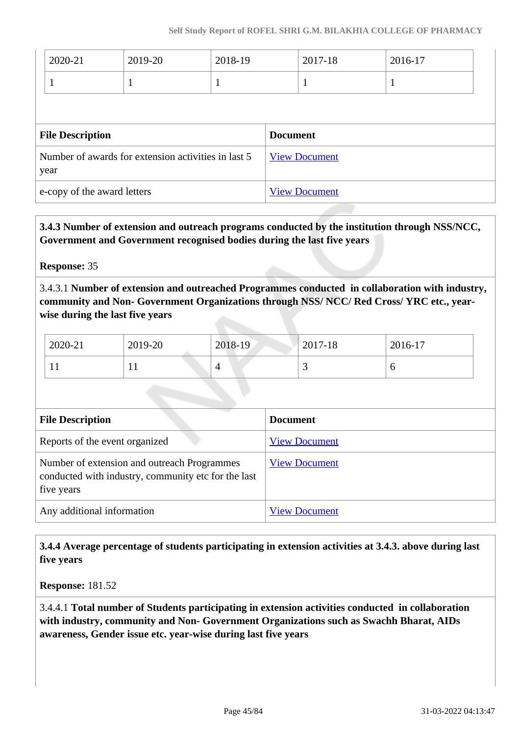| 2020-21                 | 2019-20                                             | 2018-19 |                 | 2017-18              | 2016-17      |  |
|-------------------------|-----------------------------------------------------|---------|-----------------|----------------------|--------------|--|
| 1                       |                                                     | 1       |                 | 1                    | $\mathbf{1}$ |  |
|                         |                                                     |         |                 |                      |              |  |
|                         |                                                     |         |                 |                      |              |  |
| <b>File Description</b> |                                                     |         | <b>Document</b> |                      |              |  |
| year                    | Number of awards for extension activities in last 5 |         |                 | <b>View Document</b> |              |  |

 **3.4.3 Number of extension and outreach programs conducted by the institution through NSS/NCC, Government and Government recognised bodies during the last five years**

**Response:** 35

3.4.3.1 **Number of extension and outreached Programmes conducted in collaboration with industry, community and Non- Government Organizations through NSS/ NCC/ Red Cross/ YRC etc., yearwise during the last five years**

| 2020-21 | 2019-20 | 2018-19 | $2017 - 18$ | 2016-17 |
|---------|---------|---------|-------------|---------|
| . .     | T T     | 4       | ~           |         |

| <b>File Description</b>                                                                                          | <b>Document</b>      |
|------------------------------------------------------------------------------------------------------------------|----------------------|
| Reports of the event organized                                                                                   | <b>View Document</b> |
| Number of extension and outreach Programmes<br>conducted with industry, community etc for the last<br>five years | <b>View Document</b> |
| Any additional information                                                                                       | <b>View Document</b> |

 **3.4.4 Average percentage of students participating in extension activities at 3.4.3. above during last five years**

**Response:** 181.52

3.4.4.1 **Total number of Students participating in extension activities conducted in collaboration with industry, community and Non- Government Organizations such as Swachh Bharat, AIDs awareness, Gender issue etc. year-wise during last five years**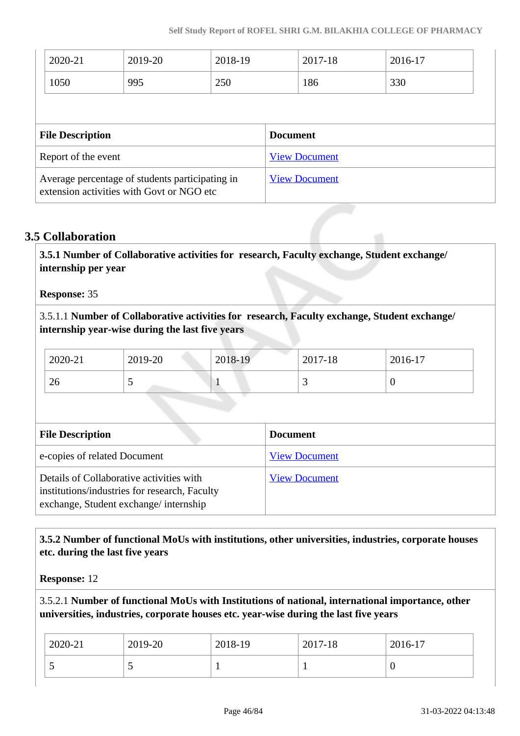| 2020-21                 | 2019-20 | 2018-19 |                 | 2017-18              | 2016-17 |
|-------------------------|---------|---------|-----------------|----------------------|---------|
| 1050                    | 995     | 250     |                 | 186                  | 330     |
|                         |         |         |                 |                      |         |
|                         |         |         |                 |                      |         |
| <b>File Description</b> |         |         | <b>Document</b> |                      |         |
| Report of the event     |         |         |                 | <b>View Document</b> |         |

### **3.5 Collaboration**

 **3.5.1 Number of Collaborative activities for research, Faculty exchange, Student exchange/ internship per year**

### **Response:** 35

3.5.1.1 **Number of Collaborative activities for research, Faculty exchange, Student exchange/ internship year-wise during the last five years**

| 2020-21 | 2019-20 | 2018-19 | 2017-18                  | 2016-17 |
|---------|---------|---------|--------------------------|---------|
| 26      | ັ       |         | $\overline{\phantom{0}}$ |         |

| <b>File Description</b>                                                                                                            | <b>Document</b>      |
|------------------------------------------------------------------------------------------------------------------------------------|----------------------|
| e-copies of related Document                                                                                                       | <b>View Document</b> |
| Details of Collaborative activities with<br>institutions/industries for research, Faculty<br>exchange, Student exchange/internship | <b>View Document</b> |

### **3.5.2 Number of functional MoUs with institutions, other universities, industries, corporate houses etc. during the last five years**

**Response:** 12

3.5.2.1 **Number of functional MoUs with Institutions of national, international importance, other universities, industries, corporate houses etc. year-wise during the last five years**

| 2020-21 | 2019-20 | 2018-19 | 2017-18 | 2016-17 |
|---------|---------|---------|---------|---------|
| ~       |         |         |         | υ       |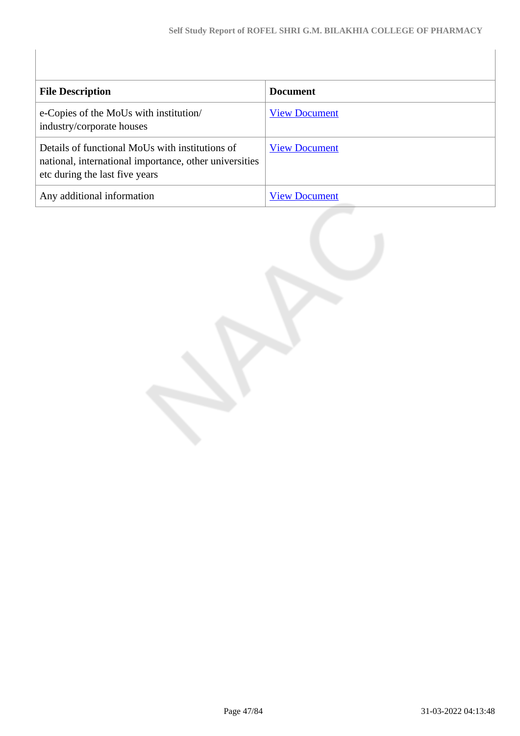| <b>File Description</b>                                                                                                                     | <b>Document</b>      |
|---------------------------------------------------------------------------------------------------------------------------------------------|----------------------|
| e-Copies of the MoUs with institution/<br>industry/corporate houses                                                                         | <b>View Document</b> |
| Details of functional MoUs with institutions of<br>national, international importance, other universities<br>etc during the last five years | <b>View Document</b> |
| Any additional information                                                                                                                  | <b>View Document</b> |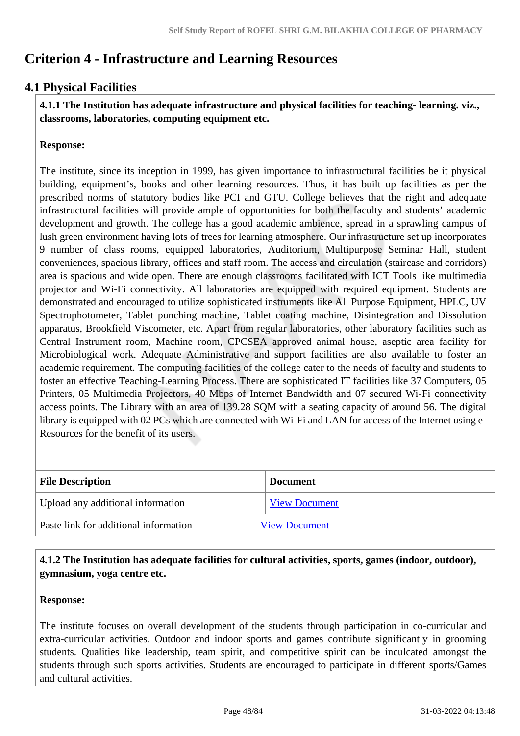# **Criterion 4 - Infrastructure and Learning Resources**

# **4.1 Physical Facilities**

 **4.1.1 The Institution has adequate infrastructure and physical facilities for teaching- learning. viz., classrooms, laboratories, computing equipment etc.** 

### **Response:**

The institute, since its inception in 1999, has given importance to infrastructural facilities be it physical building, equipment's, books and other learning resources. Thus, it has built up facilities as per the prescribed norms of statutory bodies like PCI and GTU. College believes that the right and adequate infrastructural facilities will provide ample of opportunities for both the faculty and students' academic development and growth. The college has a good academic ambience, spread in a sprawling campus of lush green environment having lots of trees for learning atmosphere. Our infrastructure set up incorporates 9 number of class rooms, equipped laboratories, Auditorium, Multipurpose Seminar Hall, student conveniences, spacious library, offices and staff room. The access and circulation (staircase and corridors) area is spacious and wide open. There are enough classrooms facilitated with ICT Tools like multimedia projector and Wi-Fi connectivity. All laboratories are equipped with required equipment. Students are demonstrated and encouraged to utilize sophisticated instruments like All Purpose Equipment, HPLC, UV Spectrophotometer, Tablet punching machine, Tablet coating machine, Disintegration and Dissolution apparatus, Brookfield Viscometer, etc. Apart from regular laboratories, other laboratory facilities such as Central Instrument room, Machine room, CPCSEA approved animal house, aseptic area facility for Microbiological work. Adequate Administrative and support facilities are also available to foster an academic requirement. The computing facilities of the college cater to the needs of faculty and students to foster an effective Teaching-Learning Process. There are sophisticated IT facilities like 37 Computers, 05 Printers, 05 Multimedia Projectors, 40 Mbps of Internet Bandwidth and 07 secured Wi-Fi connectivity access points. The Library with an area of 139.28 SQM with a seating capacity of around 56. The digital library is equipped with 02 PCs which are connected with Wi-Fi and LAN for access of the Internet using e-Resources for the benefit of its users.

| <b>File Description</b>               | <b>Document</b>      |  |
|---------------------------------------|----------------------|--|
| Upload any additional information     | <b>View Document</b> |  |
| Paste link for additional information | <b>View Document</b> |  |

### **4.1.2 The Institution has adequate facilities for cultural activities, sports, games (indoor, outdoor), gymnasium, yoga centre etc.**

#### **Response:**

The institute focuses on overall development of the students through participation in co-curricular and extra-curricular activities. Outdoor and indoor sports and games contribute significantly in grooming students. Qualities like leadership, team spirit, and competitive spirit can be inculcated amongst the students through such sports activities. Students are encouraged to participate in different sports/Games and cultural activities.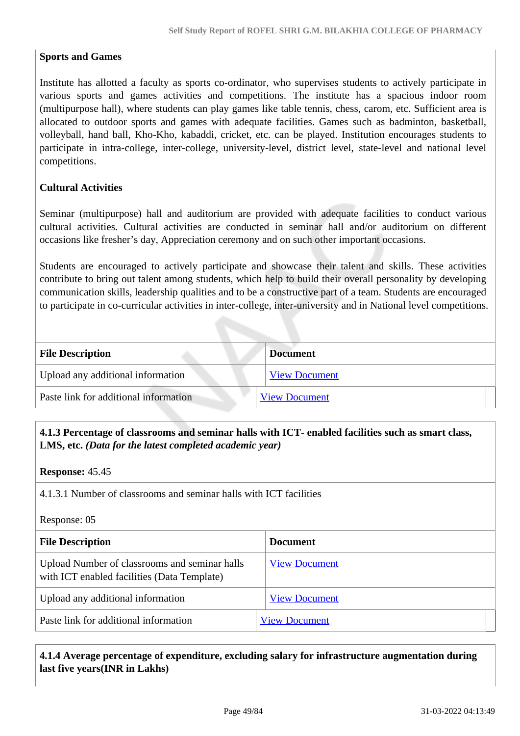### **Sports and Games**

Institute has allotted a faculty as sports co-ordinator, who supervises students to actively participate in various sports and games activities and competitions. The institute has a spacious indoor room (multipurpose hall), where students can play games like table tennis, chess, carom, etc. Sufficient area is allocated to outdoor sports and games with adequate facilities. Games such as badminton, basketball, volleyball, hand ball, Kho-Kho, kabaddi, cricket, etc. can be played. Institution encourages students to participate in intra-college, inter-college, university-level, district level, state-level and national level competitions.

### **Cultural Activities**

Seminar (multipurpose) hall and auditorium are provided with adequate facilities to conduct various cultural activities. Cultural activities are conducted in seminar hall and/or auditorium on different occasions like fresher's day, Appreciation ceremony and on such other important occasions.

Students are encouraged to actively participate and showcase their talent and skills. These activities contribute to bring out talent among students, which help to build their overall personality by developing communication skills, leadership qualities and to be a constructive part of a team. Students are encouraged to participate in co-curricular activities in inter-college, inter-university and in National level competitions.

| <b>File Description</b>               | <b>Document</b>      |
|---------------------------------------|----------------------|
| Upload any additional information     | <b>View Document</b> |
| Paste link for additional information | <b>View Document</b> |

## **4.1.3 Percentage of classrooms and seminar halls with ICT- enabled facilities such as smart class, LMS, etc.** *(Data for the latest completed academic year)*

#### **Response:** 45.45

4.1.3.1 Number of classrooms and seminar halls with ICT facilities

#### Response: 05

| <b>File Description</b>                                                                      | <b>Document</b>      |
|----------------------------------------------------------------------------------------------|----------------------|
| Upload Number of classrooms and seminar halls<br>with ICT enabled facilities (Data Template) | <b>View Document</b> |
| Upload any additional information                                                            | <b>View Document</b> |
| Paste link for additional information                                                        | <b>View Document</b> |

## **4.1.4 Average percentage of expenditure, excluding salary for infrastructure augmentation during last five years(INR in Lakhs)**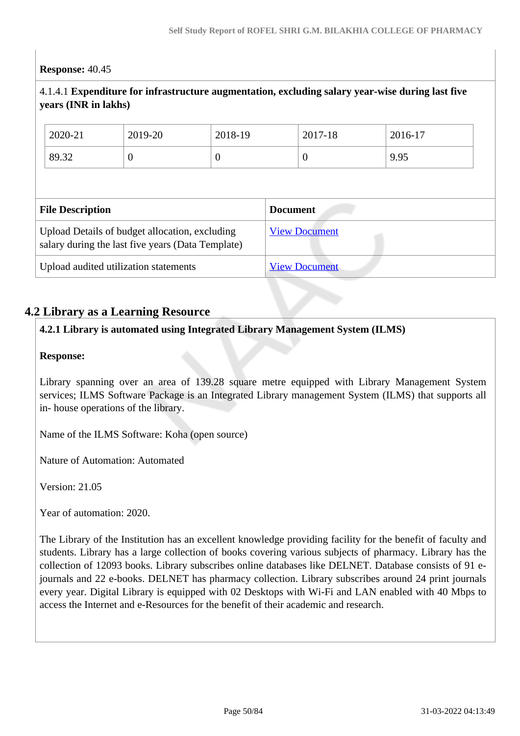### **Response:** 40.45

# 4.1.4.1 **Expenditure for infrastructure augmentation, excluding salary year-wise during last five years (INR in lakhs)**

| 2020-21                 | 2019-20                                                                                             | 2018-19  |                 | 2017-18              | 2016-17 |
|-------------------------|-----------------------------------------------------------------------------------------------------|----------|-----------------|----------------------|---------|
| 89.32                   | $\theta$                                                                                            | $\theta$ |                 | $\Omega$             | 9.95    |
|                         |                                                                                                     |          |                 |                      |         |
| <b>File Description</b> |                                                                                                     |          |                 |                      |         |
|                         |                                                                                                     |          | <b>Document</b> |                      |         |
|                         | Upload Details of budget allocation, excluding<br>salary during the last five years (Data Template) |          |                 | <b>View Document</b> |         |

# **4.2 Library as a Learning Resource**

### **4.2.1 Library is automated using Integrated Library Management System (ILMS)**

### **Response:**

Library spanning over an area of 139.28 square metre equipped with Library Management System services; ILMS Software Package is an Integrated Library management System (ILMS) that supports all in- house operations of the library.

Name of the ILMS Software: Koha (open source)

Nature of Automation: Automated

Version: 21.05

Year of automation: 2020.

The Library of the Institution has an excellent knowledge providing facility for the benefit of faculty and students. Library has a large collection of books covering various subjects of pharmacy. Library has the collection of 12093 books. Library subscribes online databases like DELNET. Database consists of 91 ejournals and 22 e-books. DELNET has pharmacy collection. Library subscribes around 24 print journals every year. Digital Library is equipped with 02 Desktops with Wi-Fi and LAN enabled with 40 Mbps to access the Internet and e-Resources for the benefit of their academic and research.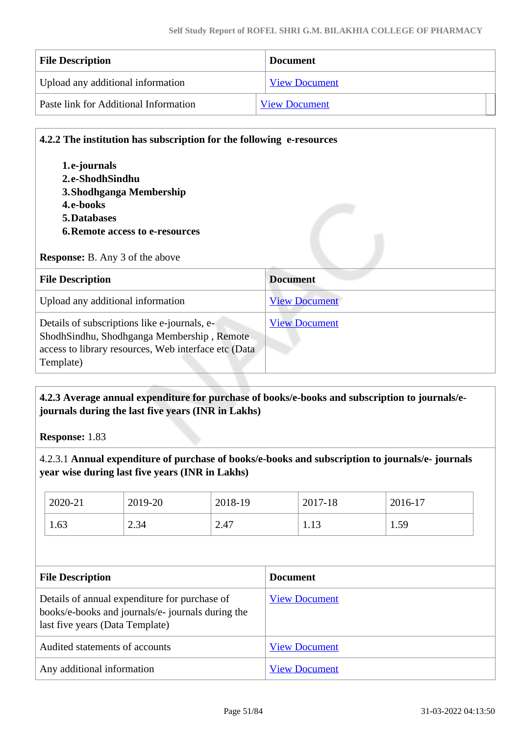| <b>File Description</b>               | <b>Document</b>      |  |
|---------------------------------------|----------------------|--|
| Upload any additional information     | <b>View Document</b> |  |
| Paste link for Additional Information | <b>View Document</b> |  |

### **4.2.2 The institution has subscription for the following e-resources**

**1.e-journals 2.e-ShodhSindhu 3.Shodhganga Membership 4.e-books 5.Databases 6.Remote access to e-resources**

#### **Response:** B. Any 3 of the above

| <b>File Description</b>                                                                                                                                         | <b>Document</b>      |
|-----------------------------------------------------------------------------------------------------------------------------------------------------------------|----------------------|
| Upload any additional information                                                                                                                               | <b>View Document</b> |
| Details of subscriptions like e-journals, e-<br>ShodhSindhu, Shodhganga Membership, Remote<br>access to library resources, Web interface etc (Data<br>Template) | <b>View Document</b> |

### **4.2.3 Average annual expenditure for purchase of books/e-books and subscription to journals/ejournals during the last five years (INR in Lakhs)**

**Response:** 1.83

4.2.3.1 **Annual expenditure of purchase of books/e-books and subscription to journals/e- journals year wise during last five years (INR in Lakhs)**

| 2020-21 | 2019-20 | 2018-19 | 2017-18        | 2016-17            |
|---------|---------|---------|----------------|--------------------|
| 1.63    | 2.34    | 2.47    | $\sim$<br>1.10 | 59<br>1.J <i>)</i> |

| <b>File Description</b>                                                                                                              | <b>Document</b>      |
|--------------------------------------------------------------------------------------------------------------------------------------|----------------------|
| Details of annual expenditure for purchase of<br>books/e-books and journals/e-journals during the<br>last five years (Data Template) | <b>View Document</b> |
| Audited statements of accounts                                                                                                       | <b>View Document</b> |
| Any additional information                                                                                                           | <b>View Document</b> |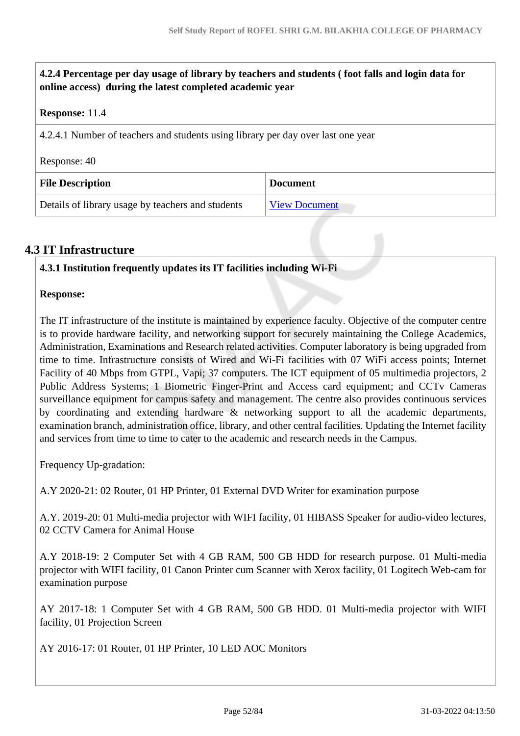| 4.2.4 Percentage per day usage of library by teachers and students (foot falls and login data for<br>online access) during the latest completed academic year |                      |
|---------------------------------------------------------------------------------------------------------------------------------------------------------------|----------------------|
| <b>Response:</b> 11.4                                                                                                                                         |                      |
| 4.2.4.1 Number of teachers and students using library per day over last one year                                                                              |                      |
| Response: 40                                                                                                                                                  |                      |
| <b>File Description</b>                                                                                                                                       | <b>Document</b>      |
| Details of library usage by teachers and students                                                                                                             | <b>View Document</b> |

## **4.3 IT Infrastructure**

#### **4.3.1 Institution frequently updates its IT facilities including Wi-Fi**

#### **Response:**

The IT infrastructure of the institute is maintained by experience faculty. Objective of the computer centre is to provide hardware facility, and networking support for securely maintaining the College Academics, Administration, Examinations and Research related activities. Computer laboratory is being upgraded from time to time. Infrastructure consists of Wired and Wi-Fi facilities with 07 WiFi access points; Internet Facility of 40 Mbps from GTPL, Vapi; 37 computers. The ICT equipment of 05 multimedia projectors, 2 Public Address Systems; 1 Biometric Finger-Print and Access card equipment; and CCTv Cameras surveillance equipment for campus safety and management. The centre also provides continuous services by coordinating and extending hardware & networking support to all the academic departments, examination branch, administration office, library, and other central facilities. Updating the Internet facility and services from time to time to cater to the academic and research needs in the Campus.

Frequency Up-gradation:

A.Y 2020-21: 02 Router, 01 HP Printer, 01 External DVD Writer for examination purpose

A.Y. 2019-20: 01 Multi-media projector with WIFI facility, 01 HIBASS Speaker for audio-video lectures, 02 CCTV Camera for Animal House

A.Y 2018-19: 2 Computer Set with 4 GB RAM, 500 GB HDD for research purpose. 01 Multi-media projector with WIFI facility, 01 Canon Printer cum Scanner with Xerox facility, 01 Logitech Web-cam for examination purpose

AY 2017-18: 1 Computer Set with 4 GB RAM, 500 GB HDD. 01 Multi-media projector with WIFI facility, 01 Projection Screen

AY 2016-17: 01 Router, 01 HP Printer, 10 LED AOC Monitors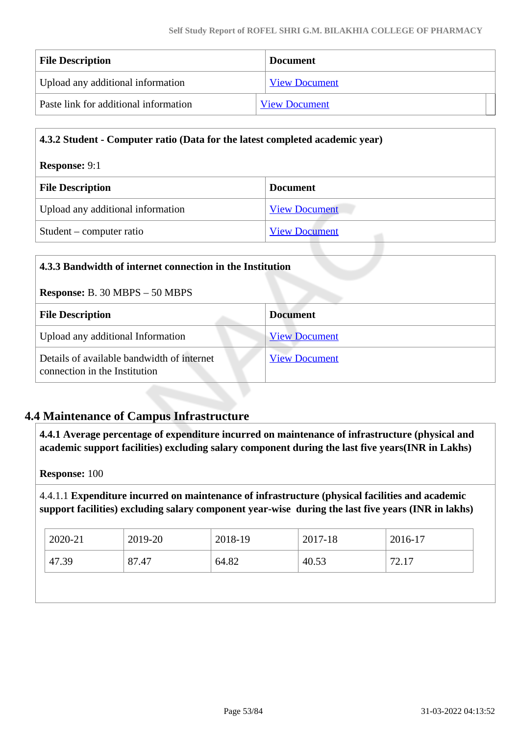| <b>File Description</b>               | <b>Document</b>      |
|---------------------------------------|----------------------|
| Upload any additional information     | <b>View Document</b> |
| Paste link for additional information | <b>View Document</b> |

| 4.3.2 Student - Computer ratio (Data for the latest completed academic year) |                      |  |
|------------------------------------------------------------------------------|----------------------|--|
| <b>Response: 9:1</b>                                                         |                      |  |
| <b>File Description</b>                                                      | <b>Document</b>      |  |
| Upload any additional information                                            | <b>View Document</b> |  |
| Student – computer ratio                                                     | <b>View Document</b> |  |

| 4.3.3 Bandwidth of internet connection in the Institution                   |                      |  |
|-----------------------------------------------------------------------------|----------------------|--|
| <b>Response:</b> B. 30 MBPS $-50$ MBPS                                      |                      |  |
| <b>File Description</b>                                                     | <b>Document</b>      |  |
| Upload any additional Information                                           | <b>View Document</b> |  |
| Details of available bandwidth of internet<br>connection in the Institution | <b>View Document</b> |  |

# **4.4 Maintenance of Campus Infrastructure**

 **4.4.1 Average percentage of expenditure incurred on maintenance of infrastructure (physical and academic support facilities) excluding salary component during the last five years(INR in Lakhs)**

### **Response:** 100

4.4.1.1 **Expenditure incurred on maintenance of infrastructure (physical facilities and academic support facilities) excluding salary component year-wise during the last five years (INR in lakhs)**

| 2020-21 | 2019-20 | 2018-19 | 2017-18 | 2016-17 |
|---------|---------|---------|---------|---------|
| 47.39   | 87.47   | 64.82   | 40.53   | 72.17   |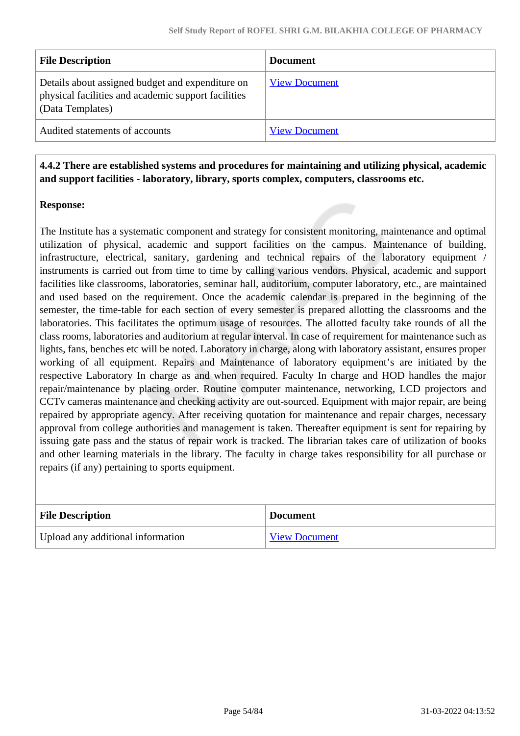| <b>File Description</b>                                                                                                     | <b>Document</b>      |
|-----------------------------------------------------------------------------------------------------------------------------|----------------------|
| Details about assigned budget and expenditure on<br>physical facilities and academic support facilities<br>(Data Templates) | <b>View Document</b> |
| Audited statements of accounts                                                                                              | <b>View Document</b> |

### **4.4.2 There are established systems and procedures for maintaining and utilizing physical, academic and support facilities - laboratory, library, sports complex, computers, classrooms etc.**

### **Response:**

The Institute has a systematic component and strategy for consistent monitoring, maintenance and optimal utilization of physical, academic and support facilities on the campus. Maintenance of building, infrastructure, electrical, sanitary, gardening and technical repairs of the laboratory equipment / instruments is carried out from time to time by calling various vendors. Physical, academic and support facilities like classrooms, laboratories, seminar hall, auditorium, computer laboratory, etc., are maintained and used based on the requirement. Once the academic calendar is prepared in the beginning of the semester, the time-table for each section of every semester is prepared allotting the classrooms and the laboratories. This facilitates the optimum usage of resources. The allotted faculty take rounds of all the class rooms, laboratories and auditorium at regular interval. In case of requirement for maintenance such as lights, fans, benches etc will be noted. Laboratory in charge, along with laboratory assistant, ensures proper working of all equipment. Repairs and Maintenance of laboratory equipment's are initiated by the respective Laboratory In charge as and when required. Faculty In charge and HOD handles the major repair/maintenance by placing order. Routine computer maintenance, networking, LCD projectors and CCTv cameras maintenance and checking activity are out-sourced. Equipment with major repair, are being repaired by appropriate agency. After receiving quotation for maintenance and repair charges, necessary approval from college authorities and management is taken. Thereafter equipment is sent for repairing by issuing gate pass and the status of repair work is tracked. The librarian takes care of utilization of books and other learning materials in the library. The faculty in charge takes responsibility for all purchase or repairs (if any) pertaining to sports equipment.

| <b>File Description</b>           | <b>Document</b>      |
|-----------------------------------|----------------------|
| Upload any additional information | <b>View Document</b> |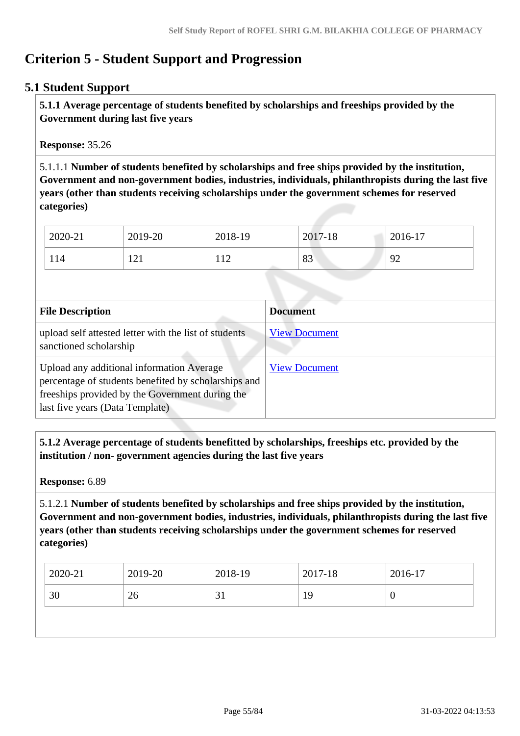# **Criterion 5 - Student Support and Progression**

# **5.1 Student Support**

 **5.1.1 Average percentage of students benefited by scholarships and freeships provided by the Government during last five years** 

**Response:** 35.26

5.1.1.1 **Number of students benefited by scholarships and free ships provided by the institution, Government and non-government bodies, industries, individuals, philanthropists during the last five years (other than students receiving scholarships under the government schemes for reserved categories)** 

| 2020-21 | 2019-20               | 2018-19 | 2017-18       | 2016-17        |
|---------|-----------------------|---------|---------------|----------------|
| 114     | $1^{\prime}$ 1<br>1/4 | 1 1 2   | $\circ$<br>83 | $\Omega$<br>৴∠ |

| <b>File Description</b>                                                                                                                                                                 | <b>Document</b>      |
|-----------------------------------------------------------------------------------------------------------------------------------------------------------------------------------------|----------------------|
| upload self attested letter with the list of students<br>sanctioned scholarship                                                                                                         | <b>View Document</b> |
| Upload any additional information Average<br>percentage of students benefited by scholarships and<br>freeships provided by the Government during the<br>last five years (Data Template) | <b>View Document</b> |

 **5.1.2 Average percentage of students benefitted by scholarships, freeships etc. provided by the institution / non- government agencies during the last five years**

**Response:** 6.89

5.1.2.1 **Number of students benefited by scholarships and free ships provided by the institution, Government and non-government bodies, industries, individuals, philanthropists during the last five years (other than students receiving scholarships under the government schemes for reserved categories)** 

| 2020-21 | 2019-20 | 2018-19 | 2017-18 | 2016-17 |
|---------|---------|---------|---------|---------|
| 30      | 26      | 31      | 19      | ν       |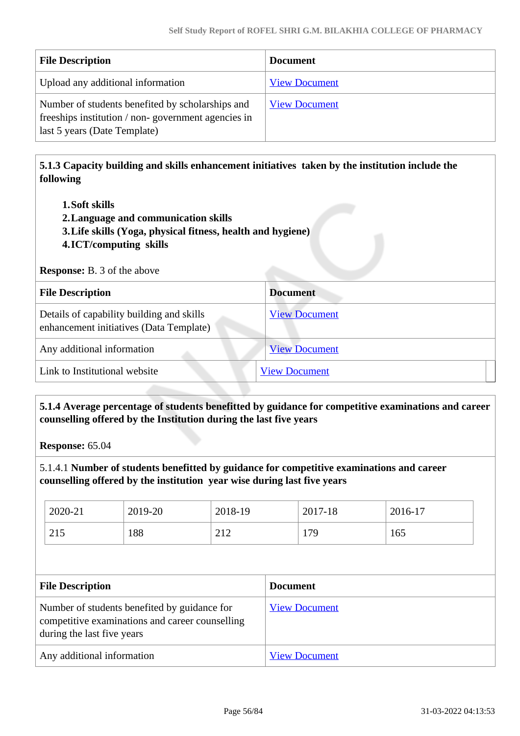| <b>File Description</b>                                                                                                                | <b>Document</b>      |
|----------------------------------------------------------------------------------------------------------------------------------------|----------------------|
| Upload any additional information                                                                                                      | <b>View Document</b> |
| Number of students benefited by scholarships and<br>freeships institution / non-government agencies in<br>last 5 years (Date Template) | <b>View Document</b> |

 **5.1.3 Capacity building and skills enhancement initiatives taken by the institution include the following**

- **1.Soft skills**
- **2.Language and communication skills**
- **3.Life skills (Yoga, physical fitness, health and hygiene)**
- **4.ICT/computing skills**

**Response:** B. 3 of the above

| <b>File Description</b>                                                              | <b>Document</b>      |
|--------------------------------------------------------------------------------------|----------------------|
| Details of capability building and skills<br>enhancement initiatives (Data Template) | <b>View Document</b> |
| Any additional information                                                           | <b>View Document</b> |
| Link to Institutional website                                                        | <b>View Document</b> |
|                                                                                      |                      |

 **5.1.4 Average percentage of students benefitted by guidance for competitive examinations and career counselling offered by the Institution during the last five years**

**Response:** 65.04

5.1.4.1 **Number of students benefitted by guidance for competitive examinations and career counselling offered by the institution year wise during last five years**

| 2020-21     | 2019-20 | 2018-19                      | 2017-18 | 2016-17 |
|-------------|---------|------------------------------|---------|---------|
| 215<br>21 J | 188     | $\bigcap$ 1 $\bigcap$<br>∠⊥∠ | 179     | 165     |

| <b>File Description</b>                                                                                                       | <b>Document</b>      |
|-------------------------------------------------------------------------------------------------------------------------------|----------------------|
| Number of students benefited by guidance for<br>competitive examinations and career counselling<br>during the last five years | <b>View Document</b> |
| Any additional information                                                                                                    | <b>View Document</b> |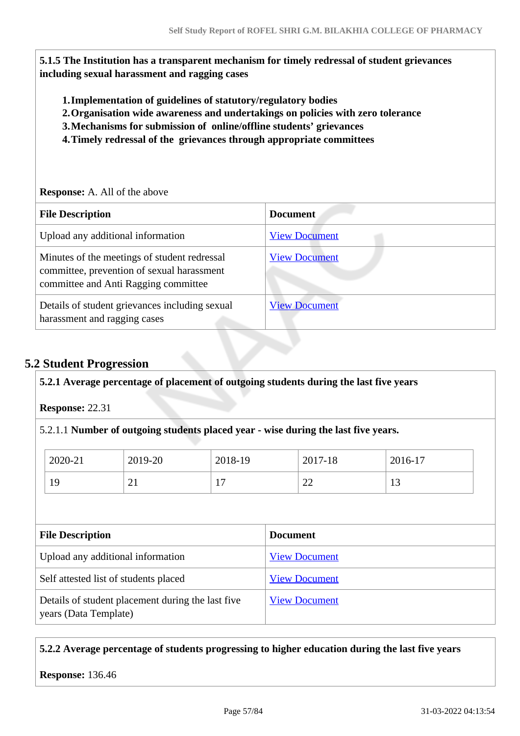**5.1.5 The Institution has a transparent mechanism for timely redressal of student grievances including sexual harassment and ragging cases**

- **1.Implementation of guidelines of statutory/regulatory bodies**
- **2.Organisation wide awareness and undertakings on policies with zero tolerance**
- **3.Mechanisms for submission of online/offline students' grievances**
- **4.Timely redressal of the grievances through appropriate committees**

#### **Response:** A. All of the above

| <b>File Description</b>                                                                                                            | <b>Document</b>      |
|------------------------------------------------------------------------------------------------------------------------------------|----------------------|
| Upload any additional information                                                                                                  | <b>View Document</b> |
| Minutes of the meetings of student redressal<br>committee, prevention of sexual harassment<br>committee and Anti Ragging committee | <b>View Document</b> |
| Details of student grievances including sexual<br>harassment and ragging cases                                                     | <b>View Document</b> |

# **5.2 Student Progression**

#### **5.2.1 Average percentage of placement of outgoing students during the last five years**

**Response:** 22.31

### 5.2.1.1 **Number of outgoing students placed year - wise during the last five years.**

| 2020-21 | 2019-20  | 2018-19             | 2017-18         | 2016-17          |
|---------|----------|---------------------|-----------------|------------------|
| 19      | $\sim$ 1 | . .<br>$\mathbf{r}$ | $\bigcap$<br>∠∠ | $\sqrt{2}$<br>13 |

| <b>File Description</b>                                                    | <b>Document</b>      |
|----------------------------------------------------------------------------|----------------------|
| Upload any additional information                                          | <b>View Document</b> |
| Self attested list of students placed                                      | <b>View Document</b> |
| Details of student placement during the last five<br>years (Data Template) | <b>View Document</b> |

### **5.2.2 Average percentage of students progressing to higher education during the last five years**

### **Response:** 136.46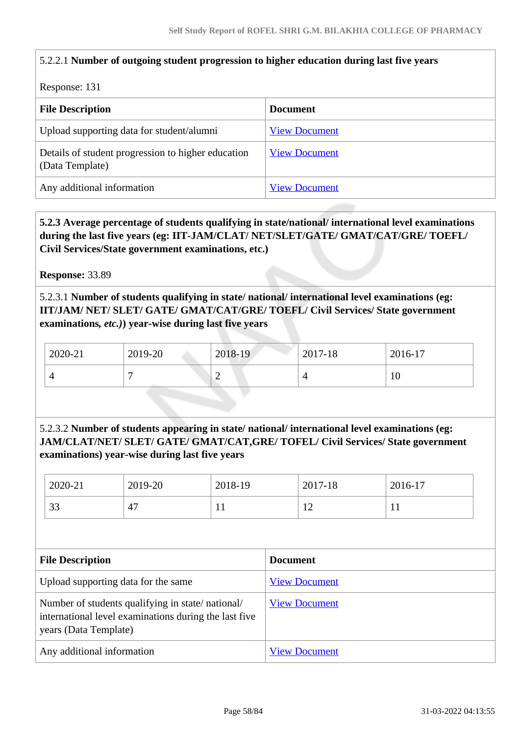# 5.2.2.1 **Number of outgoing student progression to higher education during last five years**

Response: 131

| <b>File Description</b>                                               | <b>Document</b>      |
|-----------------------------------------------------------------------|----------------------|
| Upload supporting data for student/alumni                             | <b>View Document</b> |
| Details of student progression to higher education<br>(Data Template) | <b>View Document</b> |
| Any additional information                                            | <b>View Document</b> |

 **5.2.3 Average percentage of students qualifying in state/national/ international level examinations during the last five years (eg: IIT-JAM/CLAT/ NET/SLET/GATE/ GMAT/CAT/GRE/ TOEFL/ Civil Services/State government examinations, etc.)**

**Response:** 33.89

5.2.3.1 **Number of students qualifying in state/ national/ international level examinations (eg: IIT/JAM/ NET/ SLET/ GATE/ GMAT/CAT/GRE/ TOEFL/ Civil Services/ State government examinations***, etc.)***) year-wise during last five years**

| 2020-21 | 2019-20 | 2018-19 | 2017-18 | 2016-17 |
|---------|---------|---------|---------|---------|
|         |         |         |         | 10      |

5.2.3.2 **Number of students appearing in state/ national/ international level examinations (eg: JAM/CLAT/NET/ SLET/ GATE/ GMAT/CAT,GRE/ TOFEL/ Civil Services/ State government examinations) year-wise during last five years**

|                                                                                                                                    | 2020-21<br>33           | 2019-20<br>47        | 2018-19<br>11        |                 | 2017-18<br>12 | 2016-17<br>11 |  |
|------------------------------------------------------------------------------------------------------------------------------------|-------------------------|----------------------|----------------------|-----------------|---------------|---------------|--|
|                                                                                                                                    | <b>File Description</b> |                      |                      | <b>Document</b> |               |               |  |
| Upload supporting data for the same                                                                                                |                         | <b>View Document</b> |                      |                 |               |               |  |
| Number of students qualifying in state/national/<br>international level examinations during the last five<br>years (Data Template) |                         |                      | <b>View Document</b> |                 |               |               |  |
| Any additional information                                                                                                         |                         |                      | <b>View Document</b> |                 |               |               |  |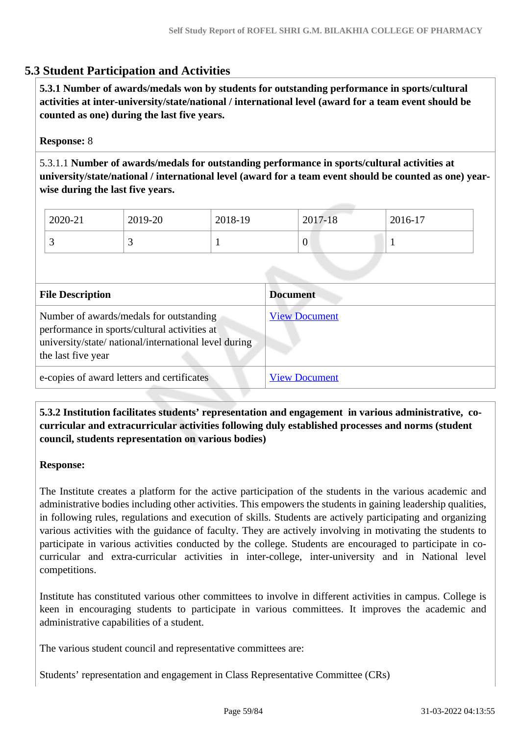# **5.3 Student Participation and Activities**

 **5.3.1 Number of awards/medals won by students for outstanding performance in sports/cultural activities at inter-university/state/national / international level (award for a team event should be counted as one) during the last five years.**

#### **Response:** 8

5.3.1.1 **Number of awards/medals for outstanding performance in sports/cultural activities at university/state/national / international level (award for a team event should be counted as one) yearwise during the last five years.**

| 2020-21  | 2019-20 | 2018-19 | 2017-18 | 2016-17 |
|----------|---------|---------|---------|---------|
| <u>ب</u> | ້       |         | v       | ÷       |

| <b>File Description</b>                                                                                                                                                | <b>Document</b>      |
|------------------------------------------------------------------------------------------------------------------------------------------------------------------------|----------------------|
| Number of awards/medals for outstanding<br>performance in sports/cultural activities at<br>university/state/ national/international level during<br>the last five year | <b>View Document</b> |
| e-copies of award letters and certificates                                                                                                                             | <b>View Document</b> |

 **5.3.2 Institution facilitates students' representation and engagement in various administrative, cocurricular and extracurricular activities following duly established processes and norms (student council, students representation on various bodies)** 

#### **Response:**

The Institute creates a platform for the active participation of the students in the various academic and administrative bodies including other activities. This empowers the students in gaining leadership qualities, in following rules, regulations and execution of skills. Students are actively participating and organizing various activities with the guidance of faculty. They are actively involving in motivating the students to participate in various activities conducted by the college. Students are encouraged to participate in cocurricular and extra-curricular activities in inter-college, inter-university and in National level competitions.

Institute has constituted various other committees to involve in different activities in campus. College is keen in encouraging students to participate in various committees. It improves the academic and administrative capabilities of a student.

The various student council and representative committees are:

Students' representation and engagement in Class Representative Committee (CRs)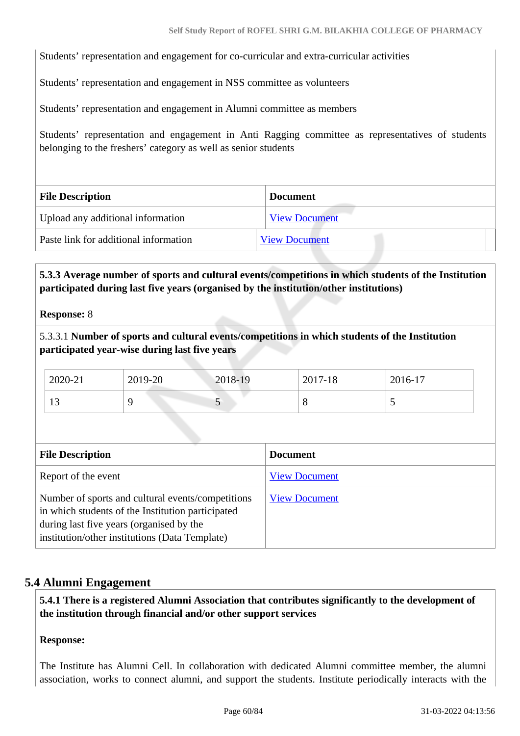Students' representation and engagement for co-curricular and extra-curricular activities

Students' representation and engagement in NSS committee as volunteers

Students' representation and engagement in Alumni committee as members

Students' representation and engagement in Anti Ragging committee as representatives of students belonging to the freshers' category as well as senior students

| <b>File Description</b>               | <b>Document</b>      |
|---------------------------------------|----------------------|
| Upload any additional information     | <b>View Document</b> |
| Paste link for additional information | <b>View Document</b> |

### **5.3.3 Average number of sports and cultural events/competitions in which students of the Institution participated during last five years (organised by the institution/other institutions)**

**Response:** 8

5.3.3.1 **Number of sports and cultural events/competitions in which students of the Institution participated year-wise during last five years**

| $2020 - 21$    | 2019-20 | 2018-19 | 2017-18 | 2016-17                  |
|----------------|---------|---------|---------|--------------------------|
| 1 <sub>2</sub> |         | ັ       | O       | $\overline{\phantom{0}}$ |

| <b>File Description</b>                                                                                                                                                                              | <b>Document</b>      |
|------------------------------------------------------------------------------------------------------------------------------------------------------------------------------------------------------|----------------------|
| Report of the event                                                                                                                                                                                  | <b>View Document</b> |
| Number of sports and cultural events/competitions<br>in which students of the Institution participated<br>during last five years (organised by the<br>institution/other institutions (Data Template) | <b>View Document</b> |

### **5.4 Alumni Engagement**

 **5.4.1 There is a registered Alumni Association that contributes significantly to the development of the institution through financial and/or other support services**

#### **Response:**

The Institute has Alumni Cell. In collaboration with dedicated Alumni committee member, the alumni association, works to connect alumni, and support the students. Institute periodically interacts with the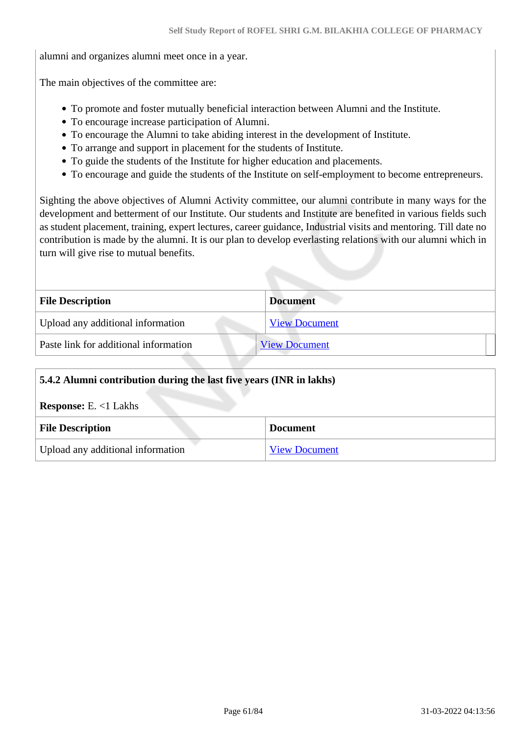alumni and organizes alumni meet once in a year.

The main objectives of the committee are:

- To promote and foster mutually beneficial interaction between Alumni and the Institute.
- To encourage increase participation of Alumni.
- To encourage the Alumni to take abiding interest in the development of Institute.
- To arrange and support in placement for the students of Institute.
- To guide the students of the Institute for higher education and placements.
- To encourage and guide the students of the Institute on self-employment to become entrepreneurs.

Sighting the above objectives of Alumni Activity committee, our alumni contribute in many ways for the development and betterment of our Institute. Our students and Institute are benefited in various fields such as student placement, training, expert lectures, career guidance, Industrial visits and mentoring. Till date no contribution is made by the alumni. It is our plan to develop everlasting relations with our alumni which in turn will give rise to mutual benefits.

| <b>File Description</b>               | <b>Document</b>      |  |
|---------------------------------------|----------------------|--|
| Upload any additional information     | <b>View Document</b> |  |
| Paste link for additional information | <b>View Document</b> |  |

| 5.4.2 Alumni contribution during the last five years (INR in lakhs) |  |  |
|---------------------------------------------------------------------|--|--|
| <b>Response:</b> E. $<1$ Lakhs                                      |  |  |
| <b>File Description</b><br><b>Document</b>                          |  |  |
| Upload any additional information<br><b>View Document</b>           |  |  |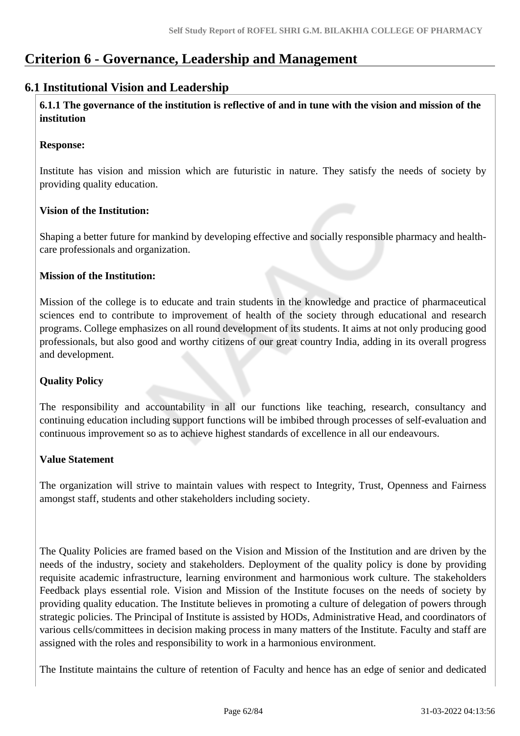# **Criterion 6 - Governance, Leadership and Management**

# **6.1 Institutional Vision and Leadership**

 **6.1.1 The governance of the institution is reflective of and in tune with the vision and mission of the institution**

### **Response:**

Institute has vision and mission which are futuristic in nature. They satisfy the needs of society by providing quality education.

### **Vision of the Institution:**

Shaping a better future for mankind by developing effective and socially responsible pharmacy and healthcare professionals and organization.

### **Mission of the Institution:**

Mission of the college is to educate and train students in the knowledge and practice of pharmaceutical sciences end to contribute to improvement of health of the society through educational and research programs. College emphasizes on all round development of its students. It aims at not only producing good professionals, but also good and worthy citizens of our great country India, adding in its overall progress and development.

## **Quality Policy**

The responsibility and accountability in all our functions like teaching, research, consultancy and continuing education including support functions will be imbibed through processes of self-evaluation and continuous improvement so as to achieve highest standards of excellence in all our endeavours.

### **Value Statement**

The organization will strive to maintain values with respect to Integrity, Trust, Openness and Fairness amongst staff, students and other stakeholders including society.

The Quality Policies are framed based on the Vision and Mission of the Institution and are driven by the needs of the industry, society and stakeholders. Deployment of the quality policy is done by providing requisite academic infrastructure, learning environment and harmonious work culture. The stakeholders Feedback plays essential role. Vision and Mission of the Institute focuses on the needs of society by providing quality education. The Institute believes in promoting a culture of delegation of powers through strategic policies. The Principal of Institute is assisted by HODs, Administrative Head, and coordinators of various cells/committees in decision making process in many matters of the Institute. Faculty and staff are assigned with the roles and responsibility to work in a harmonious environment.

The Institute maintains the culture of retention of Faculty and hence has an edge of senior and dedicated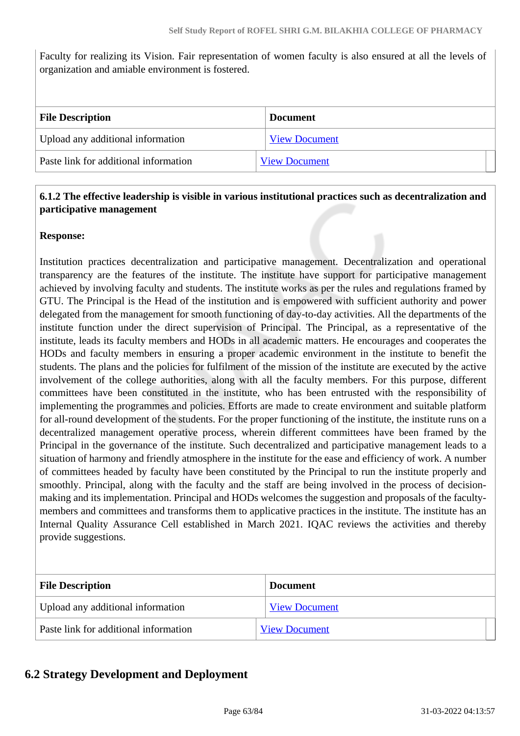Faculty for realizing its Vision. Fair representation of women faculty is also ensured at all the levels of organization and amiable environment is fostered.

| <b>File Description</b>               | <b>Document</b>      |
|---------------------------------------|----------------------|
| Upload any additional information     | <b>View Document</b> |
| Paste link for additional information | <b>View Document</b> |

### **6.1.2 The effective leadership is visible in various institutional practices such as decentralization and participative management**

### **Response:**

Institution practices decentralization and participative management. Decentralization and operational transparency are the features of the institute. The institute have support for participative management achieved by involving faculty and students. The institute works as per the rules and regulations framed by GTU. The Principal is the Head of the institution and is empowered with sufficient authority and power delegated from the management for smooth functioning of day-to-day activities. All the departments of the institute function under the direct supervision of Principal. The Principal, as a representative of the institute, leads its faculty members and HODs in all academic matters. He encourages and cooperates the HODs and faculty members in ensuring a proper academic environment in the institute to benefit the students. The plans and the policies for fulfilment of the mission of the institute are executed by the active involvement of the college authorities, along with all the faculty members. For this purpose, different committees have been constituted in the institute, who has been entrusted with the responsibility of implementing the programmes and policies. Efforts are made to create environment and suitable platform for all-round development of the students. For the proper functioning of the institute, the institute runs on a decentralized management operative process, wherein different committees have been framed by the Principal in the governance of the institute. Such decentralized and participative management leads to a situation of harmony and friendly atmosphere in the institute for the ease and efficiency of work. A number of committees headed by faculty have been constituted by the Principal to run the institute properly and smoothly. Principal, along with the faculty and the staff are being involved in the process of decisionmaking and its implementation. Principal and HODs welcomes the suggestion and proposals of the facultymembers and committees and transforms them to applicative practices in the institute. The institute has an Internal Quality Assurance Cell established in March 2021. IQAC reviews the activities and thereby provide suggestions.

| <b>File Description</b>               | <b>Document</b>      |  |
|---------------------------------------|----------------------|--|
| Upload any additional information     | <b>View Document</b> |  |
| Paste link for additional information | <b>View Document</b> |  |

## **6.2 Strategy Development and Deployment**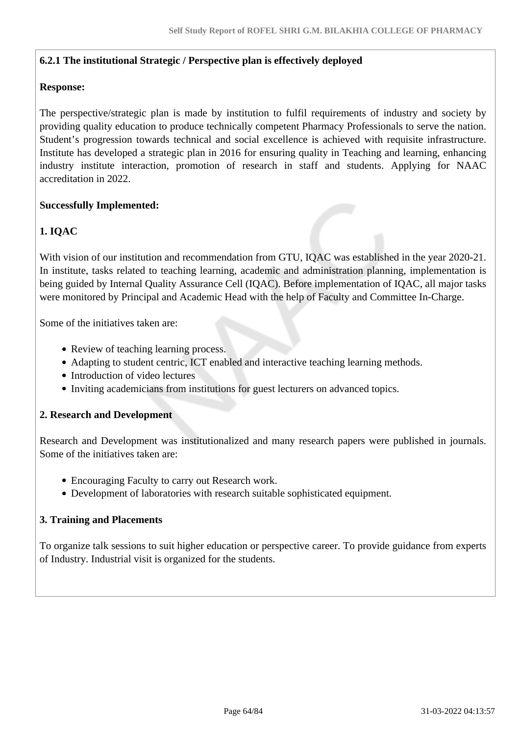### **6.2.1 The institutional Strategic / Perspective plan is effectively deployed**

#### **Response:**

The perspective/strategic plan is made by institution to fulfil requirements of industry and society by providing quality education to produce technically competent Pharmacy Professionals to serve the nation. Student's progression towards technical and social excellence is achieved with requisite infrastructure. Institute has developed a strategic plan in 2016 for ensuring quality in Teaching and learning, enhancing industry institute interaction, promotion of research in staff and students. Applying for NAAC accreditation in 2022.

### **Successfully Implemented:**

## **1. IQAC**

With vision of our institution and recommendation from GTU, IQAC was established in the year 2020-21. In institute, tasks related to teaching learning, academic and administration planning, implementation is being guided by Internal Quality Assurance Cell (IQAC). Before implementation of IQAC, all major tasks were monitored by Principal and Academic Head with the help of Faculty and Committee In-Charge.

Some of the initiatives taken are:

- Review of teaching learning process.
- Adapting to student centric, ICT enabled and interactive teaching learning methods.
- Introduction of video lectures
- Inviting academicians from institutions for guest lecturers on advanced topics.

### **2. Research and Development**

Research and Development was institutionalized and many research papers were published in journals. Some of the initiatives taken are:

- Encouraging Faculty to carry out Research work.
- Development of laboratories with research suitable sophisticated equipment.

### **3. Training and Placements**

To organize talk sessions to suit higher education or perspective career. To provide guidance from experts of Industry. Industrial visit is organized for the students.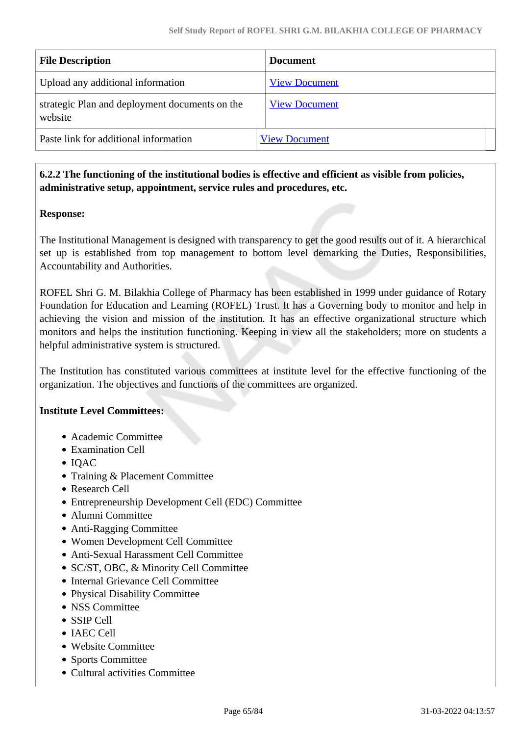| <b>File Description</b>                                   | <b>Document</b>      |
|-----------------------------------------------------------|----------------------|
| Upload any additional information                         | <b>View Document</b> |
| strategic Plan and deployment documents on the<br>website | <b>View Document</b> |
| Paste link for additional information                     | <b>View Document</b> |

### **6.2.2 The functioning of the institutional bodies is effective and efficient as visible from policies, administrative setup, appointment, service rules and procedures, etc.**

### **Response:**

The Institutional Management is designed with transparency to get the good results out of it. A hierarchical set up is established from top management to bottom level demarking the Duties, Responsibilities, Accountability and Authorities.

ROFEL Shri G. M. Bilakhia College of Pharmacy has been established in 1999 under guidance of Rotary Foundation for Education and Learning (ROFEL) Trust. It has a Governing body to monitor and help in achieving the vision and mission of the institution. It has an effective organizational structure which monitors and helps the institution functioning. Keeping in view all the stakeholders; more on students a helpful administrative system is structured.

The Institution has constituted various committees at institute level for the effective functioning of the organization. The objectives and functions of the committees are organized.

### **Institute Level Committees:**

- Academic Committee
- Examination Cell
- IQAC
- Training & Placement Committee
- Research Cell
- Entrepreneurship Development Cell (EDC) Committee
- Alumni Committee
- Anti-Ragging Committee
- Women Development Cell Committee
- Anti-Sexual Harassment Cell Committee
- SC/ST, OBC, & Minority Cell Committee
- Internal Grievance Cell Committee
- Physical Disability Committee
- NSS Committee
- SSIP Cell
- **IAEC Cell**
- Website Committee
- Sports Committee
- Cultural activities Committee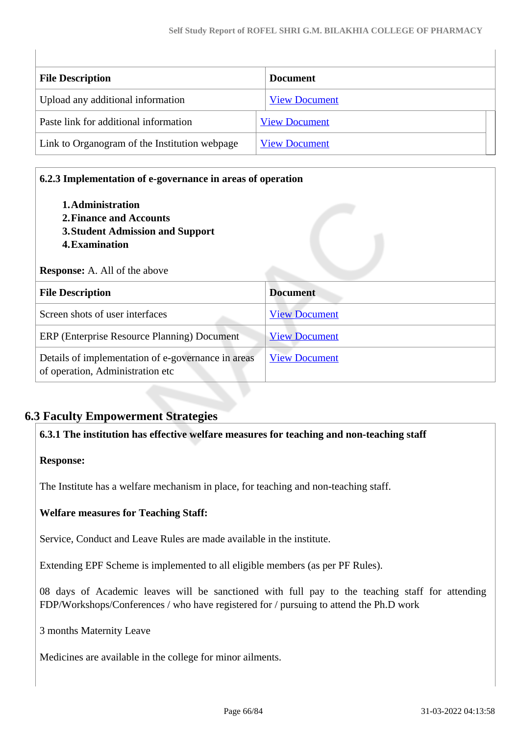| <b>File Description</b>                       | <b>Document</b>      |
|-----------------------------------------------|----------------------|
| Upload any additional information             | <b>View Document</b> |
| Paste link for additional information         | <b>View Document</b> |
| Link to Organogram of the Institution webpage | <b>View Document</b> |

#### **6.2.3 Implementation of e-governance in areas of operation**

- **1.Administration**
- **2.Finance and Accounts**
- **3.Student Admission and Support**
- **4.Examination**

#### **Response:** A. All of the above

| <b>File Description</b>                                                                | <b>Document</b>      |  |
|----------------------------------------------------------------------------------------|----------------------|--|
| Screen shots of user interfaces                                                        | <b>View Document</b> |  |
| ERP (Enterprise Resource Planning) Document                                            | <b>View Document</b> |  |
| Details of implementation of e-governance in areas<br>of operation, Administration etc | <b>View Document</b> |  |

# **6.3 Faculty Empowerment Strategies**

### **6.3.1 The institution has effective welfare measures for teaching and non-teaching staff**

#### **Response:**

The Institute has a welfare mechanism in place, for teaching and non-teaching staff.

#### **Welfare measures for Teaching Staff:**

Service, Conduct and Leave Rules are made available in the institute.

Extending EPF Scheme is implemented to all eligible members (as per PF Rules).

08 days of Academic leaves will be sanctioned with full pay to the teaching staff for attending FDP/Workshops/Conferences / who have registered for / pursuing to attend the Ph.D work

3 months Maternity Leave

Medicines are available in the college for minor ailments.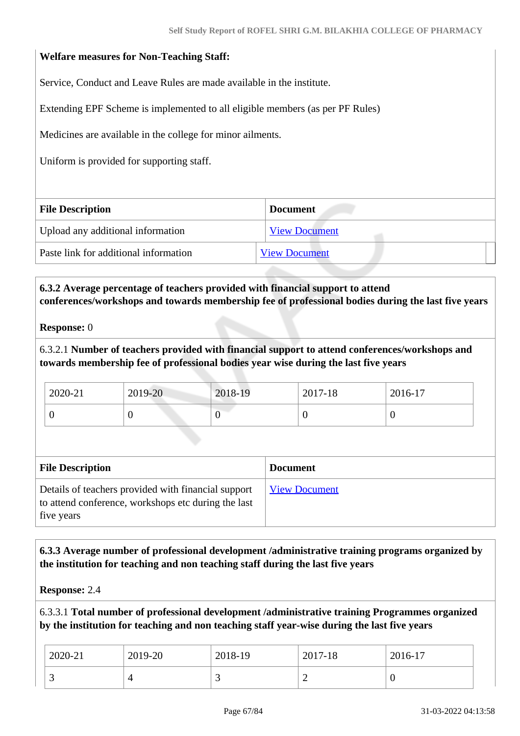#### **Welfare measures for Non-Teaching Staff:**

Service, Conduct and Leave Rules are made available in the institute.

Extending EPF Scheme is implemented to all eligible members (as per PF Rules)

Medicines are available in the college for minor ailments.

Uniform is provided for supporting staff.

| <b>File Description</b>               | <b>Document</b>      |
|---------------------------------------|----------------------|
| Upload any additional information     | <b>View Document</b> |
| Paste link for additional information | <b>View Document</b> |

### **6.3.2 Average percentage of teachers provided with financial support to attend conferences/workshops and towards membership fee of professional bodies during the last five years**

#### **Response:** 0

6.3.2.1 **Number of teachers provided with financial support to attend conferences/workshops and towards membership fee of professional bodies year wise during the last five years**

| 2020-21 | 2019-20 | 2018-19<br><b>Contractor</b> | 2017-18 | 2016-17 |
|---------|---------|------------------------------|---------|---------|
| ◡       |         | Service Contractor<br>U      |         |         |

| <b>File Description</b>                                                                                                  | <b>Document</b>      |
|--------------------------------------------------------------------------------------------------------------------------|----------------------|
| Details of teachers provided with financial support<br>to attend conference, workshops etc during the last<br>five years | <b>View Document</b> |

 **6.3.3 Average number of professional development /administrative training programs organized by the institution for teaching and non teaching staff during the last five years**

#### **Response:** 2.4

6.3.3.1 **Total number of professional development /administrative training Programmes organized by the institution for teaching and non teaching staff year-wise during the last five years**

| 2020-21  | 2019-20 | 2018-19 | 2017-18 | 2016-17          |
|----------|---------|---------|---------|------------------|
| <u>ب</u> |         | ັ       | -       | $\boldsymbol{0}$ |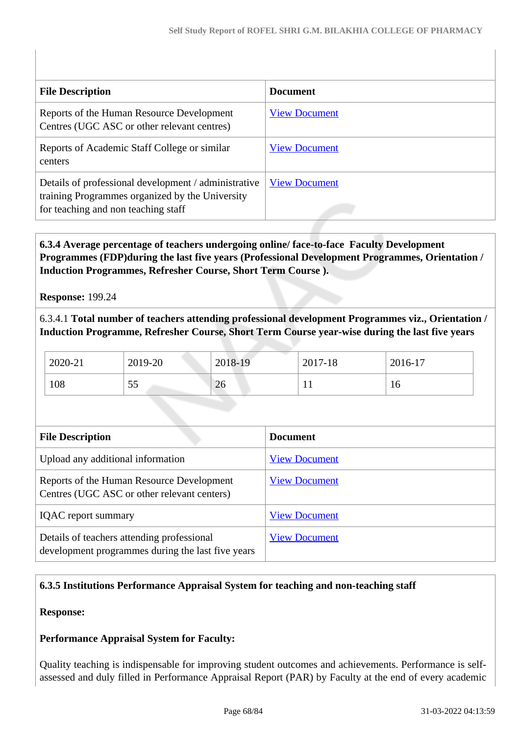| <b>File Description</b>                                                                                                                        | <b>Document</b>      |
|------------------------------------------------------------------------------------------------------------------------------------------------|----------------------|
| Reports of the Human Resource Development<br>Centres (UGC ASC or other relevant centres)                                                       | <b>View Document</b> |
| Reports of Academic Staff College or similar<br>centers                                                                                        | <b>View Document</b> |
| Details of professional development / administrative<br>training Programmes organized by the University<br>for teaching and non teaching staff | <b>View Document</b> |

## **6.3.4 Average percentage of teachers undergoing online/ face-to-face Faculty Development Programmes (FDP)during the last five years (Professional Development Programmes, Orientation / Induction Programmes, Refresher Course, Short Term Course ).**

**Response:** 199.24

6.3.4.1 **Total number of teachers attending professional development Programmes viz., Orientation / Induction Programme, Refresher Course, Short Term Course year-wise during the last five years**

| 2020-21 | 2019-20 | 2018-19 | 2017-18 | 2016-17 |
|---------|---------|---------|---------|---------|
| 108     | ັບ      | 26      |         | 16      |

| <b>File Description</b>                                                                         | <b>Document</b>      |
|-------------------------------------------------------------------------------------------------|----------------------|
| Upload any additional information                                                               | <b>View Document</b> |
| Reports of the Human Resource Development<br>Centres (UGC ASC or other relevant centers)        | <b>View Document</b> |
| <b>IQAC</b> report summary                                                                      | <b>View Document</b> |
| Details of teachers attending professional<br>development programmes during the last five years | <b>View Document</b> |

# **6.3.5 Institutions Performance Appraisal System for teaching and non-teaching staff**

**Response:** 

### **Performance Appraisal System for Faculty:**

Quality teaching is indispensable for improving student outcomes and achievements. Performance is selfassessed and duly filled in Performance Appraisal Report (PAR) by Faculty at the end of every academic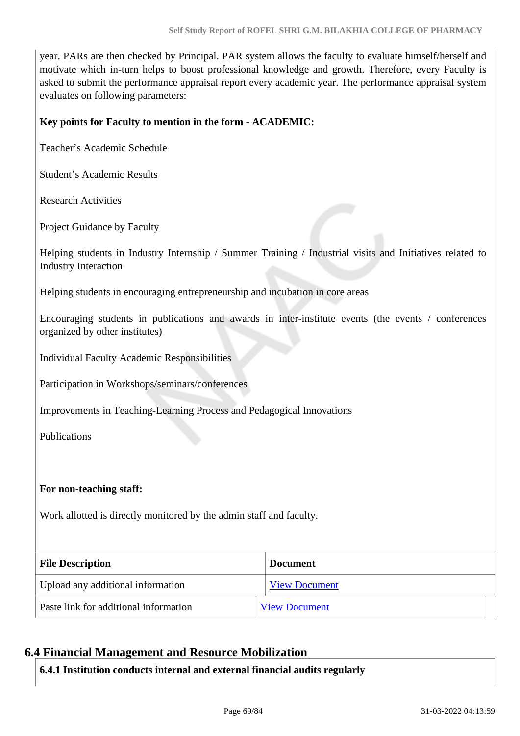year. PARs are then checked by Principal. PAR system allows the faculty to evaluate himself/herself and motivate which in-turn helps to boost professional knowledge and growth. Therefore, every Faculty is asked to submit the performance appraisal report every academic year. The performance appraisal system evaluates on following parameters:

#### **Key points for Faculty to mention in the form - ACADEMIC:**

Teacher's Academic Schedule

Student's Academic Results

Research Activities

Project Guidance by Faculty

Helping students in Industry Internship / Summer Training / Industrial visits and Initiatives related to Industry Interaction

Helping students in encouraging entrepreneurship and incubation in core areas

Encouraging students in publications and awards in inter-institute events (the events / conferences organized by other institutes)

Individual Faculty Academic Responsibilities

Participation in Workshops/seminars/conferences

Improvements in Teaching-Learning Process and Pedagogical Innovations

Publications

#### **For non-teaching staff:**

Work allotted is directly monitored by the admin staff and faculty.

| <b>File Description</b>               | <b>Document</b>      |
|---------------------------------------|----------------------|
| Upload any additional information     | <b>View Document</b> |
| Paste link for additional information | <b>View Document</b> |

### **6.4 Financial Management and Resource Mobilization**

**6.4.1 Institution conducts internal and external financial audits regularly**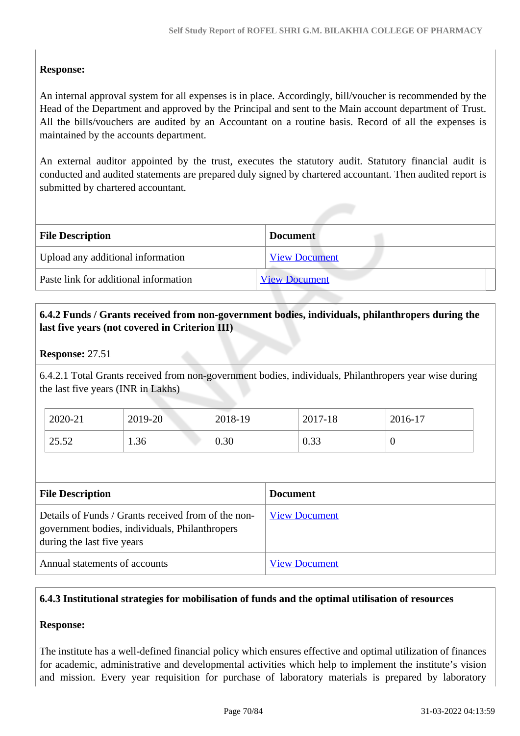# **Response:**

An internal approval system for all expenses is in place. Accordingly, bill/voucher is recommended by the Head of the Department and approved by the Principal and sent to the Main account department of Trust. All the bills/vouchers are audited by an Accountant on a routine basis. Record of all the expenses is maintained by the accounts department.

An external auditor appointed by the trust, executes the statutory audit. Statutory financial audit is conducted and audited statements are prepared duly signed by chartered accountant. Then audited report is submitted by chartered accountant.

| <b>File Description</b>               | <b>Document</b>      |
|---------------------------------------|----------------------|
| Upload any additional information     | <b>View Document</b> |
| Paste link for additional information | <b>View Document</b> |

## **6.4.2 Funds / Grants received from non-government bodies, individuals, philanthropers during the last five years (not covered in Criterion III)**

### **Response:** 27.51

6.4.2.1 Total Grants received from non-government bodies, individuals, Philanthropers year wise during the last five years (INR in Lakhs)

| 2020-21 | 2019-20 | 2018-19 | 2017-18 | 2016-17          |
|---------|---------|---------|---------|------------------|
| 25.52   | 1.36    | 0.30    | 0.33    | $\boldsymbol{0}$ |

| <b>File Description</b>                                                                                                             | <b>Document</b>      |
|-------------------------------------------------------------------------------------------------------------------------------------|----------------------|
| Details of Funds / Grants received from of the non-<br>government bodies, individuals, Philanthropers<br>during the last five years | <b>View Document</b> |
| Annual statements of accounts                                                                                                       | <b>View Document</b> |

## **6.4.3 Institutional strategies for mobilisation of funds and the optimal utilisation of resources**

## **Response:**

The institute has a well-defined financial policy which ensures effective and optimal utilization of finances for academic, administrative and developmental activities which help to implement the institute's vision and mission. Every year requisition for purchase of laboratory materials is prepared by laboratory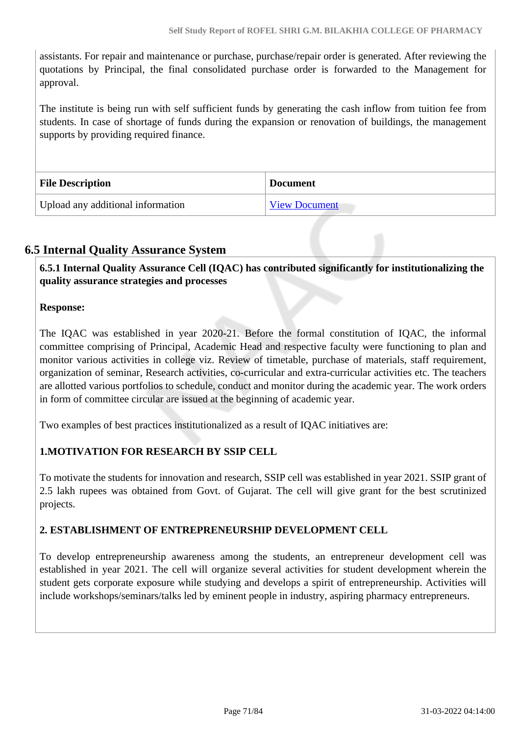assistants. For repair and maintenance or purchase, purchase/repair order is generated. After reviewing the quotations by Principal, the final consolidated purchase order is forwarded to the Management for approval.

The institute is being run with self sufficient funds by generating the cash inflow from tuition fee from students. In case of shortage of funds during the expansion or renovation of buildings, the management supports by providing required finance.

| <b>File Description</b>           | <b>Document</b>      |
|-----------------------------------|----------------------|
| Upload any additional information | <b>View Document</b> |

# **6.5 Internal Quality Assurance System**

 **6.5.1 Internal Quality Assurance Cell (IQAC) has contributed significantly for institutionalizing the quality assurance strategies and processes**

### **Response:**

The IQAC was established in year 2020-21. Before the formal constitution of IQAC, the informal committee comprising of Principal, Academic Head and respective faculty were functioning to plan and monitor various activities in college viz. Review of timetable, purchase of materials, staff requirement, organization of seminar, Research activities, co-curricular and extra-curricular activities etc. The teachers are allotted various portfolios to schedule, conduct and monitor during the academic year. The work orders in form of committee circular are issued at the beginning of academic year.

Two examples of best practices institutionalized as a result of IQAC initiatives are:

# **1.MOTIVATION FOR RESEARCH BY SSIP CELL**

To motivate the students for innovation and research, SSIP cell was established in year 2021. SSIP grant of 2.5 lakh rupees was obtained from Govt. of Gujarat. The cell will give grant for the best scrutinized projects.

## **2. ESTABLISHMENT OF ENTREPRENEURSHIP DEVELOPMENT CELL**

To develop entrepreneurship awareness among the students, an entrepreneur development cell was established in year 2021. The cell will organize several activities for student development wherein the student gets corporate exposure while studying and develops a spirit of entrepreneurship. Activities will include workshops/seminars/talks led by eminent people in industry, aspiring pharmacy entrepreneurs.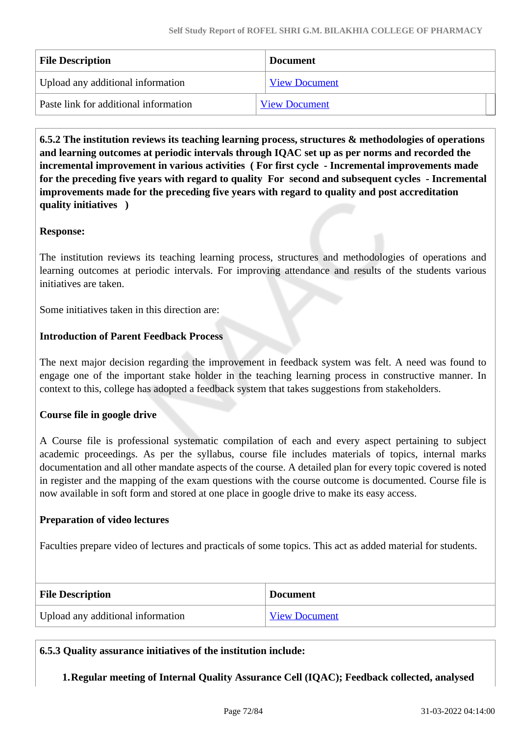| <b>File Description</b>               | <b>Document</b>      |
|---------------------------------------|----------------------|
| Upload any additional information     | <b>View Document</b> |
| Paste link for additional information | <b>View Document</b> |

 **6.5.2 The institution reviews its teaching learning process, structures & methodologies of operations and learning outcomes at periodic intervals through IQAC set up as per norms and recorded the incremental improvement in various activities ( For first cycle - Incremental improvements made for the preceding five years with regard to quality For second and subsequent cycles - Incremental improvements made for the preceding five years with regard to quality and post accreditation quality initiatives )** 

### **Response:**

The institution reviews its teaching learning process, structures and methodologies of operations and learning outcomes at periodic intervals. For improving attendance and results of the students various initiatives are taken.

Some initiatives taken in this direction are:

## **Introduction of Parent Feedback Process**

The next major decision regarding the improvement in feedback system was felt. A need was found to engage one of the important stake holder in the teaching learning process in constructive manner. In context to this, college has adopted a feedback system that takes suggestions from stakeholders.

### **Course file in google drive**

A Course file is professional systematic compilation of each and every aspect pertaining to subject academic proceedings. As per the syllabus, course file includes materials of topics, internal marks documentation and all other mandate aspects of the course. A detailed plan for every topic covered is noted in register and the mapping of the exam questions with the course outcome is documented. Course file is now available in soft form and stored at one place in google drive to make its easy access.

### **Preparation of video lectures**

Faculties prepare video of lectures and practicals of some topics. This act as added material for students.

| <b>File Description</b>           | <b>Document</b>      |
|-----------------------------------|----------------------|
| Upload any additional information | <b>View Document</b> |

### **6.5.3 Quality assurance initiatives of the institution include:**

**1.Regular meeting of Internal Quality Assurance Cell (IQAC); Feedback collected, analysed**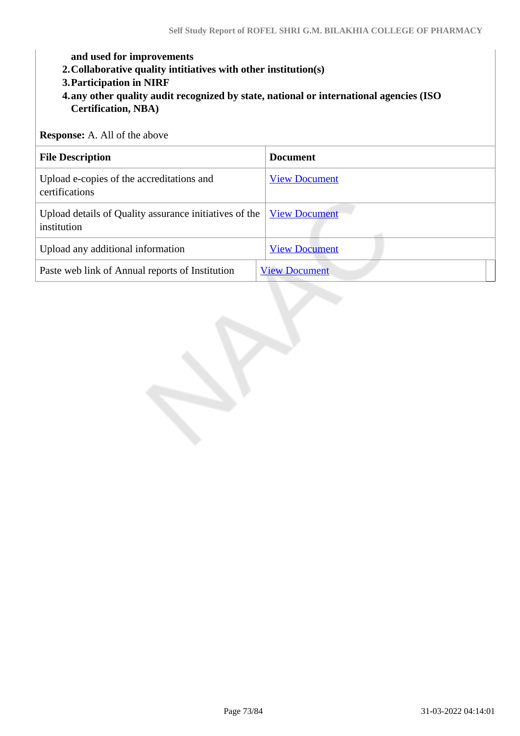#### **and used for improvements**

- **2.Collaborative quality intitiatives with other institution(s)**
- **3.Participation in NIRF**
- **4.any other quality audit recognized by state, national or international agencies (ISO Certification, NBA)**

**Response:** A. All of the above

| <b>File Description</b>                                               | <b>Document</b>      |
|-----------------------------------------------------------------------|----------------------|
| Upload e-copies of the accreditations and<br>certifications           | <b>View Document</b> |
| Upload details of Quality assurance initiatives of the<br>institution | <b>View Document</b> |
| Upload any additional information                                     | <b>View Document</b> |
| Paste web link of Annual reports of Institution                       | <b>View Document</b> |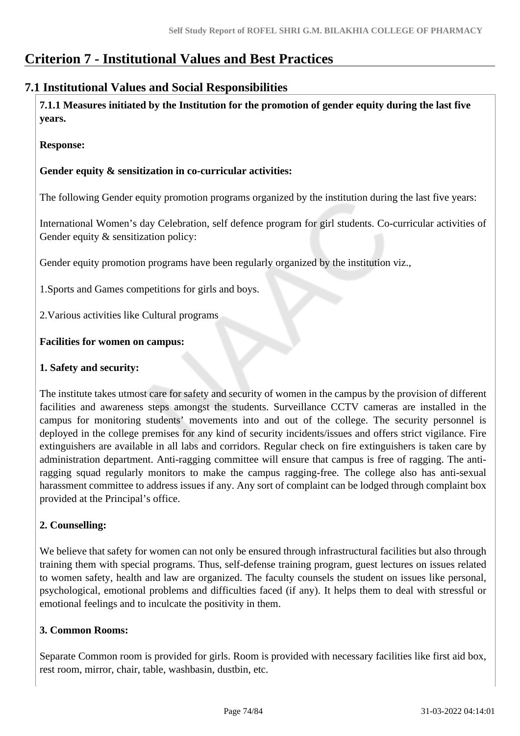# **Criterion 7 - Institutional Values and Best Practices**

# **7.1 Institutional Values and Social Responsibilities**

 **7.1.1 Measures initiated by the Institution for the promotion of gender equity during the last five years.**

# **Response:**

# **Gender equity & sensitization in co-curricular activities:**

The following Gender equity promotion programs organized by the institution during the last five years:

International Women's day Celebration, self defence program for girl students. Co-curricular activities of Gender equity  $&$  sensitization policy:

Gender equity promotion programs have been regularly organized by the institution viz.,

1.Sports and Games competitions for girls and boys.

2.Various activities like Cultural programs

# **Facilities for women on campus:**

# **1. Safety and security:**

The institute takes utmost care for safety and security of women in the campus by the provision of different facilities and awareness steps amongst the students. Surveillance CCTV cameras are installed in the campus for monitoring students' movements into and out of the college. The security personnel is deployed in the college premises for any kind of security incidents/issues and offers strict vigilance. Fire extinguishers are available in all labs and corridors. Regular check on fire extinguishers is taken care by administration department. Anti-ragging committee will ensure that campus is free of ragging. The antiragging squad regularly monitors to make the campus ragging-free. The college also has anti-sexual harassment committee to address issues if any. Any sort of complaint can be lodged through complaint box provided at the Principal's office.

# **2. Counselling:**

We believe that safety for women can not only be ensured through infrastructural facilities but also through training them with special programs. Thus, self-defense training program, guest lectures on issues related to women safety, health and law are organized. The faculty counsels the student on issues like personal, psychological, emotional problems and difficulties faced (if any). It helps them to deal with stressful or emotional feelings and to inculcate the positivity in them.

# **3. Common Rooms:**

Separate Common room is provided for girls. Room is provided with necessary facilities like first aid box, rest room, mirror, chair, table, washbasin, dustbin, etc.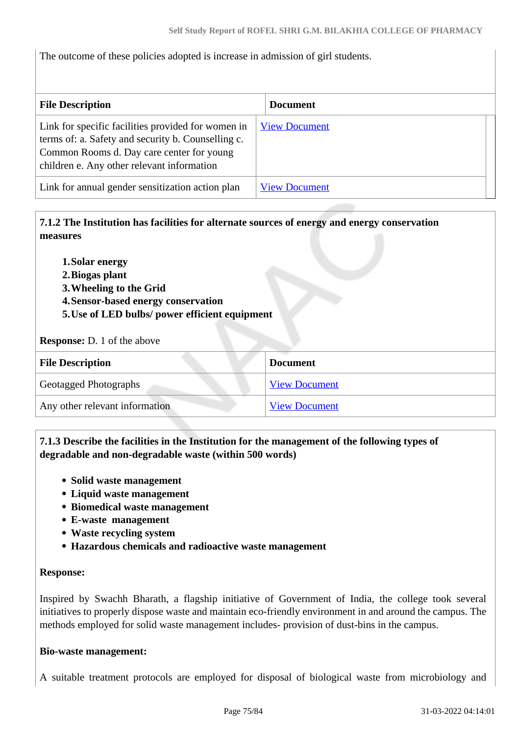The outcome of these policies adopted is increase in admission of girl students.

| <b>File Description</b>                                                                                                                                                                             | <b>Document</b>      |
|-----------------------------------------------------------------------------------------------------------------------------------------------------------------------------------------------------|----------------------|
| Link for specific facilities provided for women in<br>terms of: a. Safety and security b. Counselling c.<br>Common Rooms d. Day care center for young<br>children e. Any other relevant information | <b>View Document</b> |
| Link for annual gender sensitization action plan                                                                                                                                                    | <b>View Document</b> |

 **7.1.2 The Institution has facilities for alternate sources of energy and energy conservation measures** 

**1.Solar energy 2.Biogas plant 3.Wheeling to the Grid 4.Sensor-based energy conservation 5.Use of LED bulbs/ power efficient equipment** 

**Response:** D. 1 of the above

| <b>File Description</b>        | <b>Document</b>      |
|--------------------------------|----------------------|
| Geotagged Photographs          | <b>View Document</b> |
| Any other relevant information | <b>View Document</b> |

 **7.1.3 Describe the facilities in the Institution for the management of the following types of degradable and non-degradable waste (within 500 words)**

- **Solid waste management**
- **Liquid waste management**
- **Biomedical waste management**
- **E-waste management**
- **Waste recycling system**
- **Hazardous chemicals and radioactive waste management**

#### **Response:**

Inspired by Swachh Bharath, a flagship initiative of Government of India, the college took several initiatives to properly dispose waste and maintain eco-friendly environment in and around the campus. The methods employed for solid waste management includes- provision of dust-bins in the campus.

#### **Bio-waste management:**

A suitable treatment protocols are employed for disposal of biological waste from microbiology and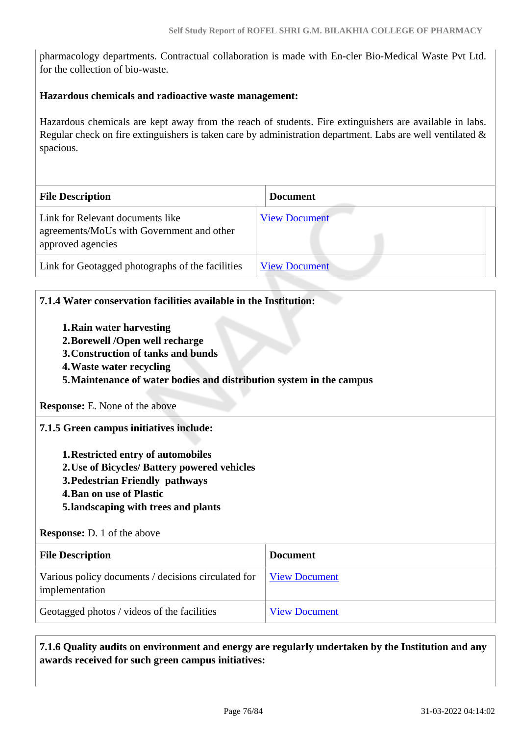pharmacology departments. Contractual collaboration is made with En-cler Bio-Medical Waste Pvt Ltd. for the collection of bio-waste.

#### **Hazardous chemicals and radioactive waste management:**

Hazardous chemicals are kept away from the reach of students. Fire extinguishers are available in labs. Regular check on fire extinguishers is taken care by administration department. Labs are well ventilated  $\&$ spacious.

| <b>Document</b>      |  |
|----------------------|--|
| <b>View Document</b> |  |
| <b>View Document</b> |  |
|                      |  |

# **7.1.4 Water conservation facilities available in the Institution: 1.Rain water harvesting 2.Borewell /Open well recharge 3.Construction of tanks and bunds 4.Waste water recycling 5.Maintenance of water bodies and distribution system in the campus Response:** E. None of the above **7.1.5 Green campus initiatives include: 1.Restricted entry of automobiles 2.Use of Bicycles/ Battery powered vehicles 3.Pedestrian Friendly pathways 4.Ban on use of Plastic 5.landscaping with trees and plants Response:** D. 1 of the above **File Description Document** Various policy documents / decisions circulated for implementation [View Document](https://assessmentonline.naac.gov.in/storage/app/hei/SSR/111578/7.1.5_1648113557_7923.pdf)

Geotagged photos / videos of the facilities [View Document](https://assessmentonline.naac.gov.in/storage/app/hei/SSR/111578/7.1.5_1648114597_7923.png)

 **7.1.6 Quality audits on environment and energy are regularly undertaken by the Institution and any awards received for such green campus initiatives:**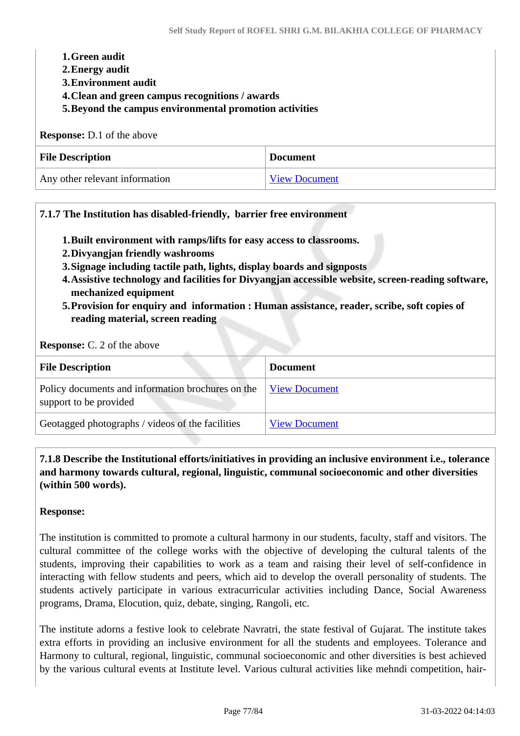#### **1.Green audit**

- **2.Energy audit**
- **3.Environment audit**
- **4.Clean and green campus recognitions / awards**
- **5.Beyond the campus environmental promotion activities**

| <b>Response:</b> D.1 of the above |                      |  |
|-----------------------------------|----------------------|--|
| <b>File Description</b>           | <b>Document</b>      |  |
| Any other relevant information    | <b>View Document</b> |  |

#### **7.1.7 The Institution has disabled-friendly, barrier free environment**

- **1.Built environment with ramps/lifts for easy access to classrooms.**
- **2.Divyangjan friendly washrooms**
- **3.Signage including tactile path, lights, display boards and signposts**
- **4.Assistive technology and facilities for Divyangjan accessible website, screen-reading software, mechanized equipment**
- **5.Provision for enquiry and information : Human assistance, reader, scribe, soft copies of reading material, screen reading**

#### **Response:** C. 2 of the above

| <b>File Description</b>                                                     | <b>Document</b>      |
|-----------------------------------------------------------------------------|----------------------|
| Policy documents and information brochures on the<br>support to be provided | <b>View Document</b> |
| Geotagged photographs / videos of the facilities                            | <b>View Document</b> |

 **7.1.8 Describe the Institutional efforts/initiatives in providing an inclusive environment i.e., tolerance and harmony towards cultural, regional, linguistic, communal socioeconomic and other diversities (within 500 words).**

#### **Response:**

The institution is committed to promote a cultural harmony in our students, faculty, staff and visitors. The cultural committee of the college works with the objective of developing the cultural talents of the students, improving their capabilities to work as a team and raising their level of self-confidence in interacting with fellow students and peers, which aid to develop the overall personality of students. The students actively participate in various extracurricular activities including Dance, Social Awareness programs, Drama, Elocution, quiz, debate, singing, Rangoli, etc.

The institute adorns a festive look to celebrate Navratri, the state festival of Gujarat. The institute takes extra efforts in providing an inclusive environment for all the students and employees. Tolerance and Harmony to cultural, regional, linguistic, communal socioeconomic and other diversities is best achieved by the various cultural events at Institute level. Various cultural activities like mehndi competition, hair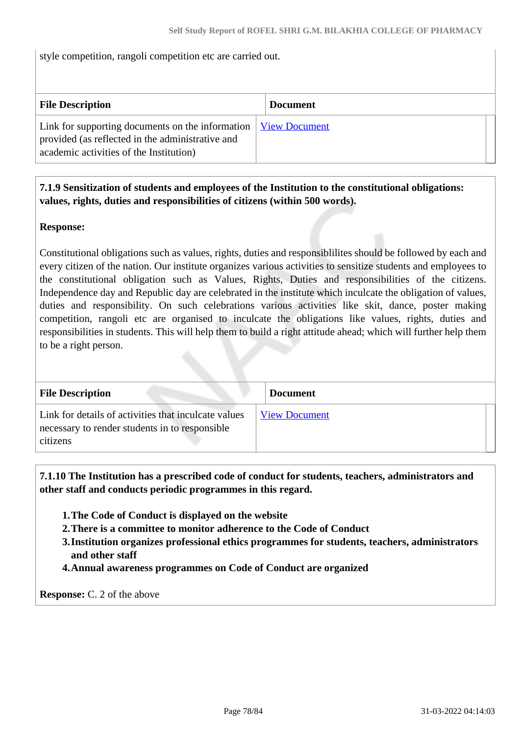style competition, rangoli competition etc are carried out.

| <b>File Description</b>                                                                                                                         | <b>Document</b>      |
|-------------------------------------------------------------------------------------------------------------------------------------------------|----------------------|
| Link for supporting documents on the information<br>provided (as reflected in the administrative and<br>academic activities of the Institution) | <u>View Document</u> |

# **7.1.9 Sensitization of students and employees of the Institution to the constitutional obligations: values, rights, duties and responsibilities of citizens (within 500 words).**

#### **Response:**

Constitutional obligations such as values, rights, duties and responsiblilites should be followed by each and every citizen of the nation. Our institute organizes various activities to sensitize students and employees to the constitutional obligation such as Values, Rights, Duties and responsibilities of the citizens. Independence day and Republic day are celebrated in the institute which inculcate the obligation of values, duties and responsibility. On such celebrations various activities like skit, dance, poster making competition, rangoli etc are organised to inculcate the obligations like values, rights, duties and responsibilities in students. This will help them to build a right attitude ahead; which will further help them to be a right person.

| <b>File Description</b>                                                                                            | <b>Document</b>      |
|--------------------------------------------------------------------------------------------------------------------|----------------------|
| Link for details of activities that inculcate values<br>necessary to render students in to responsible<br>citizens | <b>View Document</b> |

 **7.1.10 The Institution has a prescribed code of conduct for students, teachers, administrators and other staff and conducts periodic programmes in this regard.** 

- **1.The Code of Conduct is displayed on the website**
- **2.There is a committee to monitor adherence to the Code of Conduct**
- **3.Institution organizes professional ethics programmes for students, teachers, administrators and other staff**
- **4.Annual awareness programmes on Code of Conduct are organized**

**Response:** C. 2 of the above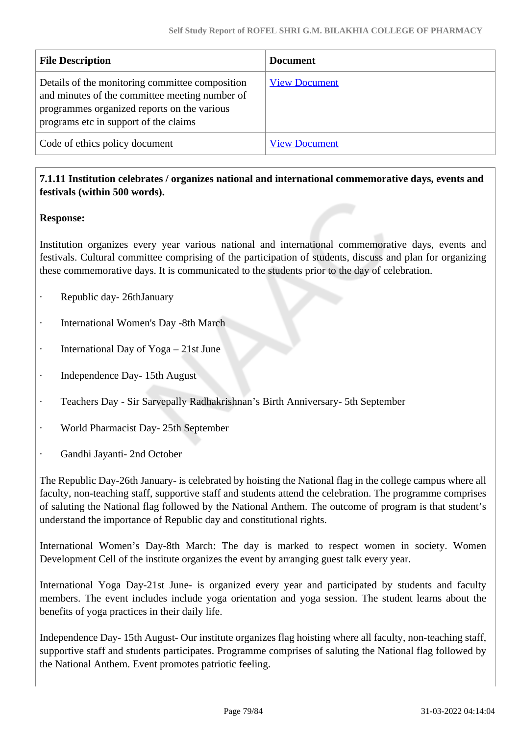| <b>File Description</b>                                                                                                                                                                   | <b>Document</b>      |
|-------------------------------------------------------------------------------------------------------------------------------------------------------------------------------------------|----------------------|
| Details of the monitoring committee composition<br>and minutes of the committee meeting number of<br>programmes organized reports on the various<br>programs etc in support of the claims | <b>View Document</b> |
| Code of ethics policy document                                                                                                                                                            | <b>View Document</b> |

# **7.1.11 Institution celebrates / organizes national and international commemorative days, events and festivals (within 500 words).**

# **Response:**

Institution organizes every year various national and international commemorative days, events and festivals. Cultural committee comprising of the participation of students, discuss and plan for organizing these commemorative days. It is communicated to the students prior to the day of celebration.

- · Republic day- 26thJanuary
- · International Women's Day -8th March
- · International Day of Yoga 21st June
- · Independence Day- 15th August
- · Teachers Day Sir Sarvepally Radhakrishnan's Birth Anniversary- 5th September
- · World Pharmacist Day- 25th September
- Gandhi Jayanti- 2nd October

The Republic Day-26th January- is celebrated by hoisting the National flag in the college campus where all faculty, non-teaching staff, supportive staff and students attend the celebration. The programme comprises of saluting the National flag followed by the National Anthem. The outcome of program is that student's understand the importance of Republic day and constitutional rights.

International Women's Day-8th March: The day is marked to respect women in society. Women Development Cell of the institute organizes the event by arranging guest talk every year.

International Yoga Day-21st June- is organized every year and participated by students and faculty members. The event includes include yoga orientation and yoga session. The student learns about the benefits of yoga practices in their daily life.

Independence Day- 15th August- Our institute organizes flag hoisting where all faculty, non-teaching staff, supportive staff and students participates. Programme comprises of saluting the National flag followed by the National Anthem. Event promotes patriotic feeling.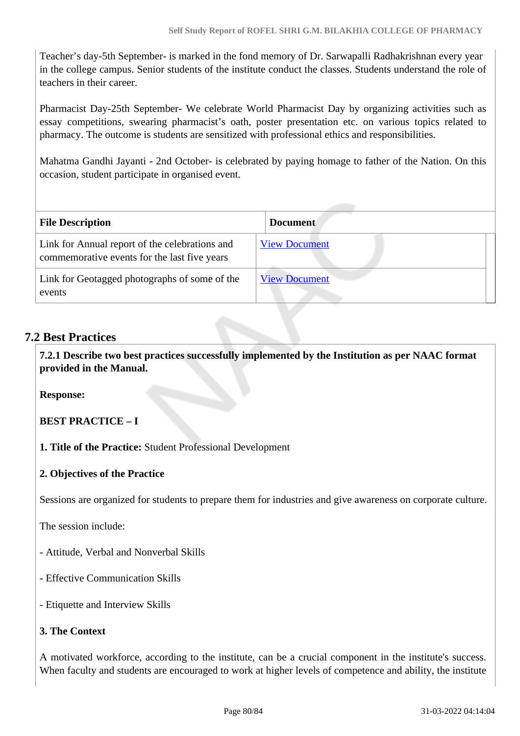Teacher's day-5th September- is marked in the fond memory of Dr. Sarwapalli Radhakrishnan every year in the college campus. Senior students of the institute conduct the classes. Students understand the role of teachers in their career.

Pharmacist Day-25th September- We celebrate World Pharmacist Day by organizing activities such as essay competitions, swearing pharmacist's oath, poster presentation etc. on various topics related to pharmacy. The outcome is students are sensitized with professional ethics and responsibilities.

Mahatma Gandhi Jayanti - 2nd October- is celebrated by paying homage to father of the Nation. On this occasion, student participate in organised event.

| <b>File Description</b>                                                                        | <b>Document</b>      |
|------------------------------------------------------------------------------------------------|----------------------|
| Link for Annual report of the celebrations and<br>commemorative events for the last five years | <b>View Document</b> |
| Link for Geotagged photographs of some of the<br>events                                        | <b>View Document</b> |

# **7.2 Best Practices**

 **7.2.1 Describe two best practices successfully implemented by the Institution as per NAAC format provided in the Manual.**

**Response:** 

**BEST PRACTICE – I**

**1. Title of the Practice:** Student Professional Development

# **2. Objectives of the Practice**

Sessions are organized for students to prepare them for industries and give awareness on corporate culture.

The session include:

- Attitude, Verbal and Nonverbal Skills
- Effective Communication Skills
- Etiquette and Interview Skills

# **3. The Context**

A motivated workforce, according to the institute, can be a crucial component in the institute's success. When faculty and students are encouraged to work at higher levels of competence and ability, the institute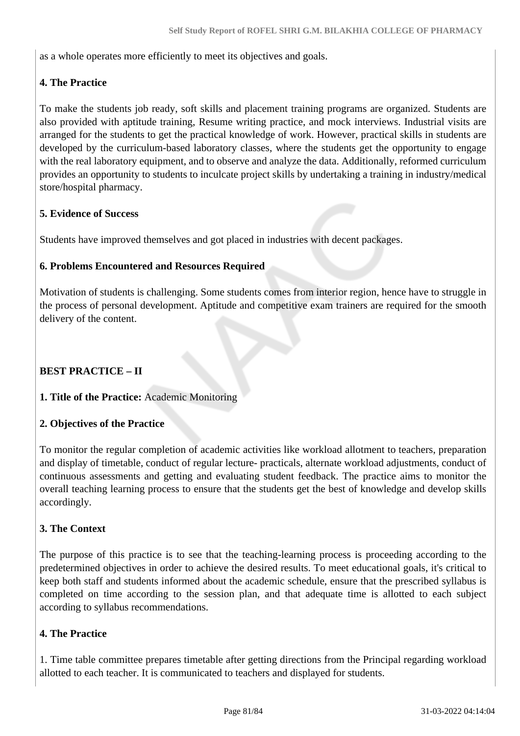as a whole operates more efficiently to meet its objectives and goals.

# **4. The Practice**

To make the students job ready, soft skills and placement training programs are organized. Students are also provided with aptitude training, Resume writing practice, and mock interviews. Industrial visits are arranged for the students to get the practical knowledge of work. However, practical skills in students are developed by the curriculum-based laboratory classes, where the students get the opportunity to engage with the real laboratory equipment, and to observe and analyze the data. Additionally, reformed curriculum provides an opportunity to students to inculcate project skills by undertaking a training in industry/medical store/hospital pharmacy.

# **5. Evidence of Success**

Students have improved themselves and got placed in industries with decent packages.

# **6. Problems Encountered and Resources Required**

Motivation of students is challenging. Some students comes from interior region, hence have to struggle in the process of personal development. Aptitude and competitive exam trainers are required for the smooth delivery of the content.

# **BEST PRACTICE – II**

# **1. Title of the Practice:** Academic Monitoring

# **2. Objectives of the Practice**

To monitor the regular completion of academic activities like workload allotment to teachers, preparation and display of timetable, conduct of regular lecture- practicals, alternate workload adjustments, conduct of continuous assessments and getting and evaluating student feedback. The practice aims to monitor the overall teaching learning process to ensure that the students get the best of knowledge and develop skills accordingly.

# **3. The Context**

The purpose of this practice is to see that the teaching-learning process is proceeding according to the predetermined objectives in order to achieve the desired results. To meet educational goals, it's critical to keep both staff and students informed about the academic schedule, ensure that the prescribed syllabus is completed on time according to the session plan, and that adequate time is allotted to each subject according to syllabus recommendations.

# **4. The Practice**

1. Time table committee prepares timetable after getting directions from the Principal regarding workload allotted to each teacher. It is communicated to teachers and displayed for students.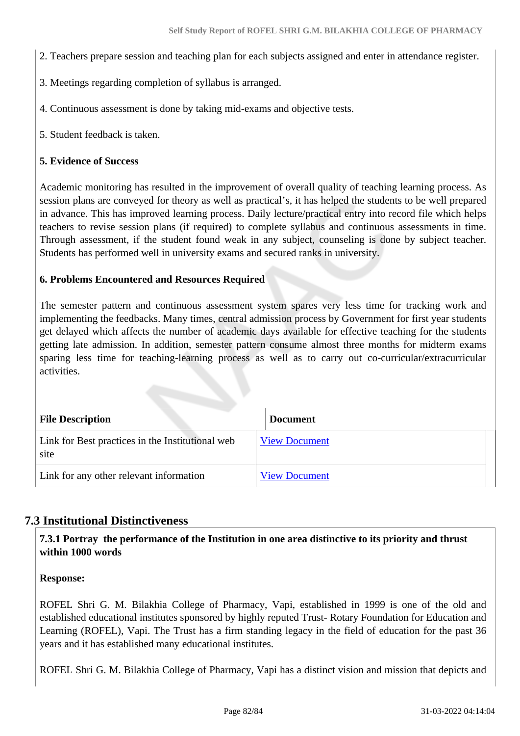- 2. Teachers prepare session and teaching plan for each subjects assigned and enter in attendance register.
- 3. Meetings regarding completion of syllabus is arranged.
- 4. Continuous assessment is done by taking mid-exams and objective tests.
- 5. Student feedback is taken.

# **5. Evidence of Success**

Academic monitoring has resulted in the improvement of overall quality of teaching learning process. As session plans are conveyed for theory as well as practical's, it has helped the students to be well prepared in advance. This has improved learning process. Daily lecture/practical entry into record file which helps teachers to revise session plans (if required) to complete syllabus and continuous assessments in time. Through assessment, if the student found weak in any subject, counseling is done by subject teacher. Students has performed well in university exams and secured ranks in university.

# **6. Problems Encountered and Resources Required**

The semester pattern and continuous assessment system spares very less time for tracking work and implementing the feedbacks. Many times, central admission process by Government for first year students get delayed which affects the number of academic days available for effective teaching for the students getting late admission. In addition, semester pattern consume almost three months for midterm exams sparing less time for teaching-learning process as well as to carry out co-curricular/extracurricular activities.

| <b>File Description</b>                                  | <b>Document</b>      |
|----------------------------------------------------------|----------------------|
| Link for Best practices in the Institutional web<br>site | <b>View Document</b> |
| Link for any other relevant information                  | <b>View Document</b> |

# **7.3 Institutional Distinctiveness**

 **7.3.1 Portray the performance of the Institution in one area distinctive to its priority and thrust within 1000 words**

# **Response:**

ROFEL Shri G. M. Bilakhia College of Pharmacy, Vapi, established in 1999 is one of the old and established educational institutes sponsored by highly reputed Trust- Rotary Foundation for Education and Learning (ROFEL), Vapi. The Trust has a firm standing legacy in the field of education for the past 36 years and it has established many educational institutes.

ROFEL Shri G. M. Bilakhia College of Pharmacy, Vapi has a distinct vision and mission that depicts and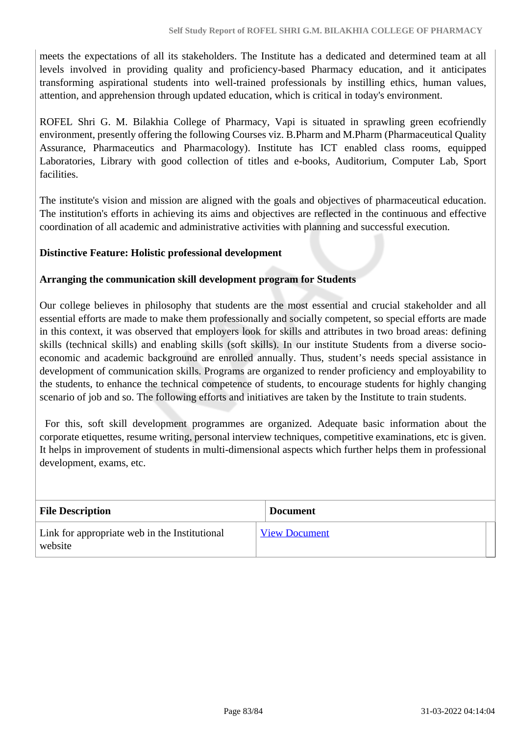meets the expectations of all its stakeholders. The Institute has a dedicated and determined team at all levels involved in providing quality and proficiency-based Pharmacy education, and it anticipates transforming aspirational students into well-trained professionals by instilling ethics, human values, attention, and apprehension through updated education, which is critical in today's environment.

ROFEL Shri G. M. Bilakhia College of Pharmacy, Vapi is situated in sprawling green ecofriendly environment, presently offering the following Courses viz. B.Pharm and M.Pharm (Pharmaceutical Quality Assurance, Pharmaceutics and Pharmacology). Institute has ICT enabled class rooms, equipped Laboratories, Library with good collection of titles and e-books, Auditorium, Computer Lab, Sport facilities.

The institute's vision and mission are aligned with the goals and objectives of pharmaceutical education. The institution's efforts in achieving its aims and objectives are reflected in the continuous and effective coordination of all academic and administrative activities with planning and successful execution.

# **Distinctive Feature: Holistic professional development**

#### **Arranging the communication skill development program for Students**

Our college believes in philosophy that students are the most essential and crucial stakeholder and all essential efforts are made to make them professionally and socially competent, so special efforts are made in this context, it was observed that employers look for skills and attributes in two broad areas: defining skills (technical skills) and enabling skills (soft skills). In our institute Students from a diverse socioeconomic and academic background are enrolled annually. Thus, student's needs special assistance in development of communication skills. Programs are organized to render proficiency and employability to the students, to enhance the technical competence of students, to encourage students for highly changing scenario of job and so. The following efforts and initiatives are taken by the Institute to train students.

For this, soft skill development programmes are organized. Adequate basic information about the corporate etiquettes, resume writing, personal interview techniques, competitive examinations, etc is given. It helps in improvement of students in multi-dimensional aspects which further helps them in professional development, exams, etc.

| <b>File Description</b>                                  | <b>Document</b>      |  |
|----------------------------------------------------------|----------------------|--|
| Link for appropriate web in the Institutional<br>website | <b>View Document</b> |  |